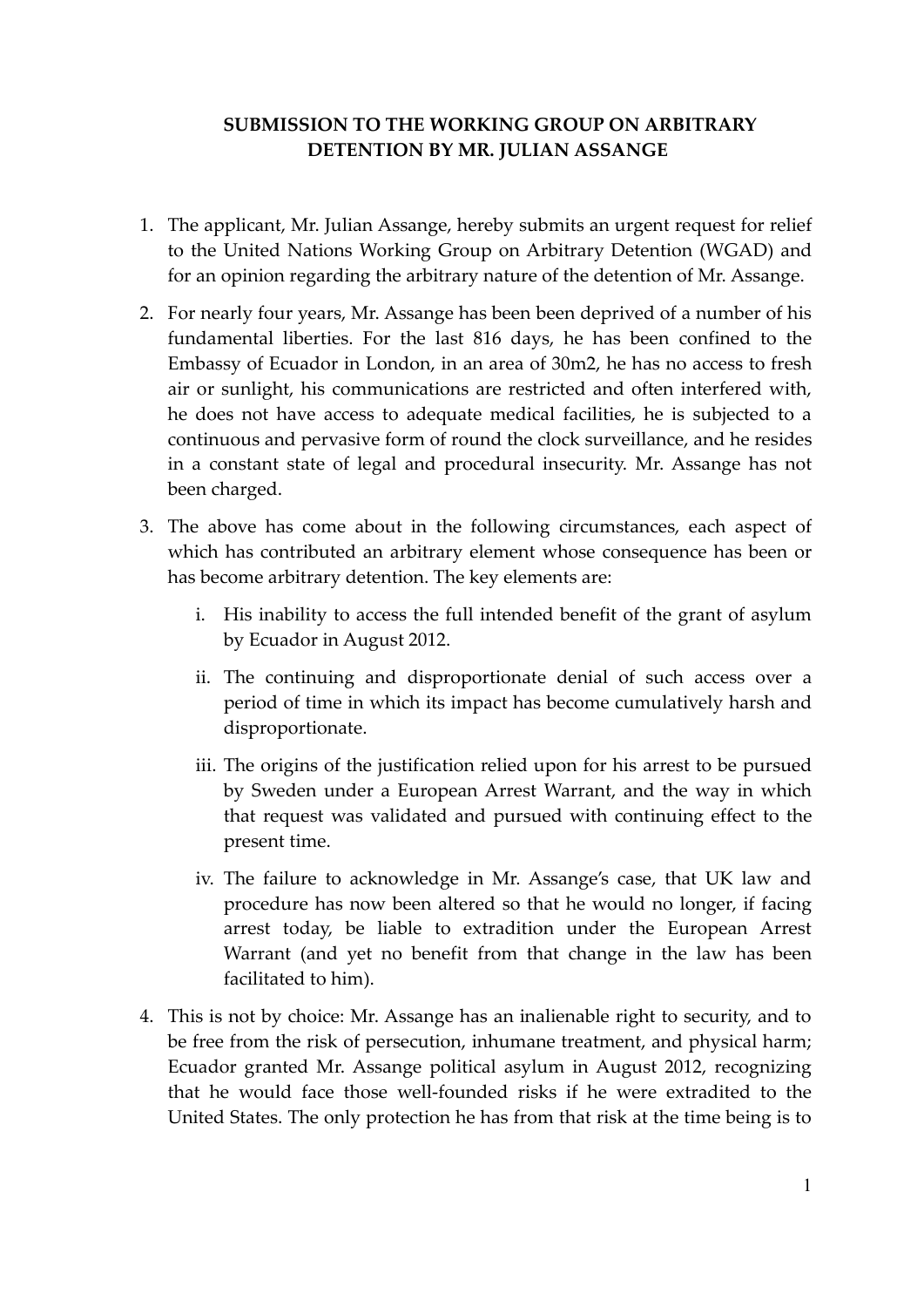# **SUBMISSION TO THE WORKING GROUP ON ARBITRARY DETENTION BY MR. JULIAN ASSANGE**

- 1. The applicant, Mr. Julian Assange, hereby submits an urgent request for relief to the United Nations Working Group on Arbitrary Detention (WGAD) and for an opinion regarding the arbitrary nature of the detention of Mr. Assange.
- 2. For nearly four years, Mr. Assange has been been deprived of a number of his fundamental liberties. For the last 816 days, he has been confined to the Embassy of Ecuador in London, in an area of 30m2, he has no access to fresh air or sunlight, his communications are restricted and often interfered with, he does not have access to adequate medical facilities, he is subjected to a continuous and pervasive form of round the clock surveillance, and he resides in a constant state of legal and procedural insecurity. Mr. Assange has not been charged.
- 3. The above has come about in the following circumstances, each aspect of which has contributed an arbitrary element whose consequence has been or has become arbitrary detention. The key elements are:
	- i. His inability to access the full intended benefit of the grant of asylum by Ecuador in August 2012.
	- ii. The continuing and disproportionate denial of such access over a period of time in which its impact has become cumulatively harsh and disproportionate.
	- iii. The origins of the justification relied upon for his arrest to be pursued by Sweden under a European Arrest Warrant, and the way in which that request was validated and pursued with continuing effect to the present time.
	- iv. The failure to acknowledge in Mr. Assange's case, that UK law and procedure has now been altered so that he would no longer, if facing arrest today, be liable to extradition under the European Arrest Warrant (and yet no benefit from that change in the law has been facilitated to him).
- 4. This is not by choice: Mr. Assange has an inalienable right to security, and to be free from the risk of persecution, inhumane treatment, and physical harm; Ecuador granted Mr. Assange political asylum in August 2012, recognizing that he would face those well-founded risks if he were extradited to the United States. The only protection he has from that risk at the time being is to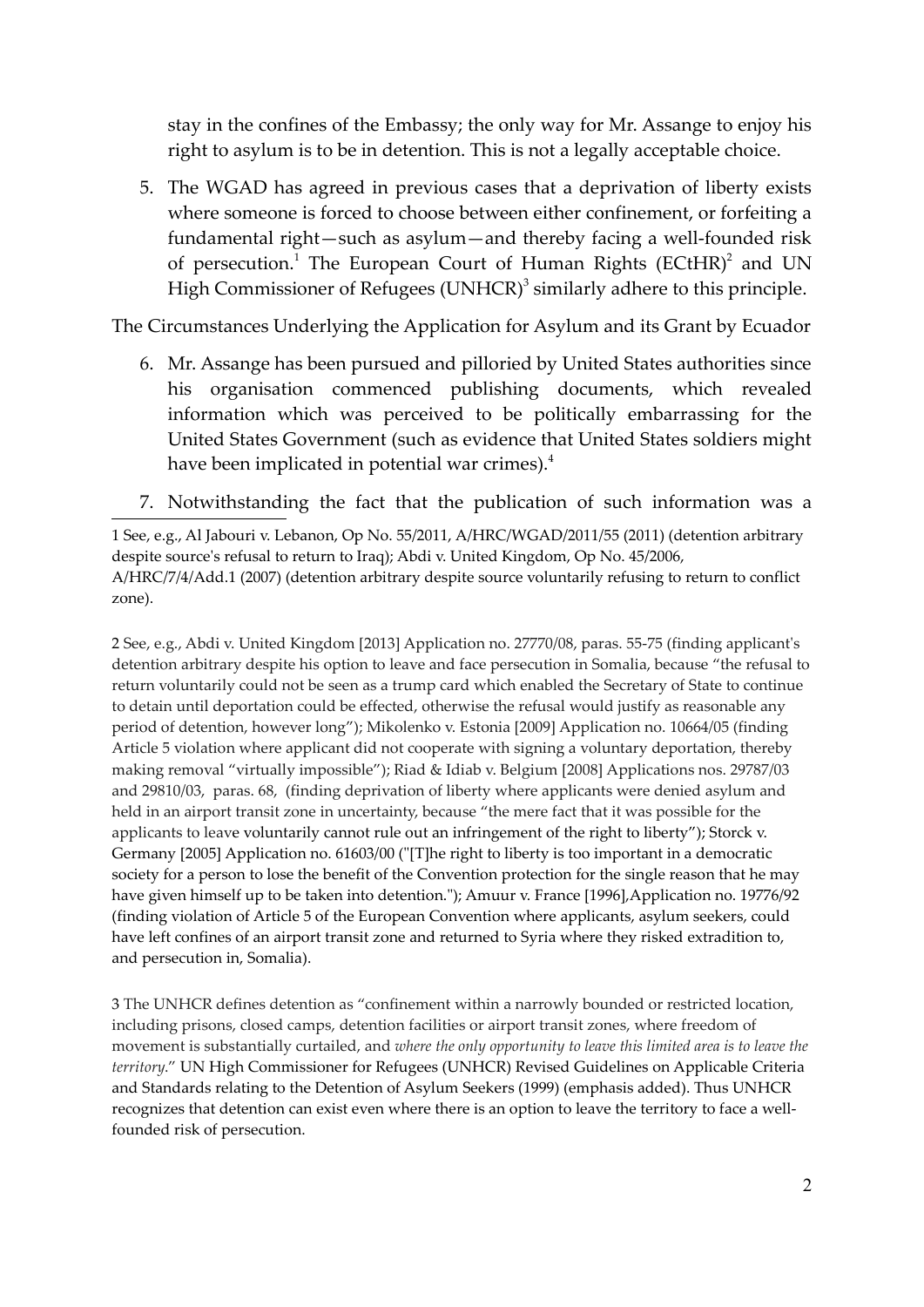stay in the confines of the Embassy; the only way for Mr. Assange to enjoy his right to asylum is to be in detention. This is not a legally acceptable choice.

5. The WGAD has agreed in previous cases that a deprivation of liberty exists where someone is forced to choose between either confinement, or forfeiting a fundamental right—such as asylum—and thereby facing a well-founded risk of persecution.<sup>1</sup> The European Court of Human Rights (ECtHR)<sup>2</sup> and UN High Commissioner of Refugees (UNHCR) $^3$  similarly adhere to this principle.

The Circumstances Underlying the Application for Asylum and its Grant by Ecuador

- 6. Mr. Assange has been pursued and pilloried by United States authorities since his organisation commenced publishing documents, which revealed information which was perceived to be politically embarrassing for the United States Government (such as evidence that United States soldiers might have been implicated in potential war crimes).<sup>4</sup>
- 7. Notwithstanding the fact that the publication of such information was a

2 See, e.g., Abdi v. United Kingdom [2013] Application no. 27770/08, paras. 55-75 (finding applicant's detention arbitrary despite his option to leave and face persecution in Somalia, because "the refusal to return voluntarily could not be seen as a trump card which enabled the Secretary of State to continue to detain until deportation could be effected, otherwise the refusal would justify as reasonable any period of detention, however long"); Mikolenko v. Estonia [2009] Application no. 10664/05 (finding Article 5 violation where applicant did not cooperate with signing a voluntary deportation, thereby making removal "virtually impossible"); Riad & Idiab v. Belgium [2008] Applications nos. 29787/03 and 29810/03, paras. 68, (finding deprivation of liberty where applicants were denied asylum and held in an airport transit zone in uncertainty, because "the mere fact that it was possible for the applicants to leave voluntarily cannot rule out an infringement of the right to liberty"); Storck v. Germany [2005] Application no. 61603/00 ("[T]he right to liberty is too important in a democratic society for a person to lose the benefit of the Convention protection for the single reason that he may have given himself up to be taken into detention."); Amuur v. France [1996],Application no. 19776/92 (finding violation of Article 5 of the European Convention where applicants, asylum seekers, could have left confines of an airport transit zone and returned to Syria where they risked extradition to, and persecution in, Somalia).

3 The UNHCR defines detention as "confinement within a narrowly bounded or restricted location, including prisons, closed camps, detention facilities or airport transit zones, where freedom of movement is substantially curtailed, and *where the only opportunity to leave this limited area is to leave the territory*." UN High Commissioner for Refugees (UNHCR) Revised Guidelines on Applicable Criteria and Standards relating to the Detention of Asylum Seekers (1999) (emphasis added). Thus UNHCR recognizes that detention can exist even where there is an option to leave the territory to face a wellfounded risk of persecution.

<sup>1</sup> See, e.g., Al Jabouri v. Lebanon, Op No. 55/2011, A/HRC/WGAD/2011/55 (2011) (detention arbitrary despite source's refusal to return to Iraq); Abdi v. United Kingdom, Op No. 45/2006, A/HRC/7/4/Add.1 (2007) (detention arbitrary despite source voluntarily refusing to return to conflict zone).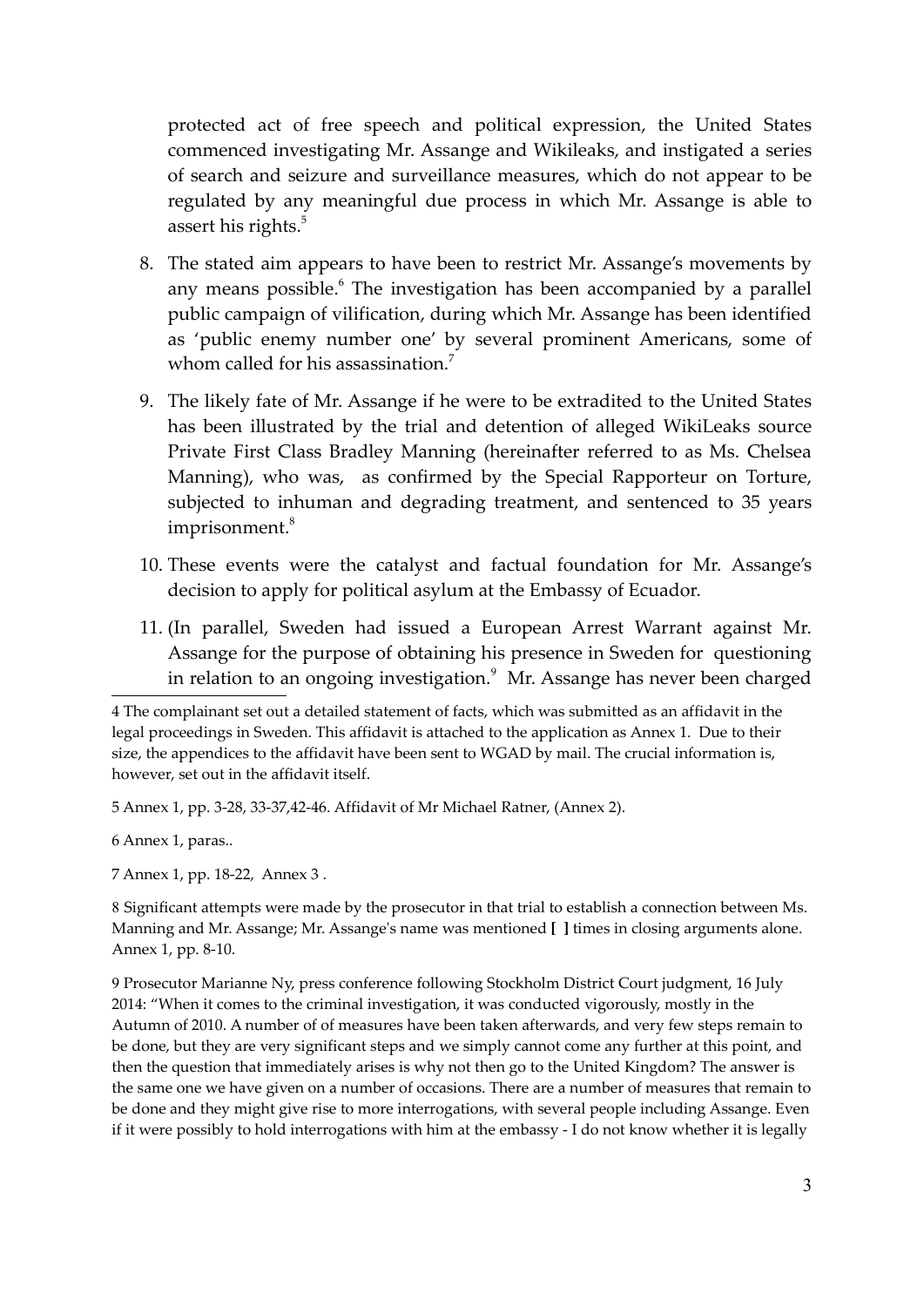protected act of free speech and political expression, the United States commenced investigating Mr. Assange and Wikileaks, and instigated a series of search and seizure and surveillance measures, which do not appear to be regulated by any meaningful due process in which Mr. Assange is able to assert his rights.<sup>5</sup>

- 8. The stated aim appears to have been to restrict Mr. Assange's movements by any means possible.<sup>6</sup> The investigation has been accompanied by a parallel public campaign of vilification, during which Mr. Assange has been identified as 'public enemy number one' by several prominent Americans, some of whom called for his assassination.<sup>7</sup>
- 9. The likely fate of Mr. Assange if he were to be extradited to the United States has been illustrated by the trial and detention of alleged WikiLeaks source Private First Class Bradley Manning (hereinafter referred to as Ms. Chelsea Manning), who was, as confirmed by the Special Rapporteur on Torture, subjected to inhuman and degrading treatment, and sentenced to 35 years imprisonment.<sup>8</sup>
- 10. These events were the catalyst and factual foundation for Mr. Assange's decision to apply for political asylum at the Embassy of Ecuador.
- 11. (In parallel, Sweden had issued a European Arrest Warrant against Mr. Assange for the purpose of obtaining his presence in Sweden for questioning in relation to an ongoing investigation. $^9\,$  Mr. Assange has never been charged

5 Annex 1, pp. 3-28, 33-37,42-46. Affidavit of Mr Michael Ratner, (Annex 2).

6 Annex 1, paras..

7 Annex 1, pp. 18-22, Annex 3 .

8 Significant attempts were made by the prosecutor in that trial to establish a connection between Ms. Manning and Mr. Assange; Mr. Assange's name was mentioned **[ ]** times in closing arguments alone. Annex 1, pp. 8-10.

9 Prosecutor Marianne Ny, press conference following Stockholm District Court judgment, 16 July 2014: "When it comes to the criminal investigation, it was conducted vigorously, mostly in the Autumn of 2010. A number of of measures have been taken afterwards, and very few steps remain to be done, but they are very significant steps and we simply cannot come any further at this point, and then the question that immediately arises is why not then go to the United Kingdom? The answer is the same one we have given on a number of occasions. There are a number of measures that remain to be done and they might give rise to more interrogations, with several people including Assange. Even if it were possibly to hold interrogations with him at the embassy - I do not know whether it is legally

<sup>4</sup> The complainant set out a detailed statement of facts, which was submitted as an affidavit in the legal proceedings in Sweden. This affidavit is attached to the application as Annex 1. Due to their size, the appendices to the affidavit have been sent to WGAD by mail. The crucial information is, however, set out in the affidavit itself.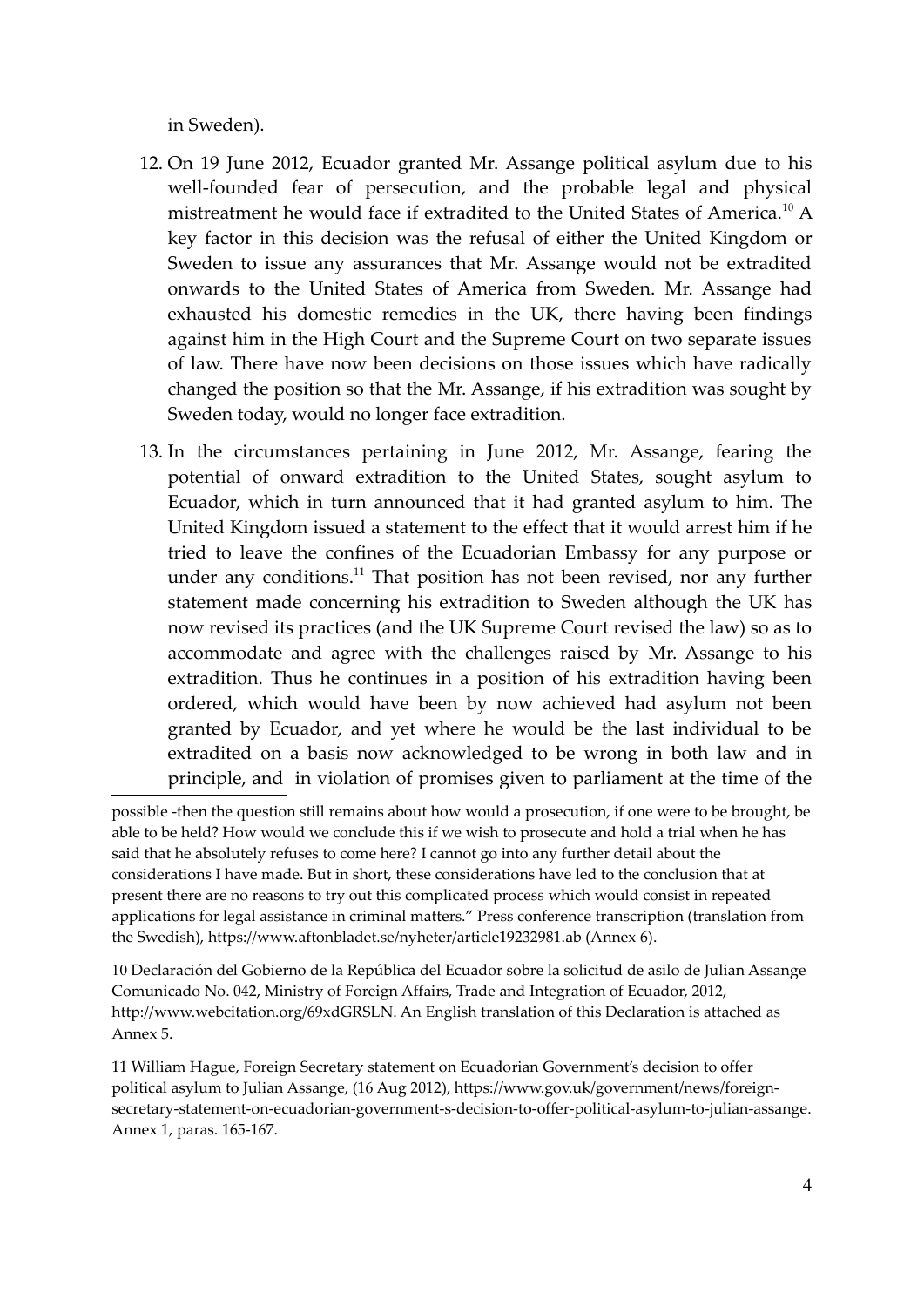in Sweden).

- 12. On 19 June 2012, Ecuador granted Mr. Assange political asylum due to his well-founded fear of persecution, and the probable legal and physical mistreatment he would face if extradited to the United States of America.<sup>10</sup> A key factor in this decision was the refusal of either the United Kingdom or Sweden to issue any assurances that Mr. Assange would not be extradited onwards to the United States of America from Sweden. Mr. Assange had exhausted his domestic remedies in the UK, there having been findings against him in the High Court and the Supreme Court on two separate issues of law. There have now been decisions on those issues which have radically changed the position so that the Mr. Assange, if his extradition was sought by Sweden today, would no longer face extradition.
- 13. In the circumstances pertaining in June 2012, Mr. Assange, fearing the potential of onward extradition to the United States, sought asylum to Ecuador, which in turn announced that it had granted asylum to him. The United Kingdom issued a statement to the effect that it would arrest him if he tried to leave the confines of the Ecuadorian Embassy for any purpose or under any conditions.<sup>11</sup> That position has not been revised, nor any further statement made concerning his extradition to Sweden although the UK has now revised its practices (and the UK Supreme Court revised the law) so as to accommodate and agree with the challenges raised by Mr. Assange to his extradition. Thus he continues in a position of his extradition having been ordered, which would have been by now achieved had asylum not been granted by Ecuador, and yet where he would be the last individual to be extradited on a basis now acknowledged to be wrong in both law and in principle, and in violation of promises given to parliament at the time of the

10 Declaración del Gobierno de la República del Ecuador sobre la solicitud de asilo de Julian Assange Comunicado No. 042, Ministry of Foreign Affairs, Trade and Integration of Ecuador, 2012, http://www.webcitation.org/69xdGRSLN. An English translation of this Declaration is attached as Annex 5.

11 William Hague, Foreign Secretary statement on Ecuadorian Government's decision to offer political asylum to Julian Assange, (16 Aug 2012), https://www.gov.uk/government/news/foreignsecretary-statement-on-ecuadorian-government-s-decision-to-offer-political-asylum-to-julian-assange. Annex 1, paras. 165-167.

possible -then the question still remains about how would a prosecution, if one were to be brought, be able to be held? How would we conclude this if we wish to prosecute and hold a trial when he has said that he absolutely refuses to come here? I cannot go into any further detail about the considerations I have made. But in short, these considerations have led to the conclusion that at present there are no reasons to try out this complicated process which would consist in repeated applications for legal assistance in criminal matters." Press conference transcription (translation from the Swedish), https://www.aftonbladet.se/nyheter/article19232981.ab (Annex 6).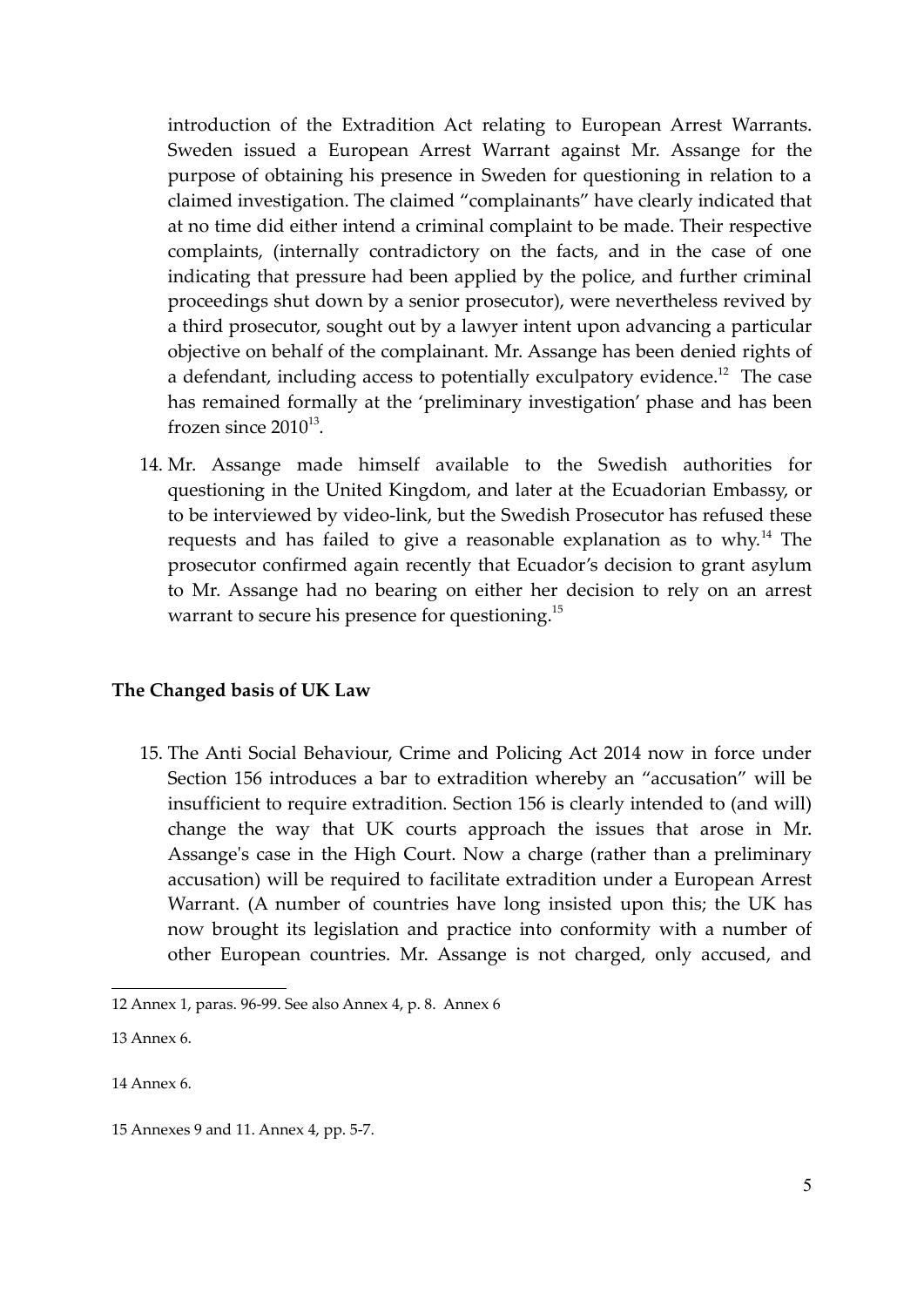introduction of the Extradition Act relating to European Arrest Warrants. Sweden issued a European Arrest Warrant against Mr. Assange for the purpose of obtaining his presence in Sweden for questioning in relation to a claimed investigation. The claimed "complainants" have clearly indicated that at no time did either intend a criminal complaint to be made. Their respective complaints, (internally contradictory on the facts, and in the case of one indicating that pressure had been applied by the police, and further criminal proceedings shut down by a senior prosecutor), were nevertheless revived by a third prosecutor, sought out by a lawyer intent upon advancing a particular objective on behalf of the complainant. Mr. Assange has been denied rights of a defendant, including access to potentially exculpatory evidence.<sup>12</sup> The case has remained formally at the 'preliminary investigation' phase and has been frozen since  $2010^{13}$ .

14. Mr. Assange made himself available to the Swedish authorities for questioning in the United Kingdom, and later at the Ecuadorian Embassy, or to be interviewed by video-link, but the Swedish Prosecutor has refused these requests and has failed to give a reasonable explanation as to why.<sup>14</sup> The prosecutor confirmed again recently that Ecuador's decision to grant asylum to Mr. Assange had no bearing on either her decision to rely on an arrest warrant to secure his presence for questioning. $^{15}$ 

# **The Changed basis of UK Law**

15. The Anti Social Behaviour, Crime and Policing Act 2014 now in force under Section 156 introduces a bar to extradition whereby an "accusation" will be insufficient to require extradition. Section 156 is clearly intended to (and will) change the way that UK courts approach the issues that arose in Mr. Assange's case in the High Court. Now a charge (rather than a preliminary accusation) will be required to facilitate extradition under a European Arrest Warrant. (A number of countries have long insisted upon this; the UK has now brought its legislation and practice into conformity with a number of other European countries. Mr. Assange is not charged, only accused, and

<sup>12</sup> Annex 1, paras. 96-99. See also Annex 4, p. 8. Annex 6

<sup>13</sup> Annex 6.

<sup>14</sup> Annex 6.

<sup>15</sup> Annexes 9 and 11. Annex 4, pp. 5-7.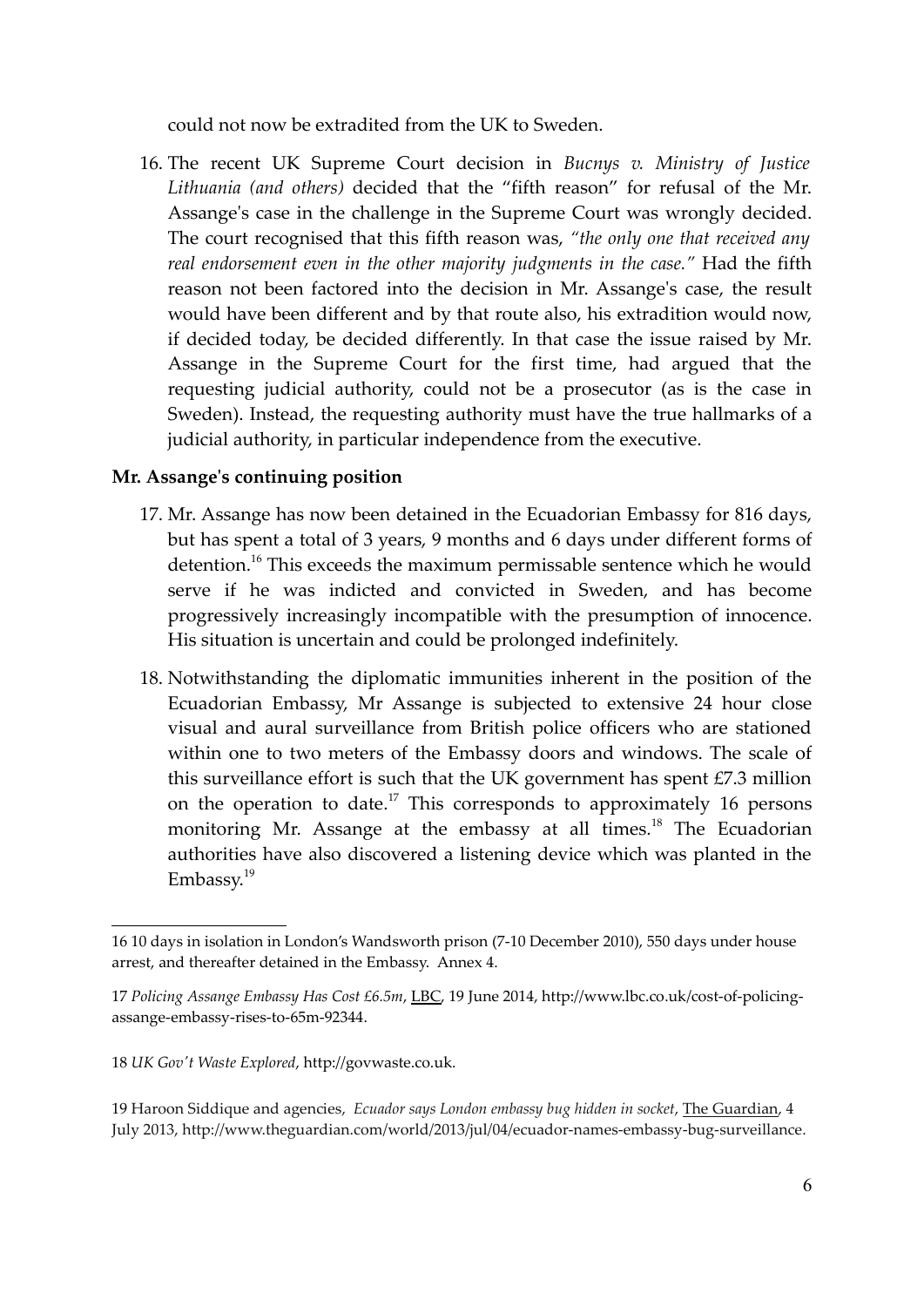could not now be extradited from the UK to Sweden.

16. The recent UK Supreme Court decision in *Bucnys v. Ministry of Justice Lithuania (and others)* decided that the "fifth reason" for refusal of the Mr. Assange's case in the challenge in the Supreme Court was wrongly decided. The court recognised that this fifth reason was, *"the only one that received any real endorsement even in the other majority judgments in the case."* Had the fifth reason not been factored into the decision in Mr. Assange's case, the result would have been different and by that route also, his extradition would now, if decided today, be decided differently. In that case the issue raised by Mr. Assange in the Supreme Court for the first time, had argued that the requesting judicial authority, could not be a prosecutor (as is the case in Sweden). Instead, the requesting authority must have the true hallmarks of a judicial authority, in particular independence from the executive.

### **Mr. Assange's continuing position**

- 17. Mr. Assange has now been detained in the Ecuadorian Embassy for 816 days, but has spent a total of 3 years, 9 months and 6 days under different forms of detention.<sup>16</sup> This exceeds the maximum permissable sentence which he would serve if he was indicted and convicted in Sweden, and has become progressively increasingly incompatible with the presumption of innocence. His situation is uncertain and could be prolonged indefinitely.
- 18. Notwithstanding the diplomatic immunities inherent in the position of the Ecuadorian Embassy, Mr Assange is subjected to extensive 24 hour close visual and aural surveillance from British police officers who are stationed within one to two meters of the Embassy doors and windows. The scale of this surveillance effort is such that the UK government has spent £7.3 million on the operation to date.<sup>17</sup> This corresponds to approximately 16 persons monitoring Mr. Assange at the embassy at all times.<sup>18</sup> The Ecuadorian authorities have also discovered a listening device which was planted in the Embassy.<sup>19</sup>

<sup>16 10</sup> days in isolation in London's Wandsworth prison (7-10 December 2010), 550 days under house arrest, and thereafter detained in the Embassy. Annex 4.

<sup>17</sup> *Policing Assange Embassy Has Cost £6.5m*, LBC, 19 June 2014, http://www.lbc.co.uk/cost-of-policingassange-embassy-rises-to-65m-92344.

<sup>18</sup> *UK Gov't Waste Explored*, http://govwaste.co.uk.

<sup>19</sup> Haroon Siddique and agencies, *Ecuador says London embassy bug hidden in socket*, The Guardian, 4 July 2013, http://www.theguardian.com/world/2013/jul/04/ecuador-names-embassy-bug-surveillance.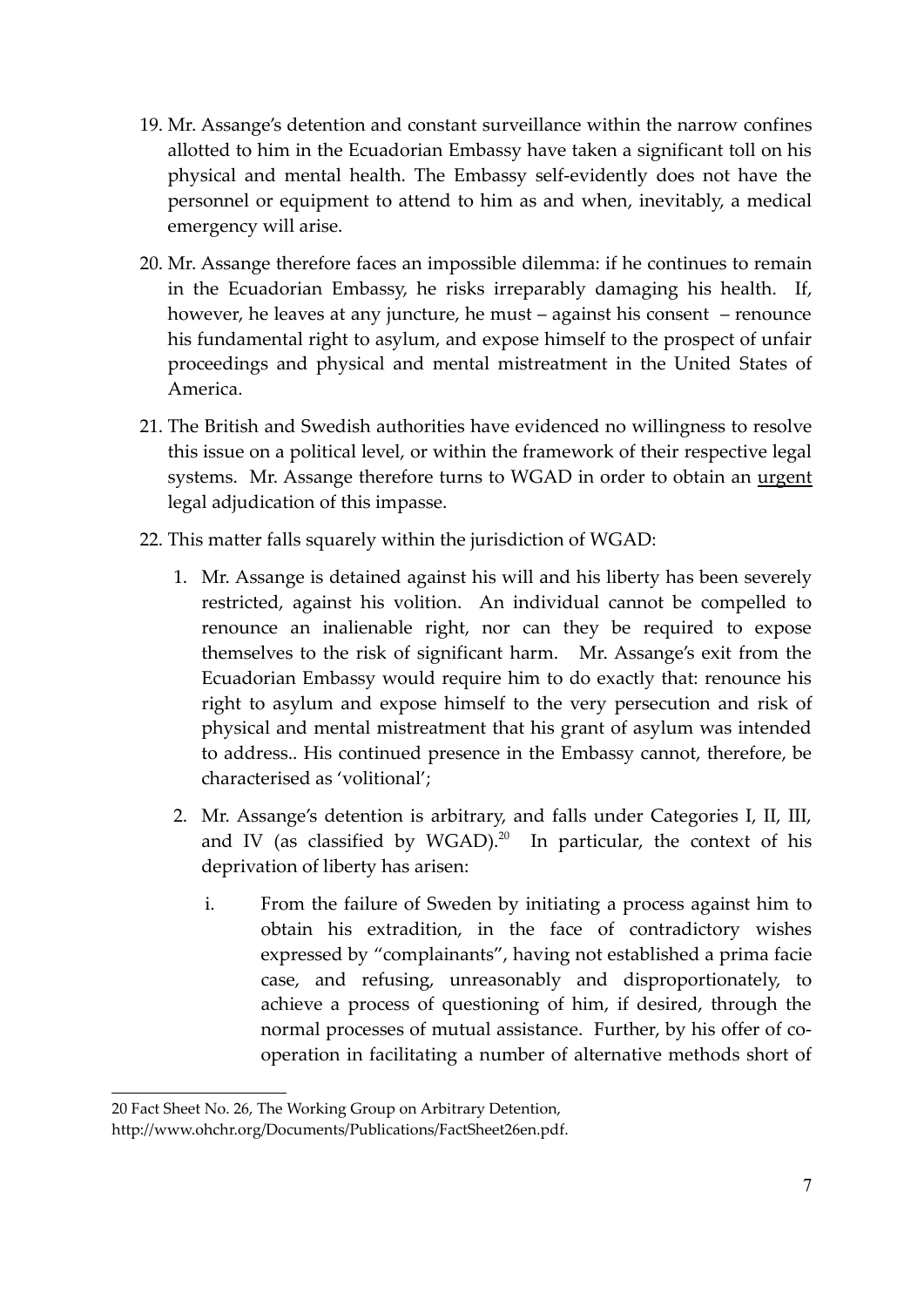- 19. Mr. Assange's detention and constant surveillance within the narrow confines allotted to him in the Ecuadorian Embassy have taken a significant toll on his physical and mental health. The Embassy self-evidently does not have the personnel or equipment to attend to him as and when, inevitably, a medical emergency will arise.
- 20. Mr. Assange therefore faces an impossible dilemma: if he continues to remain in the Ecuadorian Embassy, he risks irreparably damaging his health. If, however, he leaves at any juncture, he must – against his consent – renounce his fundamental right to asylum, and expose himself to the prospect of unfair proceedings and physical and mental mistreatment in the United States of America.
- 21. The British and Swedish authorities have evidenced no willingness to resolve this issue on a political level, or within the framework of their respective legal systems. Mr. Assange therefore turns to WGAD in order to obtain an urgent legal adjudication of this impasse.
- 22. This matter falls squarely within the jurisdiction of WGAD:
	- 1. Mr. Assange is detained against his will and his liberty has been severely restricted, against his volition. An individual cannot be compelled to renounce an inalienable right, nor can they be required to expose themselves to the risk of significant harm. Mr. Assange's exit from the Ecuadorian Embassy would require him to do exactly that: renounce his right to asylum and expose himself to the very persecution and risk of physical and mental mistreatment that his grant of asylum was intended to address.. His continued presence in the Embassy cannot, therefore, be characterised as 'volitional';
	- 2. Mr. Assange's detention is arbitrary, and falls under Categories I, II, III, and IV (as classified by  $WGAD$ ).<sup>20</sup> In particular, the context of his deprivation of liberty has arisen:
		- i. From the failure of Sweden by initiating a process against him to obtain his extradition, in the face of contradictory wishes expressed by "complainants", having not established a prima facie case, and refusing, unreasonably and disproportionately, to achieve a process of questioning of him, if desired, through the normal processes of mutual assistance. Further, by his offer of cooperation in facilitating a number of alternative methods short of

<sup>20</sup> Fact Sheet No. 26, The Working Group on Arbitrary Detention,

http://www.ohchr.org/Documents/Publications/FactSheet26en.pdf.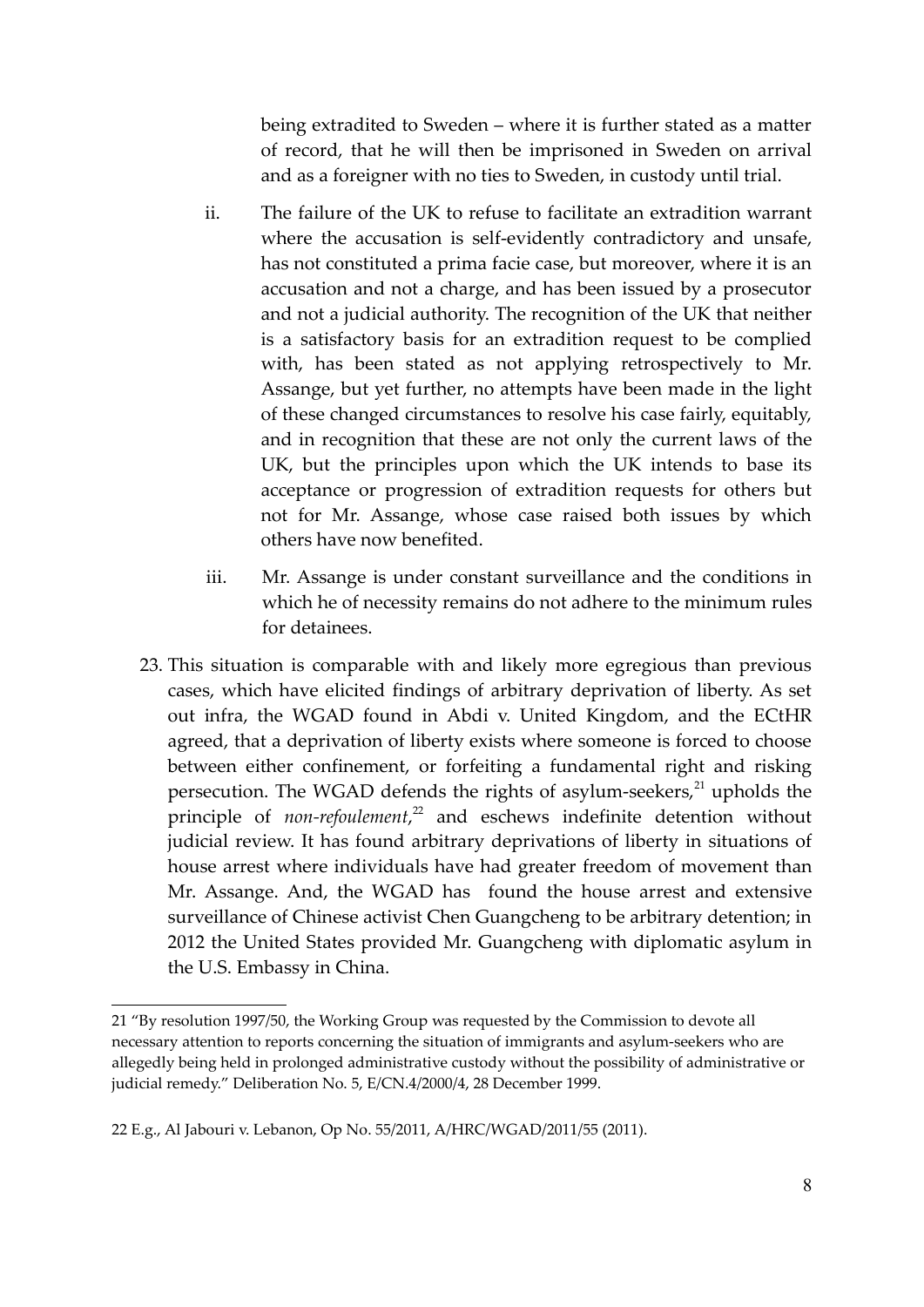being extradited to Sweden – where it is further stated as a matter of record, that he will then be imprisoned in Sweden on arrival and as a foreigner with no ties to Sweden, in custody until trial.

- ii. The failure of the UK to refuse to facilitate an extradition warrant where the accusation is self-evidently contradictory and unsafe, has not constituted a prima facie case, but moreover, where it is an accusation and not a charge, and has been issued by a prosecutor and not a judicial authority. The recognition of the UK that neither is a satisfactory basis for an extradition request to be complied with, has been stated as not applying retrospectively to Mr. Assange, but yet further, no attempts have been made in the light of these changed circumstances to resolve his case fairly, equitably, and in recognition that these are not only the current laws of the UK, but the principles upon which the UK intends to base its acceptance or progression of extradition requests for others but not for Mr. Assange, whose case raised both issues by which others have now benefited.
- iii. Mr. Assange is under constant surveillance and the conditions in which he of necessity remains do not adhere to the minimum rules for detainees.
- 23. This situation is comparable with and likely more egregious than previous cases, which have elicited findings of arbitrary deprivation of liberty. As set out infra, the WGAD found in Abdi v. United Kingdom, and the ECtHR agreed, that a deprivation of liberty exists where someone is forced to choose between either confinement, or forfeiting a fundamental right and risking persecution. The WGAD defends the rights of asylum-seekers, $^{21}$  upholds the principle of *non-refoulement*, <sup>22</sup> and eschews indefinite detention without judicial review. It has found arbitrary deprivations of liberty in situations of house arrest where individuals have had greater freedom of movement than Mr. Assange. And, the WGAD has found the house arrest and extensive surveillance of Chinese activist Chen Guangcheng to be arbitrary detention; in 2012 the United States provided Mr. Guangcheng with diplomatic asylum in the U.S. Embassy in China.

<sup>21 &</sup>quot;By resolution 1997/50, the Working Group was requested by the Commission to devote all necessary attention to reports concerning the situation of immigrants and asylum-seekers who are allegedly being held in prolonged administrative custody without the possibility of administrative or judicial remedy." Deliberation No. 5, E/CN.4/2000/4, 28 December 1999.

<sup>22</sup> E.g., Al Jabouri v. Lebanon, Op No. 55/2011, A/HRC/WGAD/2011/55 (2011).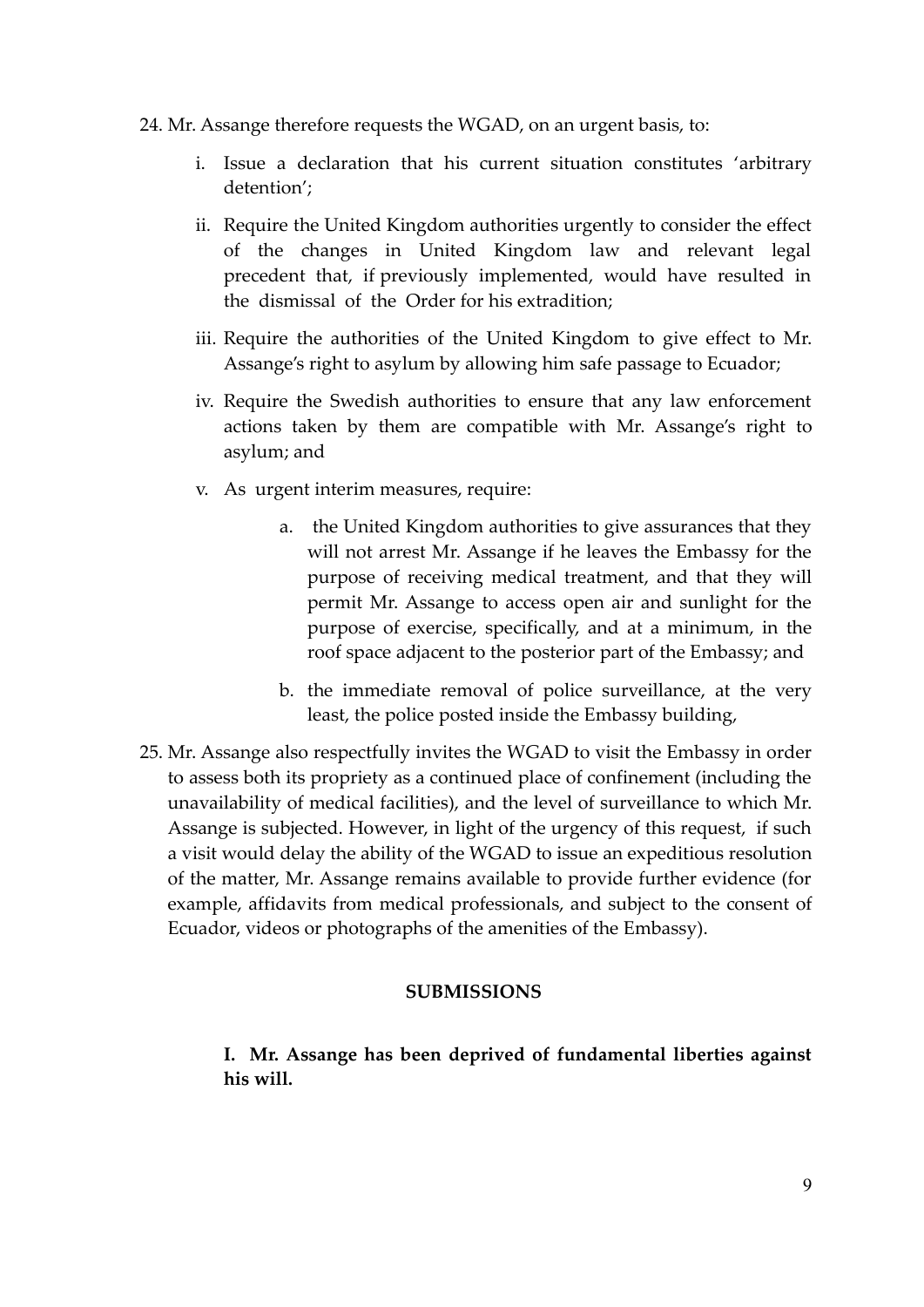- 24. Mr. Assange therefore requests the WGAD, on an urgent basis, to:
	- i. Issue a declaration that his current situation constitutes 'arbitrary detention';
	- ii. Require the United Kingdom authorities urgently to consider the effect of the changes in United Kingdom law and relevant legal precedent that, if previously implemented, would have resulted in the dismissal of the Order for his extradition;
	- iii. Require the authorities of the United Kingdom to give effect to Mr. Assange's right to asylum by allowing him safe passage to Ecuador;
	- iv. Require the Swedish authorities to ensure that any law enforcement actions taken by them are compatible with Mr. Assange's right to asylum; and
	- v. As urgent interim measures, require:
		- a. the United Kingdom authorities to give assurances that they will not arrest Mr. Assange if he leaves the Embassy for the purpose of receiving medical treatment, and that they will permit Mr. Assange to access open air and sunlight for the purpose of exercise, specifically, and at a minimum, in the roof space adjacent to the posterior part of the Embassy; and
		- b. the immediate removal of police surveillance, at the very least, the police posted inside the Embassy building,
- 25. Mr. Assange also respectfully invites the WGAD to visit the Embassy in order to assess both its propriety as a continued place of confinement (including the unavailability of medical facilities), and the level of surveillance to which Mr. Assange is subjected. However, in light of the urgency of this request, if such a visit would delay the ability of the WGAD to issue an expeditious resolution of the matter, Mr. Assange remains available to provide further evidence (for example, affidavits from medical professionals, and subject to the consent of Ecuador, videos or photographs of the amenities of the Embassy).

#### **SUBMISSIONS**

**I. Mr. Assange has been deprived of fundamental liberties against his will.**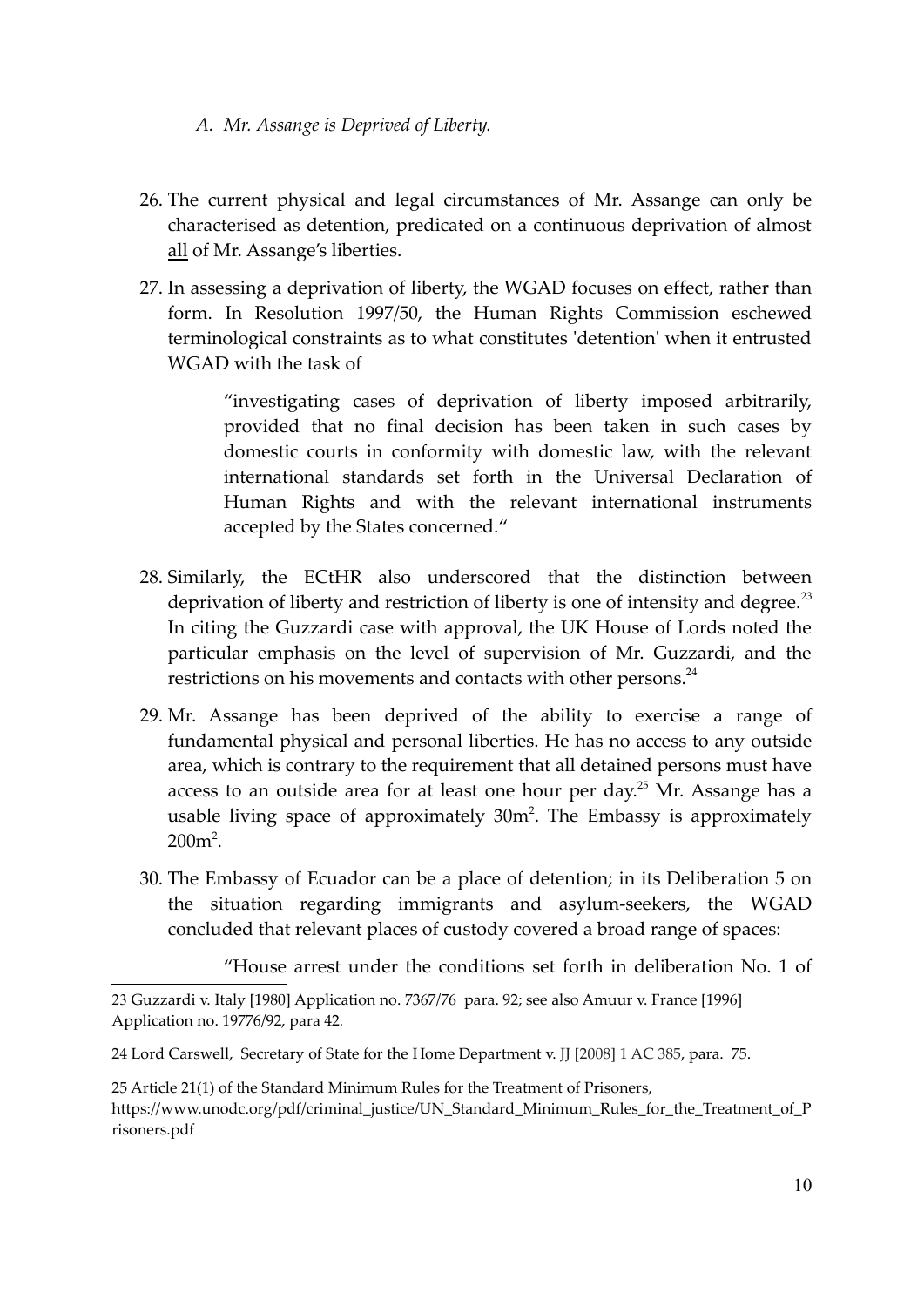- *A. Mr. Assange is Deprived of Liberty.*
- 26. The current physical and legal circumstances of Mr. Assange can only be characterised as detention, predicated on a continuous deprivation of almost all of Mr. Assange's liberties.
- 27. In assessing a deprivation of liberty, the WGAD focuses on effect, rather than form. In Resolution 1997/50, the Human Rights Commission eschewed terminological constraints as to what constitutes 'detention' when it entrusted WGAD with the task of

"investigating cases of deprivation of liberty imposed arbitrarily, provided that no final decision has been taken in such cases by domestic courts in conformity with domestic law, with the relevant international standards set forth in the Universal Declaration of Human Rights and with the relevant international instruments accepted by the States concerned."

- 28. Similarly, the ECtHR also underscored that the distinction between deprivation of liberty and restriction of liberty is one of intensity and degree.<sup>23</sup> In citing the Guzzardi case with approval, the UK House of Lords noted the particular emphasis on the level of supervision of Mr. Guzzardi, and the restrictions on his movements and contacts with other persons. $^{24}$
- 29. Mr. Assange has been deprived of the ability to exercise a range of fundamental physical and personal liberties. He has no access to any outside area, which is contrary to the requirement that all detained persons must have access to an outside area for at least one hour per day.<sup>25</sup> Mr. Assange has a usable living space of approximately  $30m^2$ . The Embassy is approximately  $200m^2$ .
- 30. The Embassy of Ecuador can be a place of detention; in its Deliberation 5 on the situation regarding immigrants and asylum-seekers, the WGAD concluded that relevant places of custody covered a broad range of spaces:

"House arrest under the conditions set forth in deliberation No. 1 of

<sup>23</sup> Guzzardi v. Italy [1980] Application no. 7367/76 para. 92; see also Amuur v. France [1996] Application no. 19776/92, para 42*.* 

<sup>24</sup> Lord Carswell, Secretary of State for the Home Department v. JJ [2008] 1 AC 385, para. 75.

<sup>25</sup> Article 21(1) of the Standard Minimum Rules for the Treatment of Prisoners, https://www.unodc.org/pdf/criminal\_justice/UN\_Standard\_Minimum\_Rules\_for\_the\_Treatment\_of\_P risoners.pdf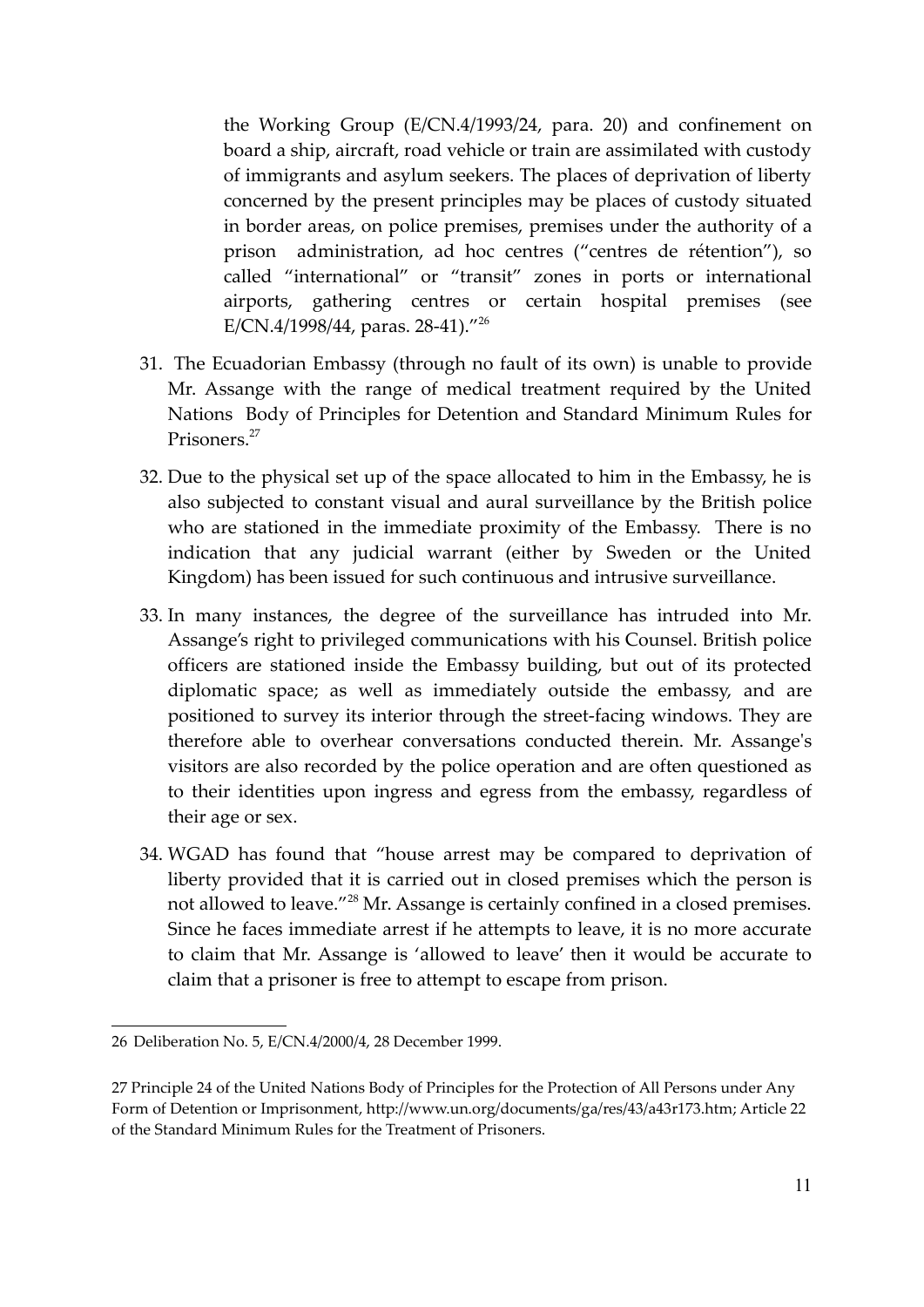the Working Group (E/CN.4/1993/24, para. 20) and confinement on board a ship, aircraft, road vehicle or train are assimilated with custody of immigrants and asylum seekers. The places of deprivation of liberty concerned by the present principles may be places of custody situated in border areas, on police premises, premises under the authority of a prison administration, ad hoc centres ("centres de rétention"), so called "international" or "transit" zones in ports or international airports, gathering centres or certain hospital premises (see E/CN.4/1998/44, paras. 28-41)."<sup>26</sup>

- 31. The Ecuadorian Embassy (through no fault of its own) is unable to provide Mr. Assange with the range of medical treatment required by the United Nations Body of Principles for Detention and Standard Minimum Rules for Prisoners.<sup>27</sup>
- 32. Due to the physical set up of the space allocated to him in the Embassy, he is also subjected to constant visual and aural surveillance by the British police who are stationed in the immediate proximity of the Embassy. There is no indication that any judicial warrant (either by Sweden or the United Kingdom) has been issued for such continuous and intrusive surveillance.
- 33. In many instances, the degree of the surveillance has intruded into Mr. Assange's right to privileged communications with his Counsel. British police officers are stationed inside the Embassy building, but out of its protected diplomatic space; as well as immediately outside the embassy, and are positioned to survey its interior through the street-facing windows. They are therefore able to overhear conversations conducted therein. Mr. Assange's visitors are also recorded by the police operation and are often questioned as to their identities upon ingress and egress from the embassy, regardless of their age or sex.
- 34. WGAD has found that "house arrest may be compared to deprivation of liberty provided that it is carried out in closed premises which the person is not allowed to leave."<sup>28</sup> Mr. Assange is certainly confined in a closed premises. Since he faces immediate arrest if he attempts to leave, it is no more accurate to claim that Mr. Assange is 'allowed to leave' then it would be accurate to claim that a prisoner is free to attempt to escape from prison.

<sup>26</sup> Deliberation No. 5, E/CN.4/2000/4, 28 December 1999.

<sup>27</sup> Principle 24 of the United Nations Body of Principles for the Protection of All Persons under Any Form of Detention or Imprisonment, http://www.un.org/documents/ga/res/43/a43r173.htm; Article 22 of the Standard Minimum Rules for the Treatment of Prisoners.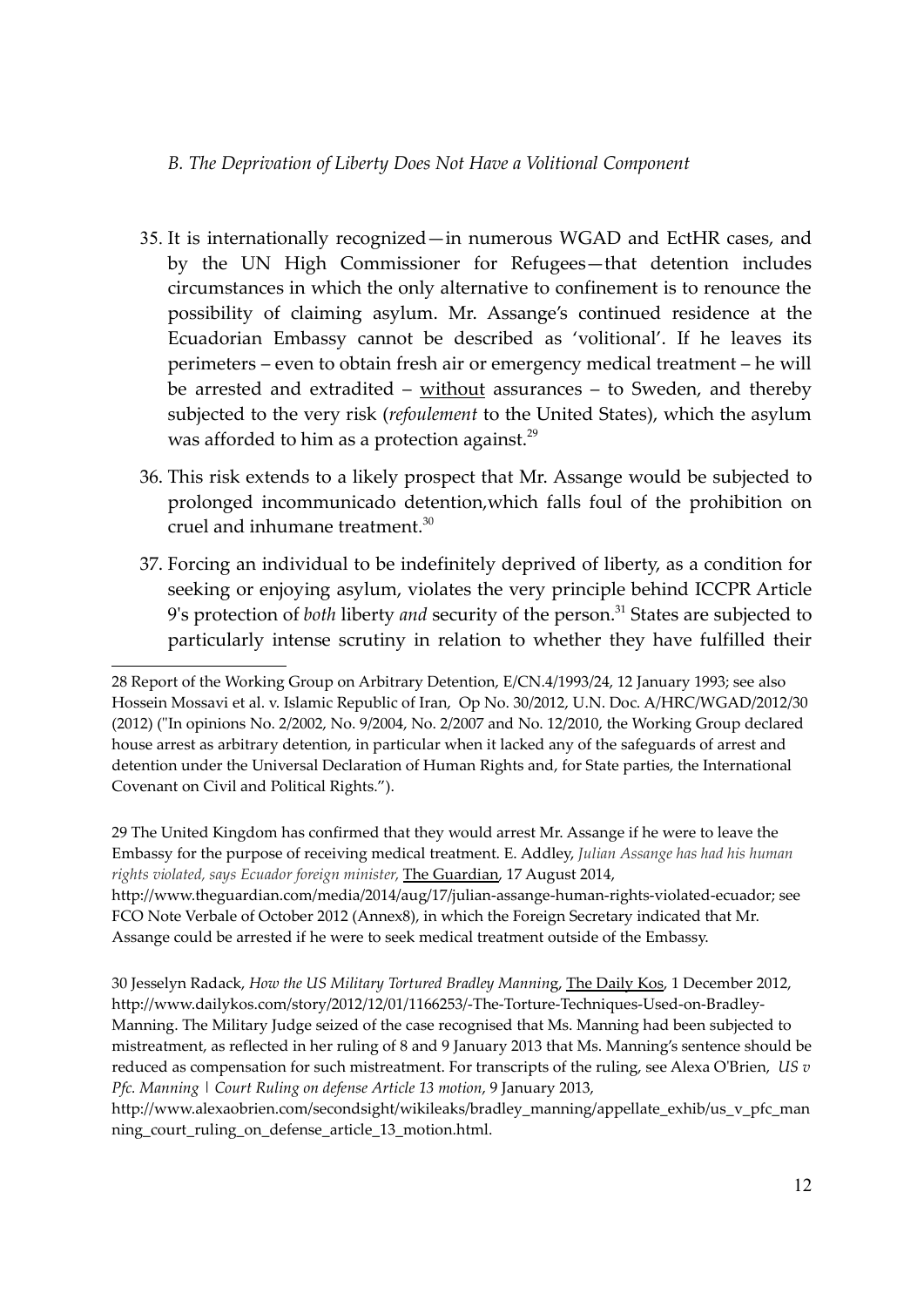### *B. The Deprivation of Liberty Does Not Have a Volitional Component*

- 35. It is internationally recognized—in numerous WGAD and EctHR cases, and by the UN High Commissioner for Refugees—that detention includes circumstances in which the only alternative to confinement is to renounce the possibility of claiming asylum. Mr. Assange's continued residence at the Ecuadorian Embassy cannot be described as 'volitional'. If he leaves its perimeters – even to obtain fresh air or emergency medical treatment – he will be arrested and extradited – without assurances – to Sweden, and thereby subjected to the very risk (*refoulement* to the United States), which the asylum was afforded to him as a protection against.<sup>29</sup>
- 36. This risk extends to a likely prospect that Mr. Assange would be subjected to prolonged incommunicado detention,which falls foul of the prohibition on cruel and inhumane treatment.<sup>30</sup>
- 37. Forcing an individual to be indefinitely deprived of liberty, as a condition for seeking or enjoying asylum, violates the very principle behind ICCPR Article 9's protection of *both* liberty *and* security of the person.<sup>31</sup> States are subjected to particularly intense scrutiny in relation to whether they have fulfilled their

29 The United Kingdom has confirmed that they would arrest Mr. Assange if he were to leave the Embassy for the purpose of receiving medical treatment. E. Addley, *Julian Assange has had his human rights violated, says Ecuador foreign minister*, The Guardian, 17 August 2014,

http://www.theguardian.com/media/2014/aug/17/julian-assange-human-rights-violated-ecuador; see FCO Note Verbale of October 2012 (Annex8), in which the Foreign Secretary indicated that Mr. Assange could be arrested if he were to seek medical treatment outside of the Embassy.

30 Jesselyn Radack, *How the US Military Tortured Bradley Mannin*g, The Daily Kos, 1 December 2012, http://www.dailykos.com/story/2012/12/01/1166253/-The-Torture-Techniques-Used-on-Bradley-Manning. The Military Judge seized of the case recognised that Ms. Manning had been subjected to mistreatment, as reflected in her ruling of 8 and 9 January 2013 that Ms. Manning's sentence should be reduced as compensation for such mistreatment. For transcripts of the ruling, see Alexa O'Brien, *US v Pfc. Manning | Court Ruling on defense Article 13 motion*, 9 January 2013,

http://www.alexaobrien.com/secondsight/wikileaks/bradley\_manning/appellate\_exhib/us\_v\_pfc\_man ning\_court\_ruling\_on\_defense\_article\_13\_motion.html.

<sup>28</sup> Report of the Working Group on Arbitrary Detention, E/CN.4/1993/24, 12 January 1993; see also Hossein Mossavi et al. v. Islamic Republic of Iran, Op No. 30/2012, U.N. Doc. A/HRC/WGAD/2012/30 (2012) ("In opinions No. 2/2002, No. 9/2004, No. 2/2007 and No. 12/2010, the Working Group declared house arrest as arbitrary detention, in particular when it lacked any of the safeguards of arrest and detention under the Universal Declaration of Human Rights and, for State parties, the International Covenant on Civil and Political Rights.").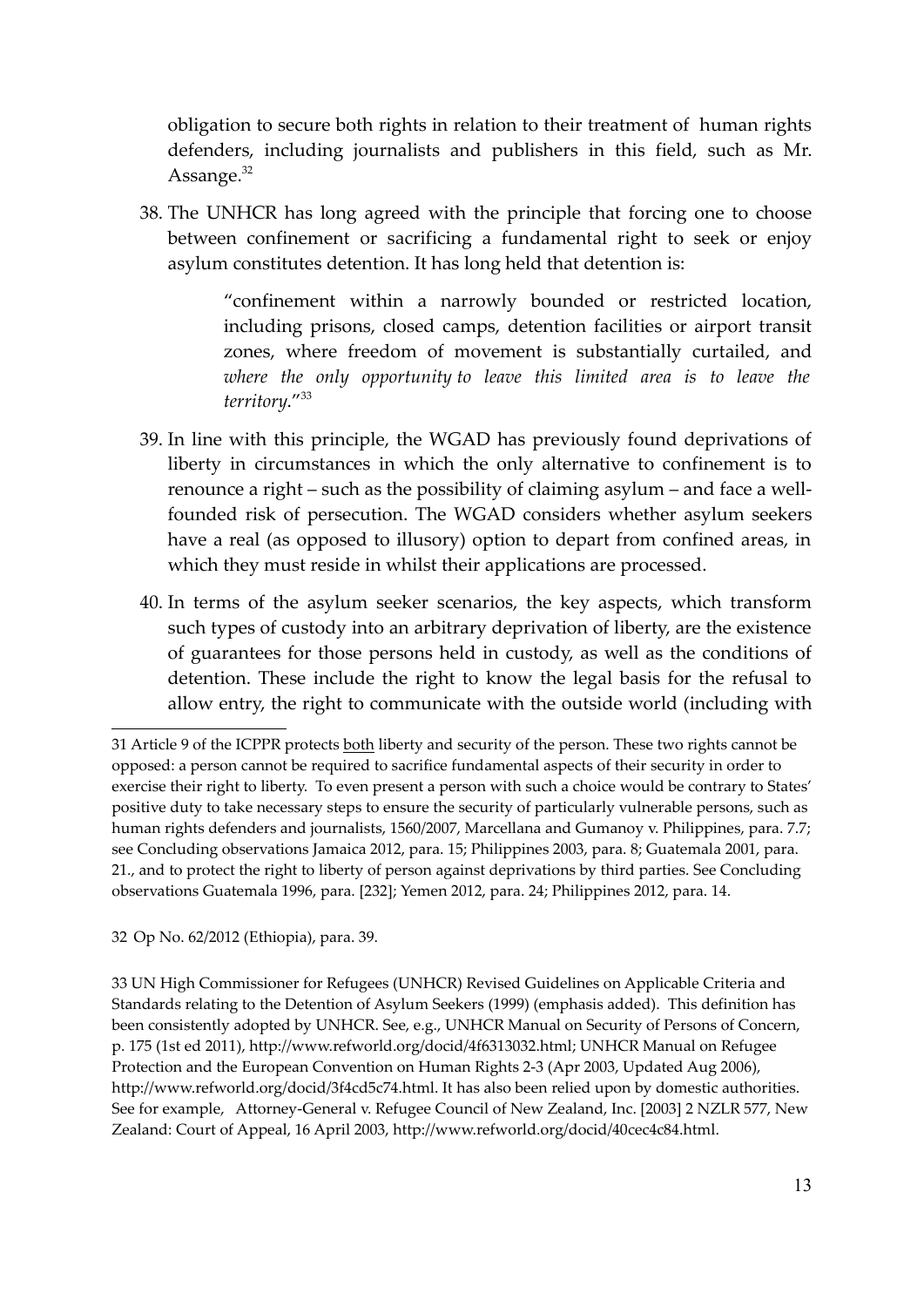obligation to secure both rights in relation to their treatment of human rights defenders, including journalists and publishers in this field, such as Mr. Assange. $32$ 

38. The UNHCR has long agreed with the principle that forcing one to choose between confinement or sacrificing a fundamental right to seek or enjoy asylum constitutes detention. It has long held that detention is:

> "confinement within a narrowly bounded or restricted location, including prisons, closed camps, detention facilities or airport transit zones, where freedom of movement is substantially curtailed, and *where the only opportunity to leave this limited area is to leave the territory*."<sup>33</sup>

- 39. In line with this principle, the WGAD has previously found deprivations of liberty in circumstances in which the only alternative to confinement is to renounce a right – such as the possibility of claiming asylum – and face a wellfounded risk of persecution. The WGAD considers whether asylum seekers have a real (as opposed to illusory) option to depart from confined areas, in which they must reside in whilst their applications are processed.
- 40. In terms of the asylum seeker scenarios, the key aspects, which transform such types of custody into an arbitrary deprivation of liberty, are the existence of guarantees for those persons held in custody, as well as the conditions of detention. These include the right to know the legal basis for the refusal to allow entry, the right to communicate with the outside world (including with

32 Op No. 62/2012 (Ethiopia), para. 39.

33 UN High Commissioner for Refugees (UNHCR) Revised Guidelines on Applicable Criteria and Standards relating to the Detention of Asylum Seekers (1999) (emphasis added). This definition has been consistently adopted by UNHCR. See, e.g., UNHCR Manual on Security of Persons of Concern, p. 175 (1st ed 2011), http://www.refworld.org/docid/4f6313032.html; UNHCR Manual on Refugee Protection and the European Convention on Human Rights 2-3 (Apr 2003, Updated Aug 2006), http://www.refworld.org/docid/3f4cd5c74.html. It has also been relied upon by domestic authorities. See for example, Attorney-General v. Refugee Council of New Zealand, Inc. [2003] 2 NZLR 577, New Zealand: Court of Appeal, 16 April 2003, http://www.refworld.org/docid/40cec4c84.html.

<sup>31</sup> Article 9 of the ICPPR protects both liberty and security of the person. These two rights cannot be opposed: a person cannot be required to sacrifice fundamental aspects of their security in order to exercise their right to liberty. To even present a person with such a choice would be contrary to States' positive duty to take necessary steps to ensure the security of particularly vulnerable persons, such as human rights defenders and journalists, 1560/2007, Marcellana and Gumanoy v. Philippines, para. 7.7; see Concluding observations Jamaica 2012, para. 15; Philippines 2003, para. 8; Guatemala 2001, para. 21., and to protect the right to liberty of person against deprivations by third parties. See Concluding observations Guatemala 1996, para. [232]; Yemen 2012, para. 24; Philippines 2012, para. 14.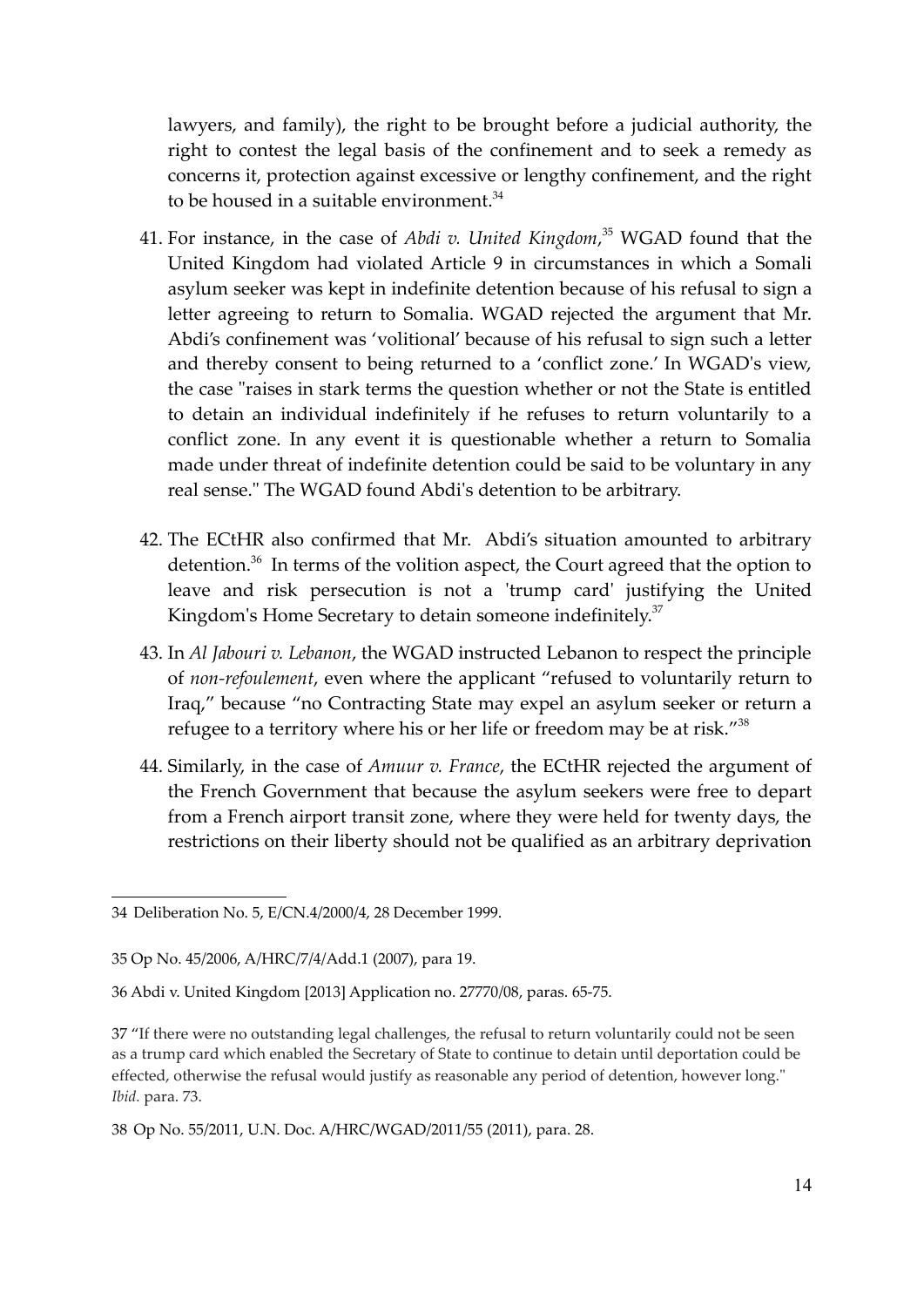lawyers, and family), the right to be brought before a judicial authority, the right to contest the legal basis of the confinement and to seek a remedy as concerns it, protection against excessive or lengthy confinement, and the right to be housed in a suitable environment.<sup>34</sup>

- 41. For instance, in the case of *Abdi v. United Kingdom*, <sup>35</sup> WGAD found that the United Kingdom had violated Article 9 in circumstances in which a Somali asylum seeker was kept in indefinite detention because of his refusal to sign a letter agreeing to return to Somalia. WGAD rejected the argument that Mr. Abdi's confinement was 'volitional' because of his refusal to sign such a letter and thereby consent to being returned to a 'conflict zone.' In WGAD's view, the case "raises in stark terms the question whether or not the State is entitled to detain an individual indefinitely if he refuses to return voluntarily to a conflict zone. In any event it is questionable whether a return to Somalia made under threat of indefinite detention could be said to be voluntary in any real sense." The WGAD found Abdi's detention to be arbitrary.
- 42. The ECtHR also confirmed that Mr. Abdi's situation amounted to arbitrary detention.<sup>36</sup> In terms of the volition aspect, the Court agreed that the option to leave and risk persecution is not a 'trump card' justifying the United Kingdom's Home Secretary to detain someone indefinitely.<sup>37</sup>
- 43. In *Al Jabouri v. Lebanon*, the WGAD instructed Lebanon to respect the principle of *non-refoulement*, even where the applicant "refused to voluntarily return to Iraq," because "no Contracting State may expel an asylum seeker or return a refugee to a territory where his or her life or freedom may be at risk."<sup>38</sup>
- 44. Similarly, in the case of *Amuur v. France*, the ECtHR rejected the argument of the French Government that because the asylum seekers were free to depart from a French airport transit zone, where they were held for twenty days, the restrictions on their liberty should not be qualified as an arbitrary deprivation

<sup>34</sup> Deliberation No. 5, E/CN.4/2000/4, 28 December 1999.

<sup>35</sup> Op No. 45/2006, A/HRC/7/4/Add.1 (2007), para 19.

<sup>36</sup> Abdi v. United Kingdom [2013] Application no. 27770/08, paras. 65-75.

<sup>37 &</sup>quot;If there were no outstanding legal challenges, the refusal to return voluntarily could not be seen as a trump card which enabled the Secretary of State to continue to detain until deportation could be effected, otherwise the refusal would justify as reasonable any period of detention, however long." *Ibid.* para. 73.

<sup>38</sup> Op No. 55/2011, U.N. Doc. A/HRC/WGAD/2011/55 (2011), para. 28.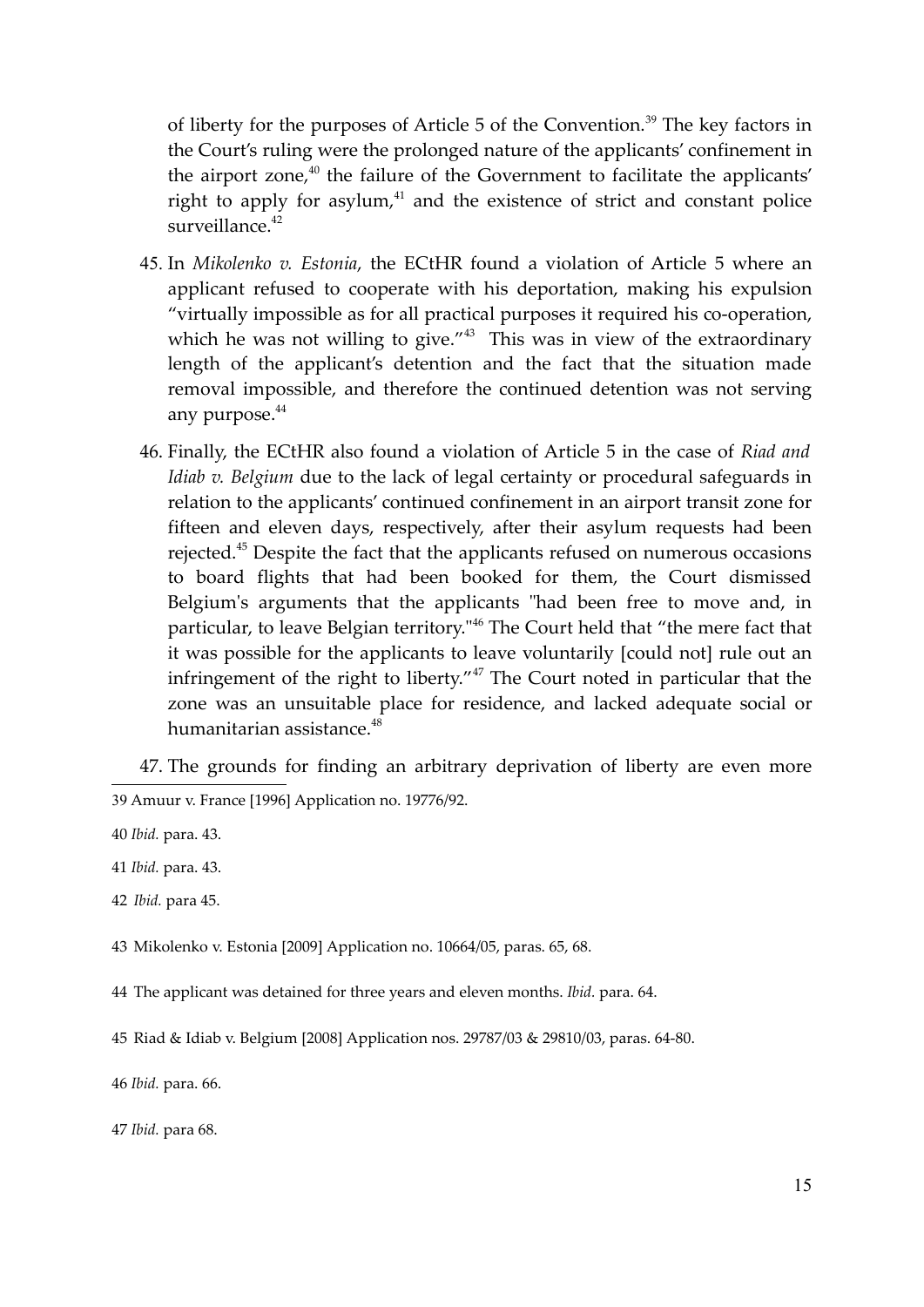of liberty for the purposes of Article 5 of the Convention.<sup>39</sup> The key factors in the Court's ruling were the prolonged nature of the applicants' confinement in the airport zone, $40$  the failure of the Government to facilitate the applicants' right to apply for asylum, $41$  and the existence of strict and constant police surveillance.<sup>42</sup>

- 45. In *Mikolenko v. Estonia*, the ECtHR found a violation of Article 5 where an applicant refused to cooperate with his deportation, making his expulsion "virtually impossible as for all practical purposes it required his co-operation, which he was not willing to give."<sup>43</sup> This was in view of the extraordinary length of the applicant's detention and the fact that the situation made removal impossible, and therefore the continued detention was not serving any purpose.<sup>44</sup>
- 46. Finally, the ECtHR also found a violation of Article 5 in the case of *Riad and Idiab v. Belgium* due to the lack of legal certainty or procedural safeguards in relation to the applicants' continued confinement in an airport transit zone for fifteen and eleven days, respectively, after their asylum requests had been rejected.<sup>45</sup> Despite the fact that the applicants refused on numerous occasions to board flights that had been booked for them, the Court dismissed Belgium's arguments that the applicants "had been free to move and, in particular, to leave Belgian territory."<sup>46</sup> The Court held that "the mere fact that it was possible for the applicants to leave voluntarily [could not] rule out an infringement of the right to liberty."<sup>47</sup> The Court noted in particular that the zone was an unsuitable place for residence, and lacked adequate social or humanitarian assistance.<sup>48</sup>

47. The grounds for finding an arbitrary deprivation of liberty are even more 39 Amuur v. France [1996] Application no. 19776/92.

43 Mikolenko v. Estonia [2009] Application no. 10664/05, paras. 65, 68.

44 The applicant was detained for three years and eleven months. *Ibid.* para. 64.

46 *Ibid.* para. 66.

47 *Ibid.* para 68.

<sup>40</sup> *Ibid.* para. 43.

<sup>41</sup> *Ibid.* para. 43.

<sup>42</sup> *Ibid.* para 45.

<sup>45</sup> Riad & Idiab v. Belgium [2008] Application nos. 29787/03 & 29810/03, paras. 64-80.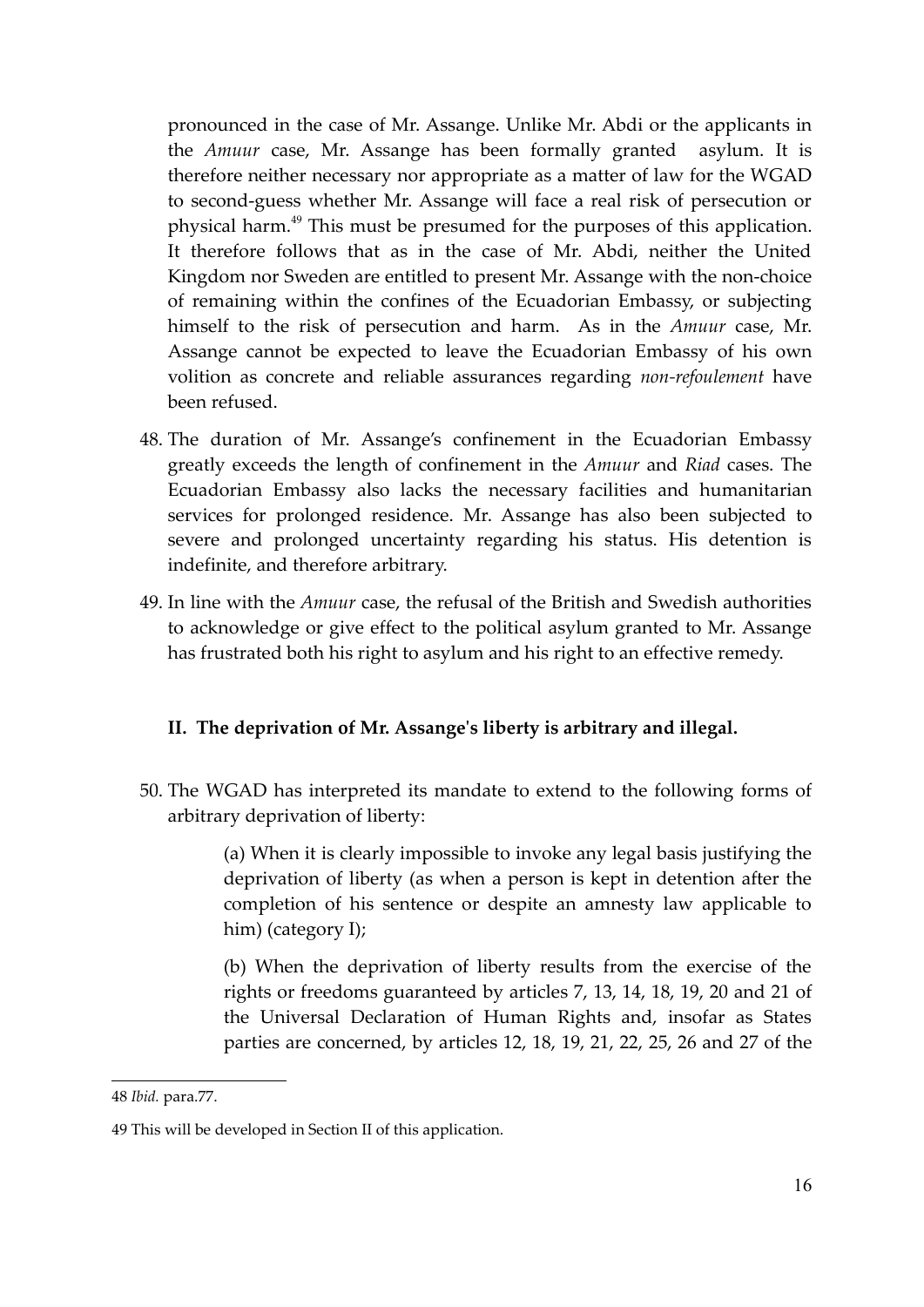pronounced in the case of Mr. Assange. Unlike Mr. Abdi or the applicants in the *Amuur* case, Mr. Assange has been formally granted asylum. It is therefore neither necessary nor appropriate as a matter of law for the WGAD to second-guess whether Mr. Assange will face a real risk of persecution or physical harm.<sup>49</sup> This must be presumed for the purposes of this application. It therefore follows that as in the case of Mr. Abdi, neither the United Kingdom nor Sweden are entitled to present Mr. Assange with the non-choice of remaining within the confines of the Ecuadorian Embassy, or subjecting himself to the risk of persecution and harm. As in the *Amuur* case, Mr. Assange cannot be expected to leave the Ecuadorian Embassy of his own volition as concrete and reliable assurances regarding *non-refoulement* have been refused.

- 48. The duration of Mr. Assange's confinement in the Ecuadorian Embassy greatly exceeds the length of confinement in the *Amuur* and *Riad* cases. The Ecuadorian Embassy also lacks the necessary facilities and humanitarian services for prolonged residence. Mr. Assange has also been subjected to severe and prolonged uncertainty regarding his status. His detention is indefinite, and therefore arbitrary.
- 49. In line with the *Amuur* case, the refusal of the British and Swedish authorities to acknowledge or give effect to the political asylum granted to Mr. Assange has frustrated both his right to asylum and his right to an effective remedy.

# **II. The deprivation of Mr. Assange's liberty is arbitrary and illegal.**

50. The WGAD has interpreted its mandate to extend to the following forms of arbitrary deprivation of liberty:

> (a) When it is clearly impossible to invoke any legal basis justifying the deprivation of liberty (as when a person is kept in detention after the completion of his sentence or despite an amnesty law applicable to him) (category I);

> (b) When the deprivation of liberty results from the exercise of the rights or freedoms guaranteed by articles 7, 13, 14, 18, 19, 20 and 21 of the Universal Declaration of Human Rights and, insofar as States parties are concerned, by articles 12, 18, 19, 21, 22, 25, 26 and 27 of the

<sup>48</sup> *Ibid.* para.77.

<sup>49</sup> This will be developed in Section II of this application.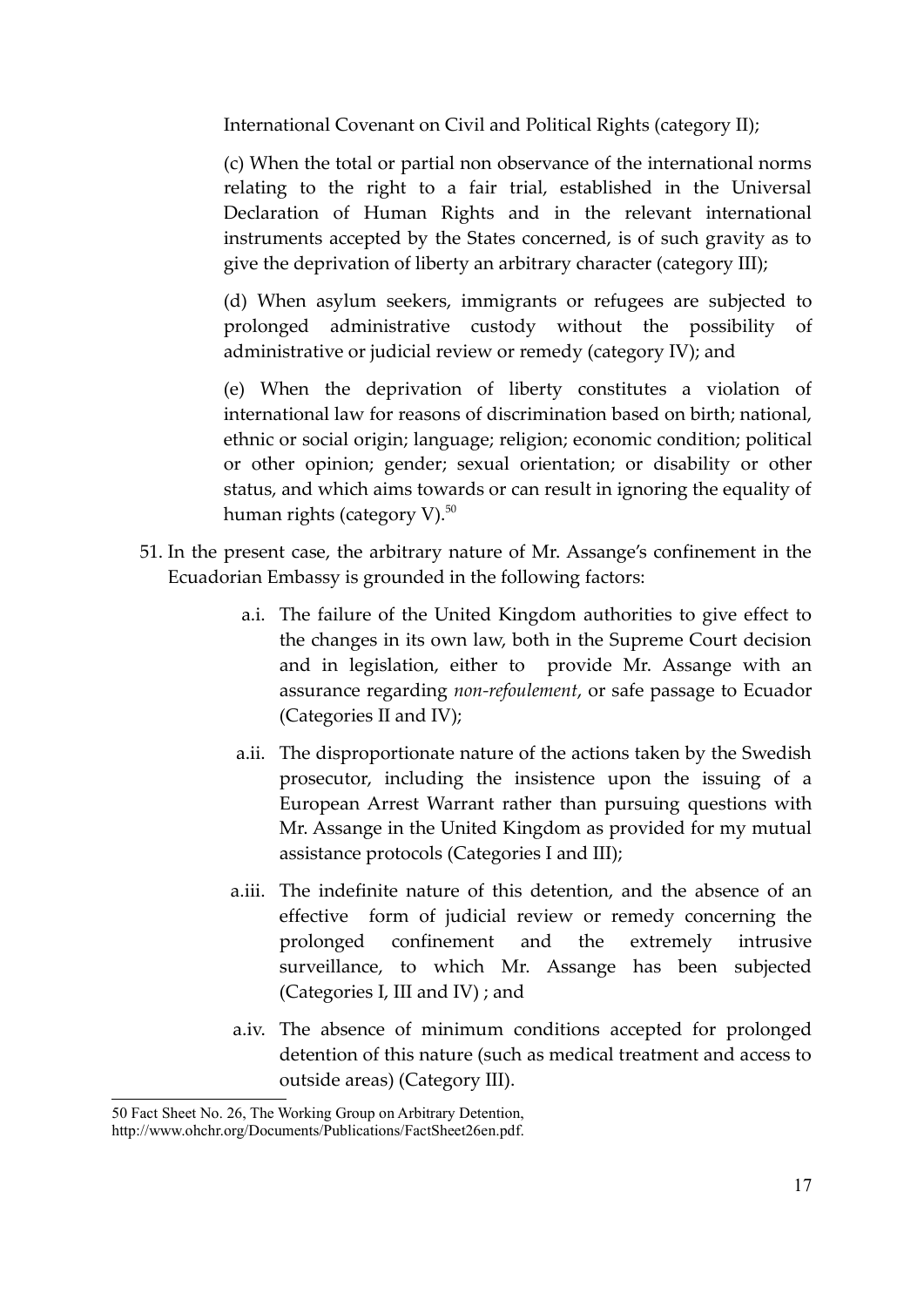International Covenant on Civil and Political Rights (category II);

(c) When the total or partial non observance of the international norms relating to the right to a fair trial, established in the Universal Declaration of Human Rights and in the relevant international instruments accepted by the States concerned, is of such gravity as to give the deprivation of liberty an arbitrary character (category III);

(d) When asylum seekers, immigrants or refugees are subjected to prolonged administrative custody without the possibility of administrative or judicial review or remedy (category IV); and

(e) When the deprivation of liberty constitutes a violation of international law for reasons of discrimination based on birth; national, ethnic or social origin; language; religion; economic condition; political or other opinion; gender; sexual orientation; or disability or other status, and which aims towards or can result in ignoring the equality of human rights (category V).<sup>50</sup>

- 51. In the present case, the arbitrary nature of Mr. Assange's confinement in the Ecuadorian Embassy is grounded in the following factors:
	- a.i. The failure of the United Kingdom authorities to give effect to the changes in its own law, both in the Supreme Court decision and in legislation, either to provide Mr. Assange with an assurance regarding *non-refoulement*, or safe passage to Ecuador (Categories II and IV);
	- a.ii. The disproportionate nature of the actions taken by the Swedish prosecutor, including the insistence upon the issuing of a European Arrest Warrant rather than pursuing questions with Mr. Assange in the United Kingdom as provided for my mutual assistance protocols (Categories I and III);
	- a.iii. The indefinite nature of this detention, and the absence of an effective form of judicial review or remedy concerning the prolonged confinement and the extremely intrusive surveillance, to which Mr. Assange has been subjected (Categories I, III and IV) ; and
	- a.iv. The absence of minimum conditions accepted for prolonged detention of this nature (such as medical treatment and access to outside areas) (Category III).

<sup>50</sup> Fact Sheet No. 26, The Working Group on Arbitrary Detention,

http://www.ohchr.org/Documents/Publications/FactSheet26en.pdf.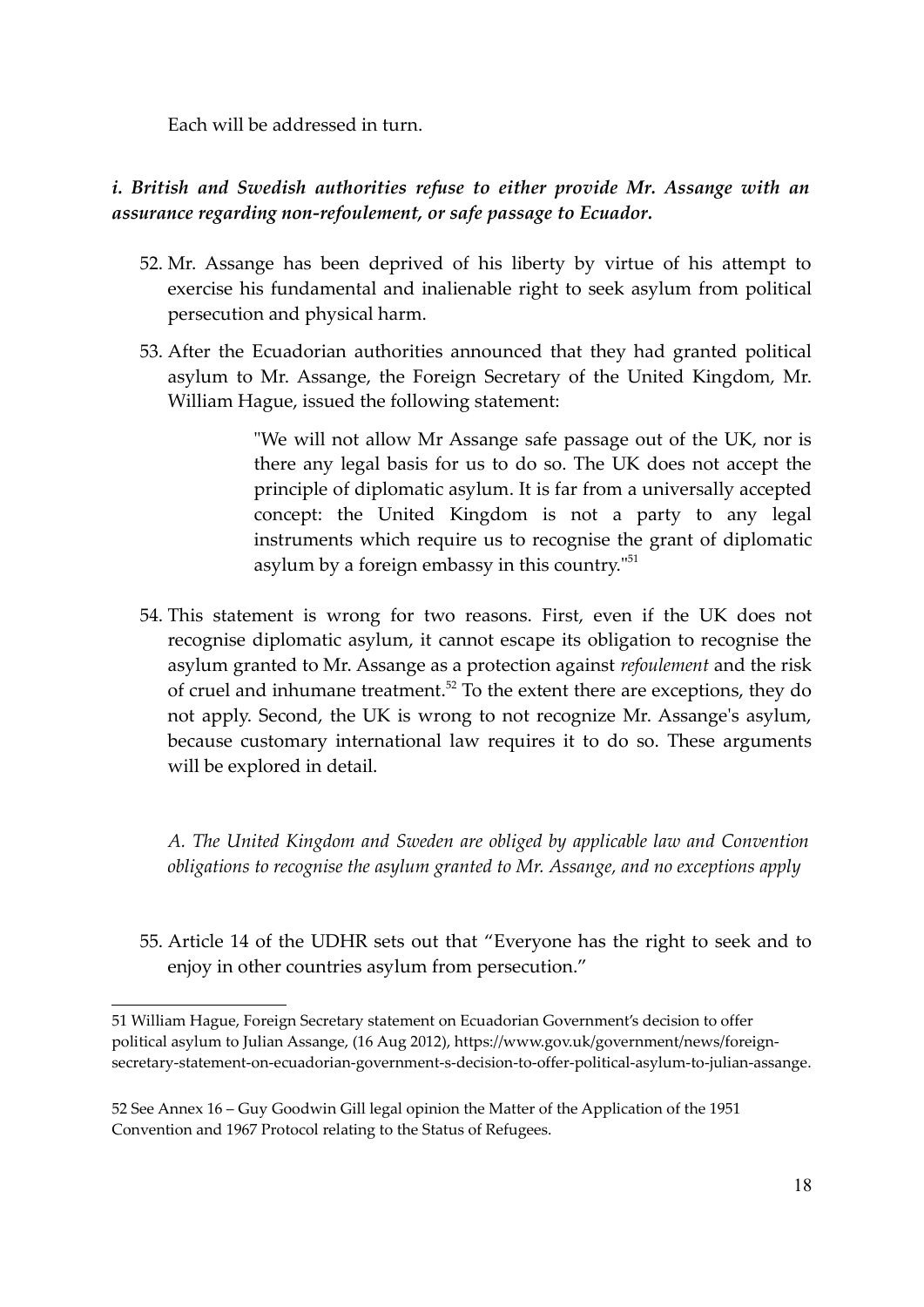Each will be addressed in turn.

# *i. British and Swedish authorities refuse to either provide Mr. Assange with an assurance regarding non-refoulement, or safe passage to Ecuador.*

- 52. Mr. Assange has been deprived of his liberty by virtue of his attempt to exercise his fundamental and inalienable right to seek asylum from political persecution and physical harm.
- 53. After the Ecuadorian authorities announced that they had granted political asylum to Mr. Assange, the Foreign Secretary of the United Kingdom, Mr. William Hague, issued the following statement:

"We will not allow Mr Assange safe passage out of the UK, nor is there any legal basis for us to do so. The UK does not accept the principle of diplomatic asylum. It is far from a universally accepted concept: the United Kingdom is not a party to any legal instruments which require us to recognise the grant of diplomatic asylum by a foreign embassy in this country."<sup>51</sup>

54. This statement is wrong for two reasons. First, even if the UK does not recognise diplomatic asylum, it cannot escape its obligation to recognise the asylum granted to Mr. Assange as a protection against *refoulement* and the risk of cruel and inhumane treatment.<sup>52</sup> To the extent there are exceptions, they do not apply. Second, the UK is wrong to not recognize Mr. Assange's asylum, because customary international law requires it to do so. These arguments will be explored in detail.

*A. The United Kingdom and Sweden are obliged by applicable law and Convention obligations to recognise the asylum granted to Mr. Assange, and no exceptions apply*

55. Article 14 of the UDHR sets out that "Everyone has the right to seek and to enjoy in other countries asylum from persecution."

<sup>51</sup> William Hague, Foreign Secretary statement on Ecuadorian Government's decision to offer political asylum to Julian Assange, (16 Aug 2012), https://www.gov.uk/government/news/foreignsecretary-statement-on-ecuadorian-government-s-decision-to-offer-political-asylum-to-julian-assange.

<sup>52</sup> See Annex 16 – Guy Goodwin Gill legal opinion the Matter of the Application of the 1951 Convention and 1967 Protocol relating to the Status of Refugees.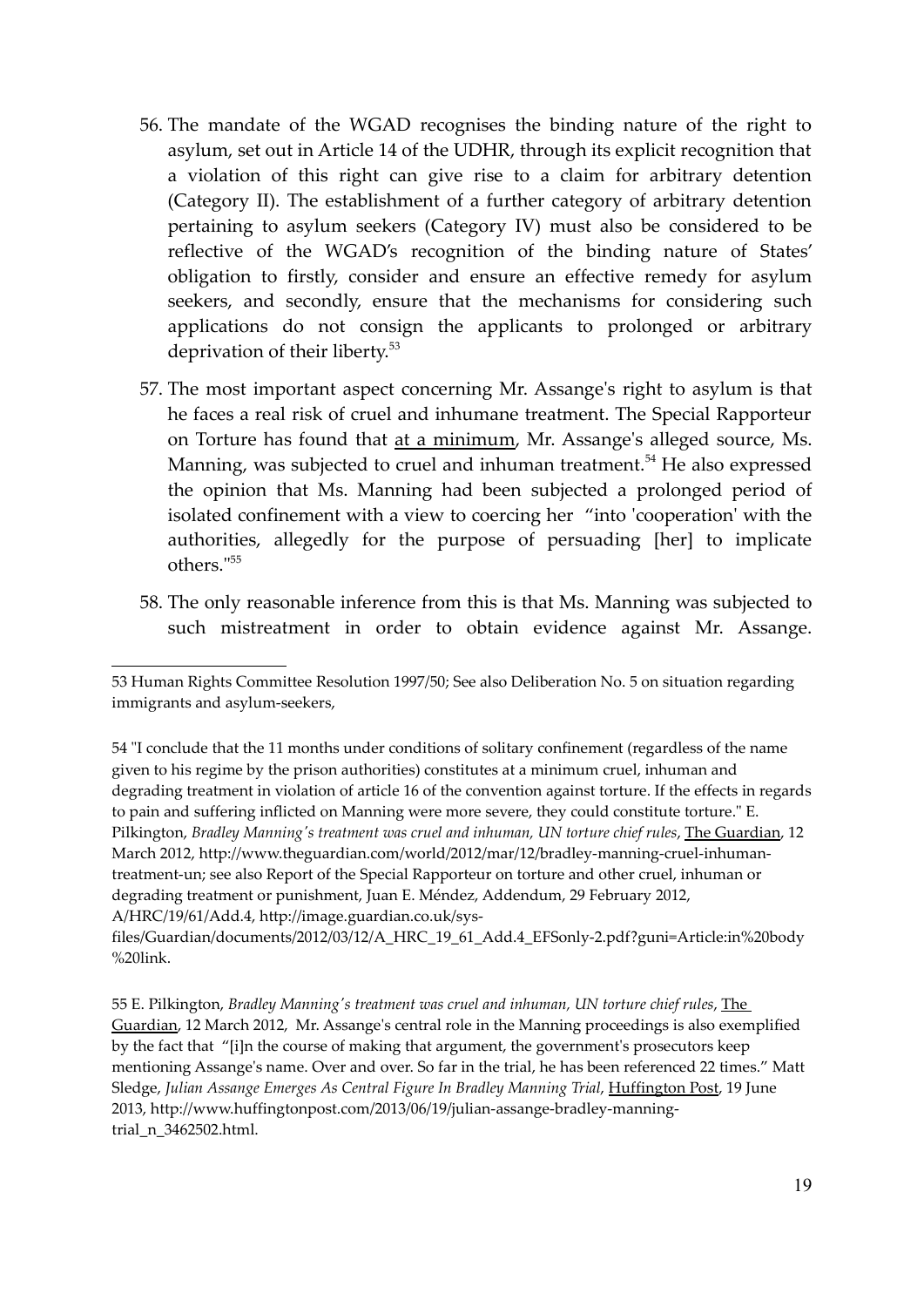- 56. The mandate of the WGAD recognises the binding nature of the right to asylum, set out in Article 14 of the UDHR, through its explicit recognition that a violation of this right can give rise to a claim for arbitrary detention (Category II). The establishment of a further category of arbitrary detention pertaining to asylum seekers (Category IV) must also be considered to be reflective of the WGAD's recognition of the binding nature of States' obligation to firstly, consider and ensure an effective remedy for asylum seekers, and secondly, ensure that the mechanisms for considering such applications do not consign the applicants to prolonged or arbitrary deprivation of their liberty.<sup>53</sup>
- 57. The most important aspect concerning Mr. Assange's right to asylum is that he faces a real risk of cruel and inhumane treatment. The Special Rapporteur on Torture has found that at a minimum, Mr. Assange's alleged source, Ms. Manning, was subjected to cruel and inhuman treatment.<sup>54</sup> He also expressed the opinion that Ms. Manning had been subjected a prolonged period of isolated confinement with a view to coercing her "into 'cooperation' with the authorities, allegedly for the purpose of persuading [her] to implicate others."<sup>55</sup>
- 58. The only reasonable inference from this is that Ms. Manning was subjected to such mistreatment in order to obtain evidence against Mr. Assange.

<sup>53</sup> Human Rights Committee Resolution 1997/50; See also Deliberation No. 5 on situation regarding immigrants and asylum-seekers,

<sup>54 &</sup>quot;I conclude that the 11 months under conditions of solitary confinement (regardless of the name given to his regime by the prison authorities) constitutes at a minimum cruel, inhuman and degrading treatment in violation of article 16 of the convention against torture. If the effects in regards to pain and suffering inflicted on Manning were more severe, they could constitute torture." E. Pilkington, *Bradley Manning's treatment was cruel and inhuman, UN torture chief rules*, The Guardian, 12 March 2012, http://www.theguardian.com/world/2012/mar/12/bradley-manning-cruel-inhumantreatment-un; see also Report of the Special Rapporteur on torture and other cruel, inhuman or degrading treatment or punishment, Juan E. Méndez, Addendum, 29 February 2012, A/HRC/19/61/Add.4, http://image.guardian.co.uk/sys-

files/Guardian/documents/2012/03/12/A\_HRC\_19\_61\_Add.4\_EFSonly-2.pdf?guni=Article:in%20body %20link.

<sup>55</sup> E. Pilkington, *Bradley Manning's treatment was cruel and inhuman, UN torture chief rules*, The Guardian, 12 March 2012, Mr. Assange's central role in the Manning proceedings is also exemplified by the fact that "[i]n the course of making that argument, the government's prosecutors keep mentioning Assange's name. Over and over. So far in the trial, he has been referenced 22 times." Matt Sledge, *Julian Assange Emerges As Central Figure In Bradley Manning Trial*, Huffington Post, 19 June 2013, http://www.huffingtonpost.com/2013/06/19/julian-assange-bradley-manningtrial\_n\_3462502.html.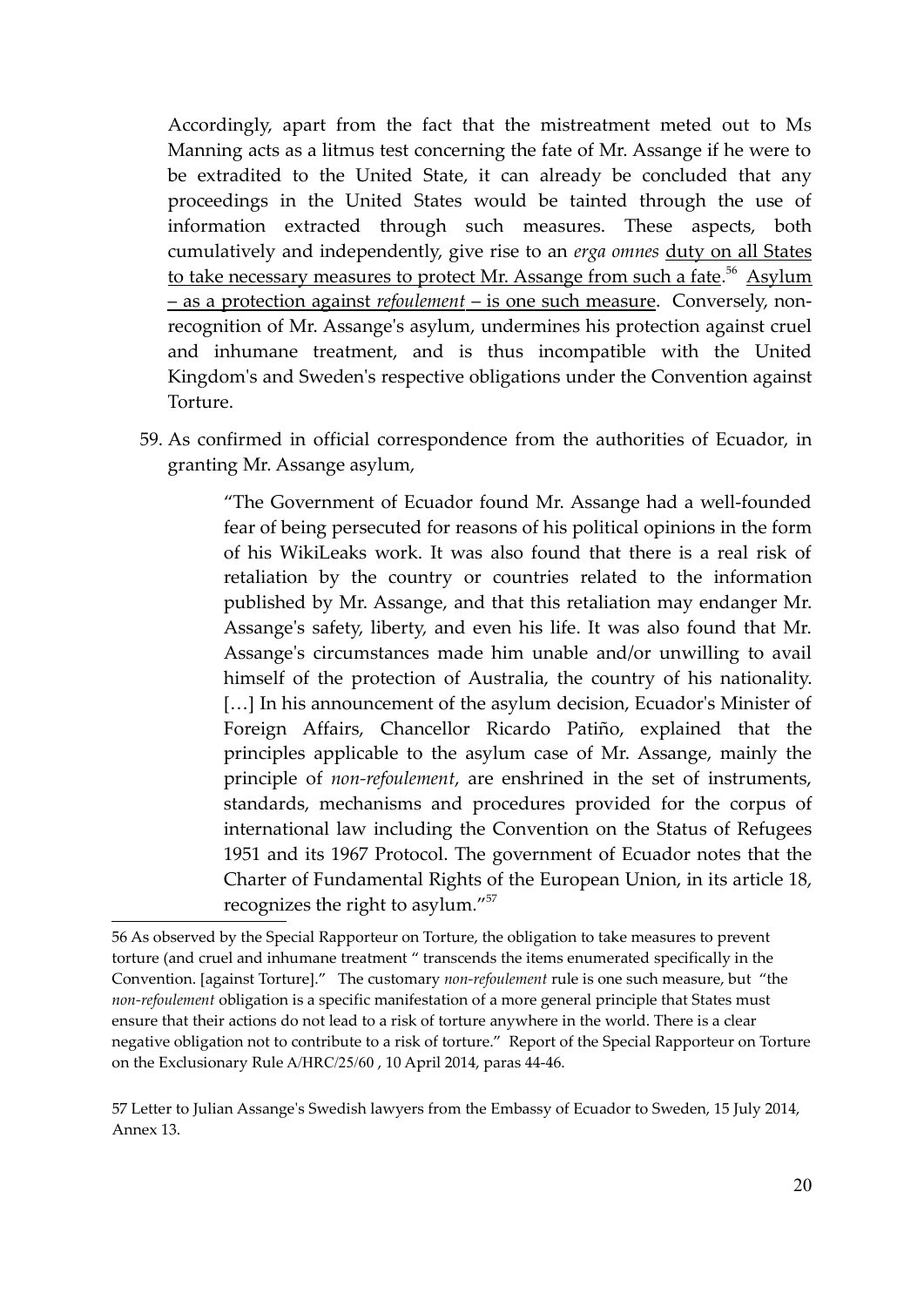Accordingly, apart from the fact that the mistreatment meted out to Ms Manning acts as a litmus test concerning the fate of Mr. Assange if he were to be extradited to the United State, it can already be concluded that any proceedings in the United States would be tainted through the use of information extracted through such measures. These aspects, both cumulatively and independently, give rise to an *erga omnes* duty on all States to take necessary measures to protect Mr. Assange from such a fate.<sup>56</sup> Asylum – as a protection against *refoulement* – is one such measure. Conversely, nonrecognition of Mr. Assange's asylum, undermines his protection against cruel and inhumane treatment, and is thus incompatible with the United Kingdom's and Sweden's respective obligations under the Convention against Torture.

59. As confirmed in official correspondence from the authorities of Ecuador, in granting Mr. Assange asylum,

> "The Government of Ecuador found Mr. Assange had a well-founded fear of being persecuted for reasons of his political opinions in the form of his WikiLeaks work. It was also found that there is a real risk of retaliation by the country or countries related to the information published by Mr. Assange, and that this retaliation may endanger Mr. Assange's safety, liberty, and even his life. It was also found that Mr. Assange's circumstances made him unable and/or unwilling to avail himself of the protection of Australia, the country of his nationality. [...] In his announcement of the asylum decision, Ecuador's Minister of Foreign Affairs, Chancellor Ricardo Patiño, explained that the principles applicable to the asylum case of Mr. Assange, mainly the principle of *non-refoulement*, are enshrined in the set of instruments, standards, mechanisms and procedures provided for the corpus of international law including the Convention on the Status of Refugees 1951 and its 1967 Protocol. The government of Ecuador notes that the Charter of Fundamental Rights of the European Union, in its article 18, recognizes the right to asylum."<sup>57</sup>

<sup>56</sup> As observed by the Special Rapporteur on Torture, the obligation to take measures to prevent torture (and cruel and inhumane treatment " transcends the items enumerated specifically in the Convention. [against Torture]." The customary *non-refoulement* rule is one such measure, but "the *non-refoulement* obligation is a specific manifestation of a more general principle that States must ensure that their actions do not lead to a risk of torture anywhere in the world. There is a clear negative obligation not to contribute to a risk of torture." Report of the Special Rapporteur on Torture on the Exclusionary Rule A/HRC/25/60 , 10 April 2014, paras 44-46.

<sup>57</sup> Letter to Julian Assange's Swedish lawyers from the Embassy of Ecuador to Sweden, 15 July 2014, Annex 13.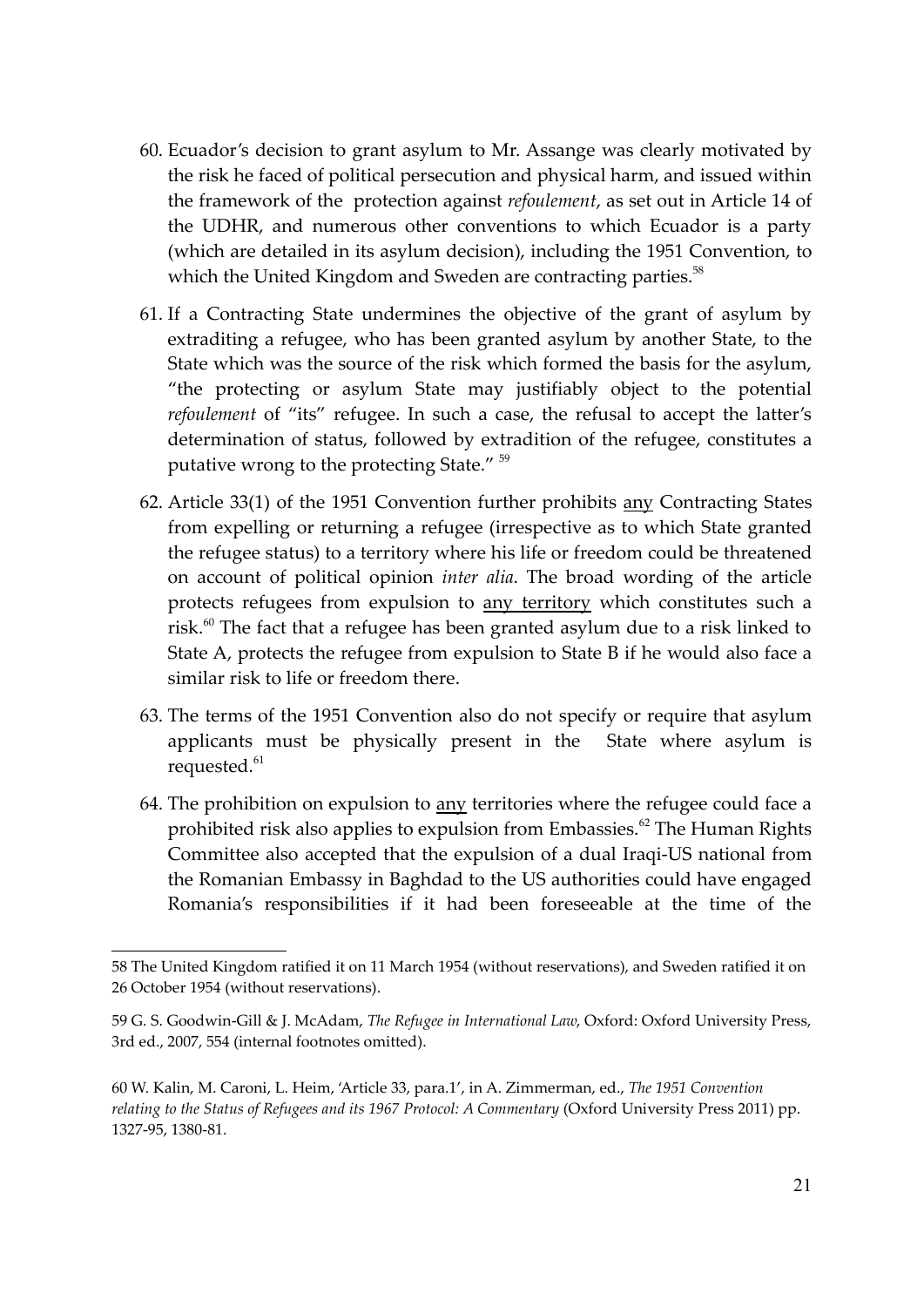- 60. Ecuador's decision to grant asylum to Mr. Assange was clearly motivated by the risk he faced of political persecution and physical harm, and issued within the framework of the protection against *refoulement*, as set out in Article 14 of the UDHR, and numerous other conventions to which Ecuador is a party (which are detailed in its asylum decision), including the 1951 Convention, to which the United Kingdom and Sweden are contracting parties.<sup>58</sup>
- 61. If a Contracting State undermines the objective of the grant of asylum by extraditing a refugee, who has been granted asylum by another State, to the State which was the source of the risk which formed the basis for the asylum, "the protecting or asylum State may justifiably object to the potential *refoulement* of "its" refugee. In such a case, the refusal to accept the latter's determination of status, followed by extradition of the refugee, constitutes a putative wrong to the protecting State." <sup>59</sup>
- 62. Article 33(1) of the 1951 Convention further prohibits any Contracting States from expelling or returning a refugee (irrespective as to which State granted the refugee status) to a territory where his life or freedom could be threatened on account of political opinion *inter alia*. The broad wording of the article protects refugees from expulsion to any territory which constitutes such a risk.<sup>60</sup> The fact that a refugee has been granted asylum due to a risk linked to State A, protects the refugee from expulsion to State B if he would also face a similar risk to life or freedom there.
- 63. The terms of the 1951 Convention also do not specify or require that asylum applicants must be physically present in the State where asylum is requested.<sup>61</sup>
- 64. The prohibition on expulsion to any territories where the refugee could face a prohibited risk also applies to expulsion from Embassies.<sup>62</sup> The Human Rights Committee also accepted that the expulsion of a dual Iraqi-US national from the Romanian Embassy in Baghdad to the US authorities could have engaged Romania's responsibilities if it had been foreseeable at the time of the

<sup>58</sup> The United Kingdom ratified it on 11 March 1954 (without reservations), and Sweden ratified it on 26 October 1954 (without reservations).

<sup>59</sup> G. S. Goodwin-Gill & J. McAdam, *The Refugee in International Law*, Oxford: Oxford University Press, 3rd ed., 2007, 554 (internal footnotes omitted).

<sup>60</sup> W. Kalin, M. Caroni, L. Heim, 'Article 33, para.1', in A. Zimmerman, ed., *The 1951 Convention relating to the Status of Refugees and its 1967 Protocol: A Commentary* (Oxford University Press 2011) pp. 1327-95, 1380-81.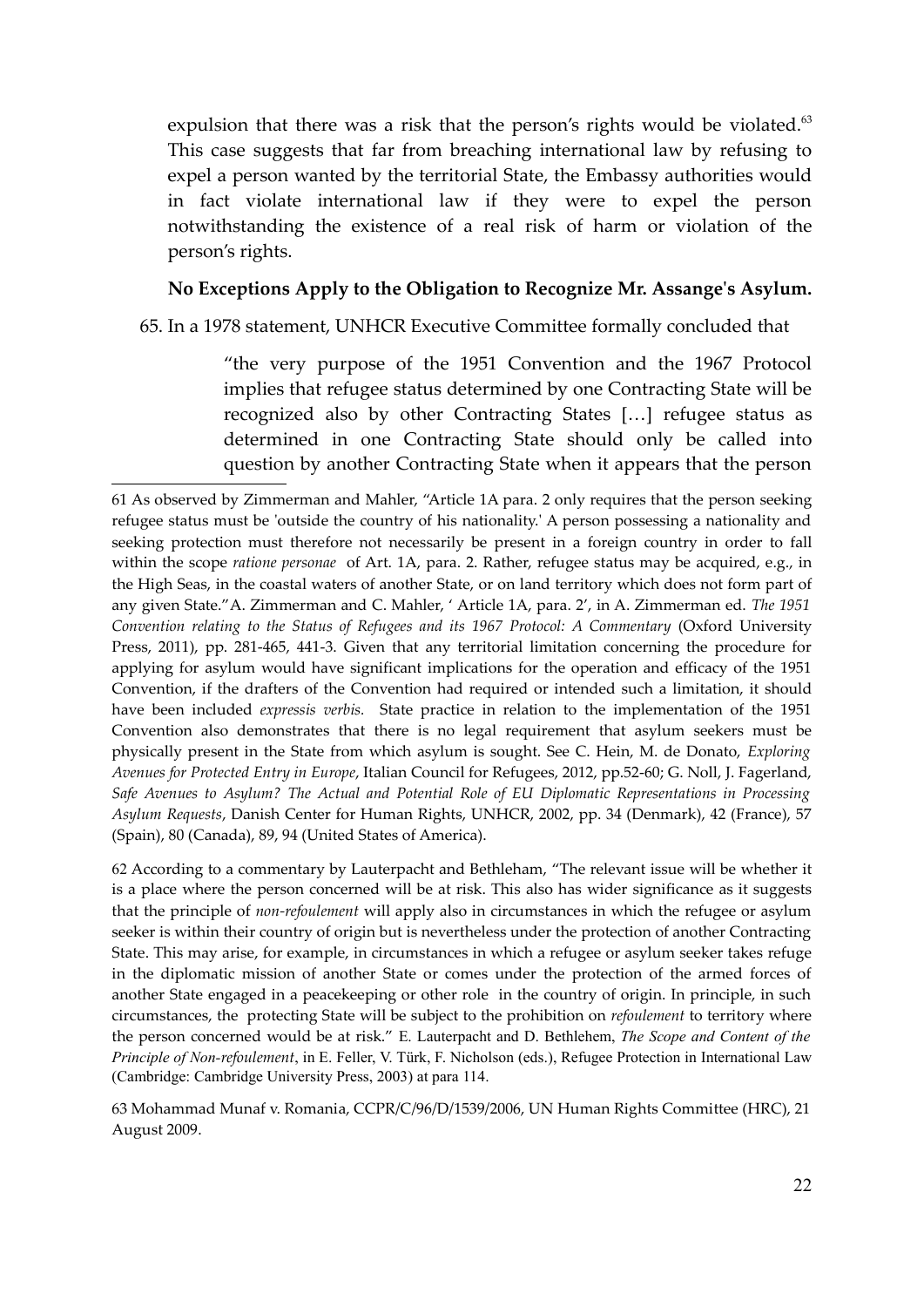expulsion that there was a risk that the person's rights would be violated. $63$ This case suggests that far from breaching international law by refusing to expel a person wanted by the territorial State, the Embassy authorities would in fact violate international law if they were to expel the person notwithstanding the existence of a real risk of harm or violation of the person's rights.

#### **No Exceptions Apply to the Obligation to Recognize Mr. Assange's Asylum.**

65. In a 1978 statement, UNHCR Executive Committee formally concluded that

"the very purpose of the 1951 Convention and the 1967 Protocol implies that refugee status determined by one Contracting State will be recognized also by other Contracting States […] refugee status as determined in one Contracting State should only be called into question by another Contracting State when it appears that the person

62 According to a commentary by Lauterpacht and Bethleham, "The relevant issue will be whether it is a place where the person concerned will be at risk. This also has wider significance as it suggests that the principle of *non-refoulement* will apply also in circumstances in which the refugee or asylum seeker is within their country of origin but is nevertheless under the protection of another Contracting State. This may arise, for example, in circumstances in which a refugee or asylum seeker takes refuge in the diplomatic mission of another State or comes under the protection of the armed forces of another State engaged in a peacekeeping or other role in the country of origin. In principle, in such circumstances, the protecting State will be subject to the prohibition on *refoulement* to territory where the person concerned would be at risk." E. Lauterpacht and D. Bethlehem, *The Scope and Content of the Principle of Non-refoulement*, in E. Feller, V. Türk, F. Nicholson (eds.), Refugee Protection in International Law (Cambridge: Cambridge University Press, 2003) at para 114.

63 Mohammad Munaf v. Romania, CCPR/C/96/D/1539/2006, UN Human Rights Committee (HRC), 21 August 2009.

<sup>61</sup> As observed by Zimmerman and Mahler, "Article 1A para. 2 only requires that the person seeking refugee status must be 'outside the country of his nationality.' A person possessing a nationality and seeking protection must therefore not necessarily be present in a foreign country in order to fall within the scope *ratione personae* of Art. 1A, para. 2. Rather, refugee status may be acquired, e.g., in the High Seas, in the coastal waters of another State, or on land territory which does not form part of any given State."A. Zimmerman and C. Mahler, ' Article 1A, para. 2', in A. Zimmerman ed. *The 1951* Convention relating to the Status of Refugees and its 1967 Protocol: A Commentary (Oxford University Press, 2011), pp. 281-465, 441-3. Given that any territorial limitation concerning the procedure for applying for asylum would have significant implications for the operation and efficacy of the 1951 Convention, if the drafters of the Convention had required or intended such a limitation, it should have been included *expressis verbis.* State practice in relation to the implementation of the 1951 Convention also demonstrates that there is no legal requirement that asylum seekers must be physically present in the State from which asylum is sought. See C. Hein, M. de Donato, *Exploring Avenues for Protected Entry in Europe*, Italian Council for Refugees, 2012, pp.52-60; G. Noll, J. Fagerland, *Safe Avenues to Asylum? The Actual and Potential Role of EU Diplomatic Representations in Processing Asylum Requests*, Danish Center for Human Rights, UNHCR, 2002, pp. 34 (Denmark), 42 (France), 57 (Spain), 80 (Canada), 89, 94 (United States of America).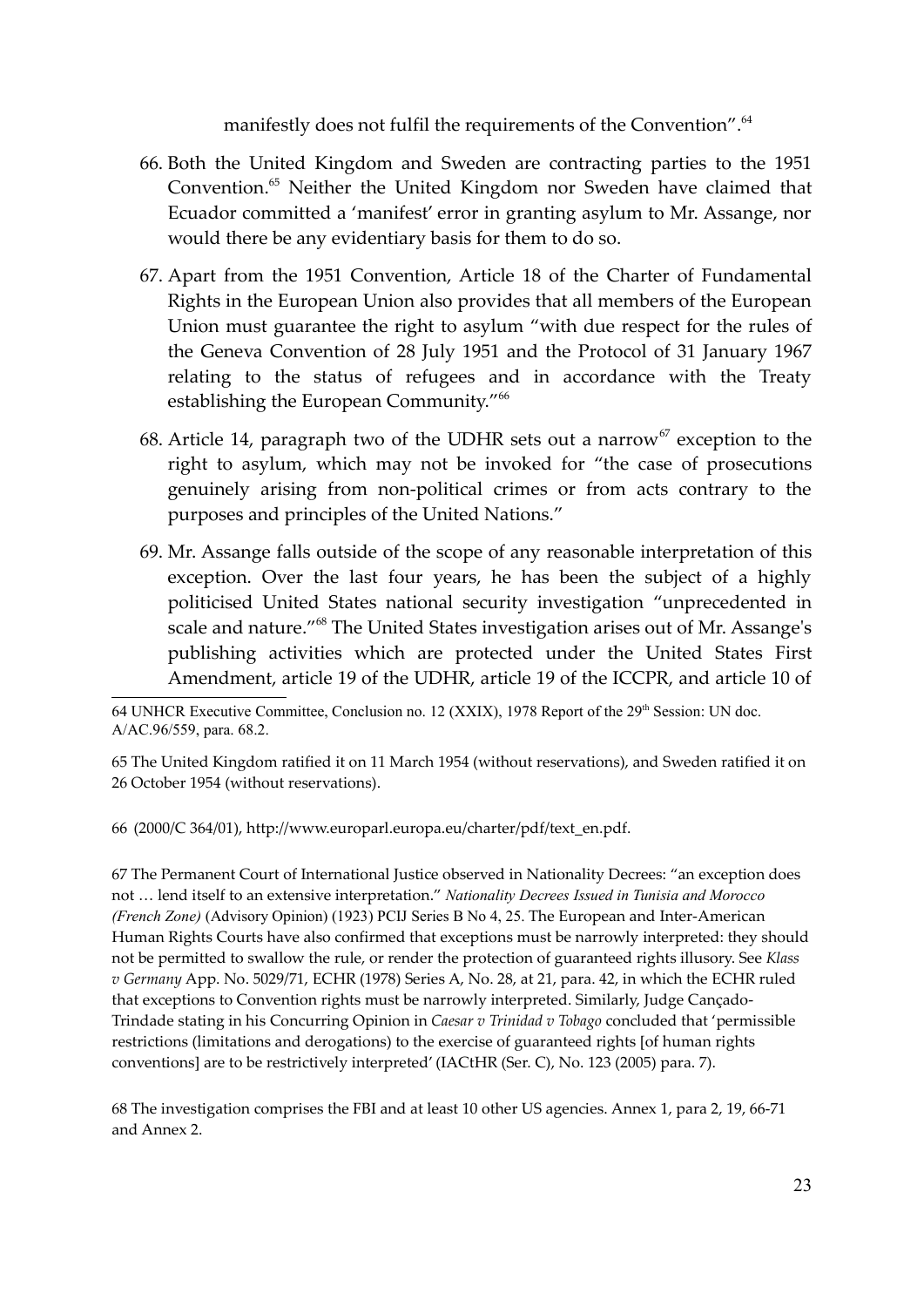manifestly does not fulfil the requirements of the Convention".<sup>64</sup>

- 66. Both the United Kingdom and Sweden are contracting parties to the 1951 Convention.<sup>65</sup> Neither the United Kingdom nor Sweden have claimed that Ecuador committed a 'manifest' error in granting asylum to Mr. Assange, nor would there be any evidentiary basis for them to do so.
- 67. Apart from the 1951 Convention, Article 18 of the Charter of Fundamental Rights in the European Union also provides that all members of the European Union must guarantee the right to asylum "with due respect for the rules of the Geneva Convention of 28 July 1951 and the Protocol of 31 January 1967 relating to the status of refugees and in accordance with the Treaty establishing the European Community."<sup>66</sup>
- 68. Article 14, paragraph two of the UDHR sets out a narrow<sup>67</sup> exception to the right to asylum, which may not be invoked for "the case of prosecutions genuinely arising from non-political crimes or from acts contrary to the purposes and principles of the United Nations."
- 69. Mr. Assange falls outside of the scope of any reasonable interpretation of this exception. Over the last four years, he has been the subject of a highly politicised United States national security investigation "unprecedented in scale and nature."<sup>68</sup> The United States investigation arises out of Mr. Assange's publishing activities which are protected under the United States First Amendment, article 19 of the UDHR, article 19 of the ICCPR, and article 10 of

65 The United Kingdom ratified it on 11 March 1954 (without reservations), and Sweden ratified it on 26 October 1954 (without reservations).

66 (2000/C 364/01), http://www.europarl.europa.eu/charter/pdf/text\_en.pdf.

67 The Permanent Court of International Justice observed in Nationality Decrees: "an exception does not … lend itself to an extensive interpretation." *Nationality Decrees Issued in Tunisia and Morocco (French Zone)* (Advisory Opinion) (1923) PCIJ Series B No 4, 25. The European and Inter-American Human Rights Courts have also confirmed that exceptions must be narrowly interpreted: they should not be permitted to swallow the rule, or render the protection of guaranteed rights illusory. See *Klass v Germany* App. No. 5029/71, ECHR (1978) Series A, No. 28, at 21, para. 42, in which the ECHR ruled that exceptions to Convention rights must be narrowly interpreted. Similarly, Judge Cançado-Trindade stating in his Concurring Opinion in *Caesar v Trinidad v Tobago* concluded that 'permissible restrictions (limitations and derogations) to the exercise of guaranteed rights [of human rights conventions] are to be restrictively interpreted' (IACtHR (Ser. C), No. 123 (2005) para. 7).

68 The investigation comprises the FBI and at least 10 other US agencies. Annex 1, para 2, 19, 66-71 and Annex 2.

<sup>64</sup> UNHCR Executive Committee, Conclusion no. 12 (XXIX), 1978 Report of the 29<sup>th</sup> Session: UN doc. A/AC.96/559, para. 68.2.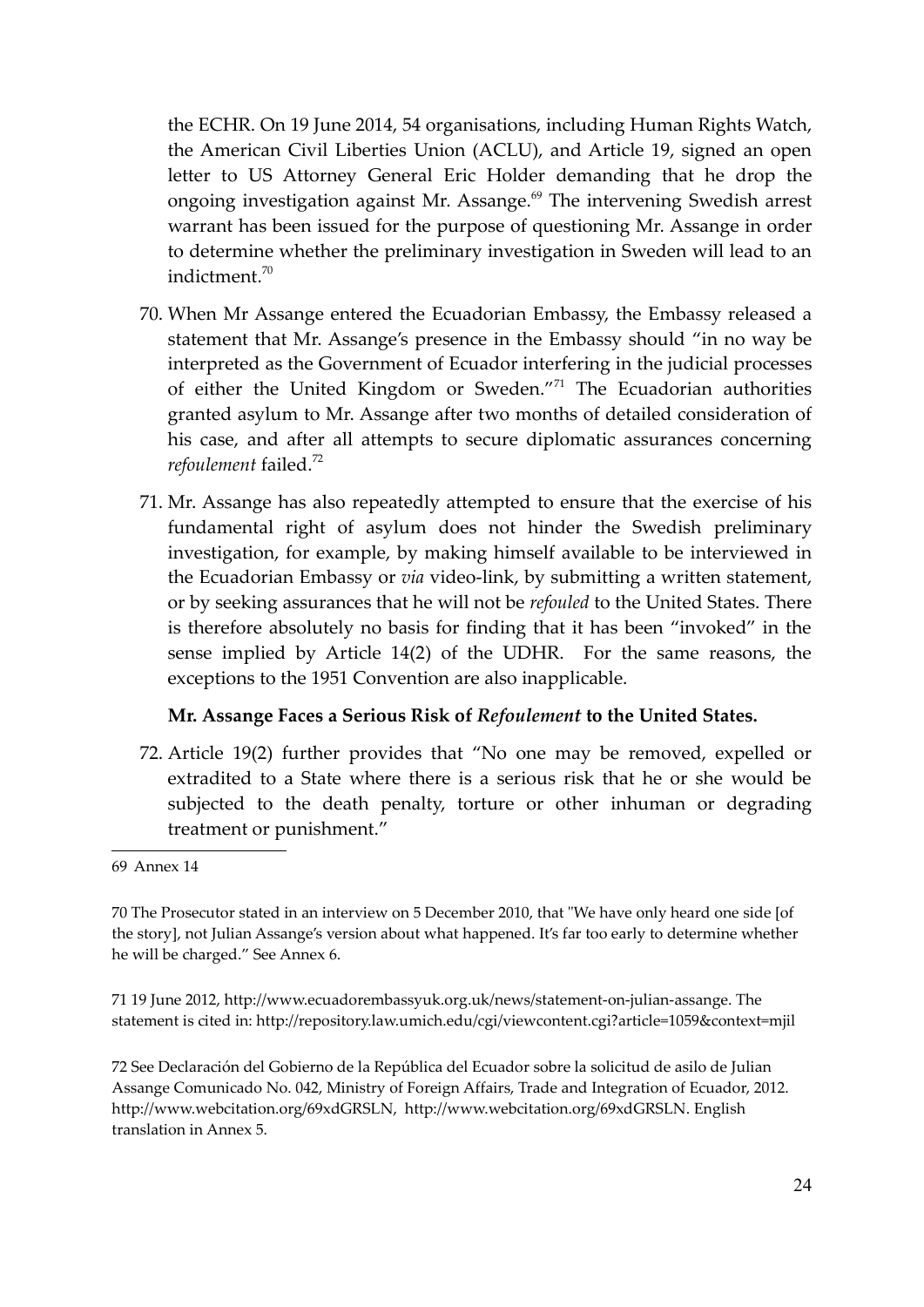the ECHR. On 19 June 2014, 54 organisations, including Human Rights Watch, the American Civil Liberties Union (ACLU), and Article 19, signed an open letter to US Attorney General Eric Holder demanding that he drop the ongoing investigation against Mr. Assange.<sup>69</sup> The intervening Swedish arrest warrant has been issued for the purpose of questioning Mr. Assange in order to determine whether the preliminary investigation in Sweden will lead to an indictment.<sup>70</sup>

- 70. When Mr Assange entered the Ecuadorian Embassy, the Embassy released a statement that Mr. Assange's presence in the Embassy should "in no way be interpreted as the Government of Ecuador interfering in the judicial processes of either the United Kingdom or Sweden."<sup>71</sup> The Ecuadorian authorities granted asylum to Mr. Assange after two months of detailed consideration of his case, and after all attempts to secure diplomatic assurances concerning *refoulement* failed.<sup>72</sup>
- 71. Mr. Assange has also repeatedly attempted to ensure that the exercise of his fundamental right of asylum does not hinder the Swedish preliminary investigation, for example, by making himself available to be interviewed in the Ecuadorian Embassy or *via* video-link, by submitting a written statement, or by seeking assurances that he will not be *refouled* to the United States. There is therefore absolutely no basis for finding that it has been "invoked" in the sense implied by Article 14(2) of the UDHR. For the same reasons, the exceptions to the 1951 Convention are also inapplicable.

#### **Mr. Assange Faces a Serious Risk of** *Refoulement* **to the United States.**

72. Article 19(2) further provides that "No one may be removed, expelled or extradited to a State where there is a serious risk that he or she would be subjected to the death penalty, torture or other inhuman or degrading treatment or punishment."

71 19 June 2012, http://www.ecuadorembassyuk.org.uk/news/statement-on-julian-assange. The statement is cited in: http://repository.law.umich.edu/cgi/viewcontent.cgi?article=1059&context=mjil

72 See Declaración del Gobierno de la República del Ecuador sobre la solicitud de asilo de Julian Assange Comunicado No. 042, Ministry of Foreign Affairs, Trade and Integration of Ecuador, 2012. http://www.webcitation.org/69xdGRSLN, http://www.webcitation.org/69xdGRSLN. English translation in Annex 5.

<sup>69</sup> Annex 14

<sup>70</sup> The Prosecutor stated in an interview on 5 December 2010, that "We have only heard one side [of the story], not Julian Assange's version about what happened. It's far too early to determine whether he will be charged." See Annex 6.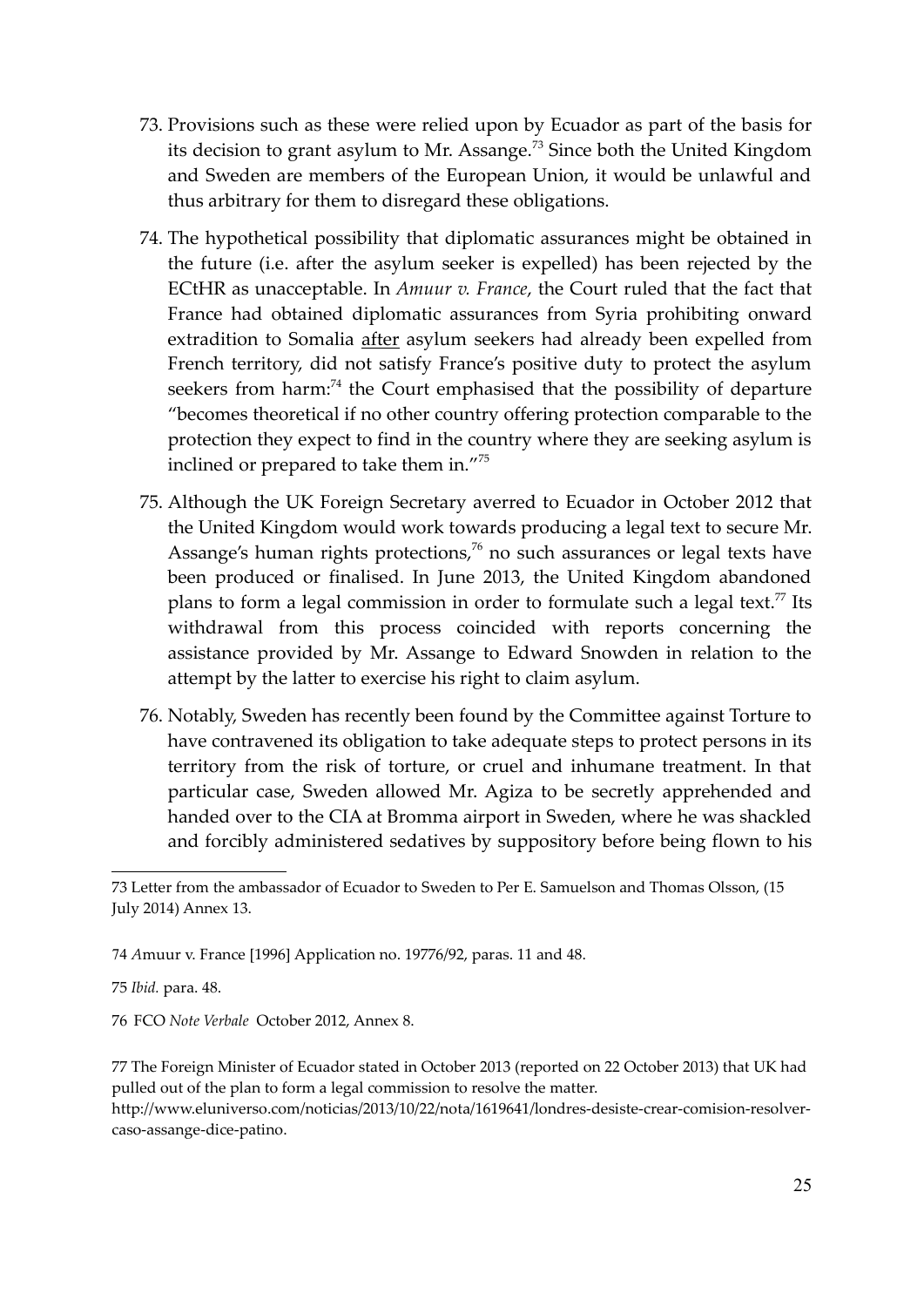- 73. Provisions such as these were relied upon by Ecuador as part of the basis for its decision to grant asylum to Mr. Assange.<sup>73</sup> Since both the United Kingdom and Sweden are members of the European Union, it would be unlawful and thus arbitrary for them to disregard these obligations.
- 74. The hypothetical possibility that diplomatic assurances might be obtained in the future (i.e. after the asylum seeker is expelled) has been rejected by the ECtHR as unacceptable. In *Amuur v. France*, the Court ruled that the fact that France had obtained diplomatic assurances from Syria prohibiting onward extradition to Somalia after asylum seekers had already been expelled from French territory, did not satisfy France's positive duty to protect the asylum seekers from harm:<sup>74</sup> the Court emphasised that the possibility of departure "becomes theoretical if no other country offering protection comparable to the protection they expect to find in the country where they are seeking asylum is inclined or prepared to take them in."<sup>75</sup>
- 75. Although the UK Foreign Secretary averred to Ecuador in October 2012 that the United Kingdom would work towards producing a legal text to secure Mr. Assange's human rights protections, $76$  no such assurances or legal texts have been produced or finalised. In June 2013, the United Kingdom abandoned plans to form a legal commission in order to formulate such a legal text.<sup>77</sup> Its withdrawal from this process coincided with reports concerning the assistance provided by Mr. Assange to Edward Snowden in relation to the attempt by the latter to exercise his right to claim asylum.
- 76. Notably, Sweden has recently been found by the Committee against Torture to have contravened its obligation to take adequate steps to protect persons in its territory from the risk of torture, or cruel and inhumane treatment. In that particular case, Sweden allowed Mr. Agiza to be secretly apprehended and handed over to the CIA at Bromma airport in Sweden, where he was shackled and forcibly administered sedatives by suppository before being flown to his

74 *A*muur v. France [1996] Application no. 19776/92, paras. 11 and 48.

75 *Ibid.* para. 48.

76 FCO *Note Verbale* October 2012, Annex 8.

77 The Foreign Minister of Ecuador stated in October 2013 (reported on 22 October 2013) that UK had pulled out of the plan to form a legal commission to resolve the matter. http://www.eluniverso.com/noticias/2013/10/22/nota/1619641/londres-desiste-crear-comision-resolvercaso-assange-dice-patino.

<sup>73</sup> Letter from the ambassador of Ecuador to Sweden to Per E. Samuelson and Thomas Olsson, (15 July 2014) Annex 13.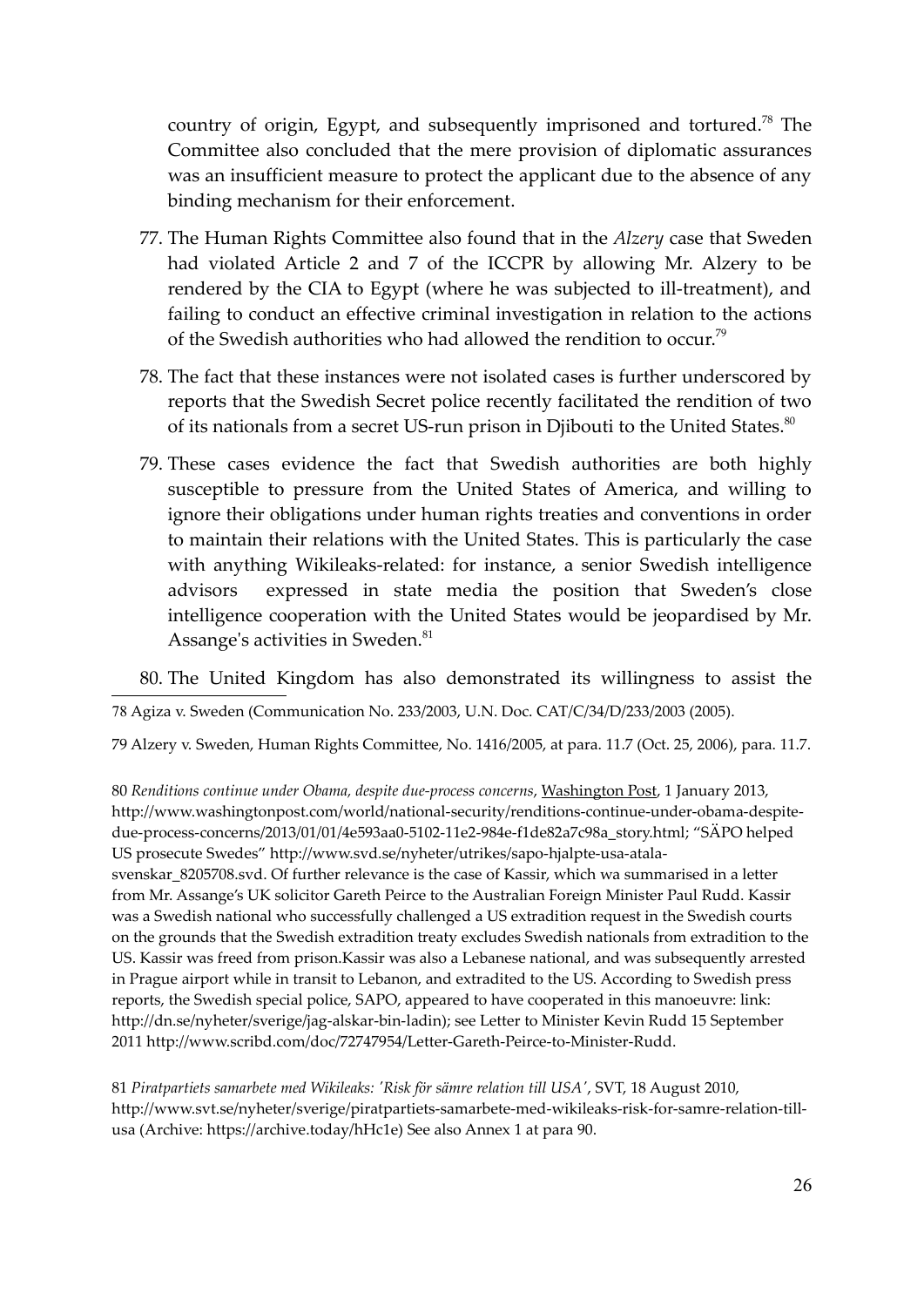country of origin, Egypt, and subsequently imprisoned and tortured.<sup>78</sup> The Committee also concluded that the mere provision of diplomatic assurances was an insufficient measure to protect the applicant due to the absence of any binding mechanism for their enforcement.

- 77. The Human Rights Committee also found that in the *Alzery* case that Sweden had violated Article 2 and 7 of the ICCPR by allowing Mr. Alzery to be rendered by the CIA to Egypt (where he was subjected to ill-treatment), and failing to conduct an effective criminal investigation in relation to the actions of the Swedish authorities who had allowed the rendition to occur.<sup>79</sup>
- 78. The fact that these instances were not isolated cases is further underscored by reports that the Swedish Secret police recently facilitated the rendition of two of its nationals from a secret US-run prison in Djibouti to the United States.<sup>80</sup>
- 79. These cases evidence the fact that Swedish authorities are both highly susceptible to pressure from the United States of America, and willing to ignore their obligations under human rights treaties and conventions in order to maintain their relations with the United States. This is particularly the case with anything Wikileaks-related: for instance, a senior Swedish intelligence advisors expressed in state media the position that Sweden's close intelligence cooperation with the United States would be jeopardised by Mr. Assange's activities in Sweden.<sup>81</sup>

80. The United Kingdom has also demonstrated its willingness to assist the

78 Agiza v. Sweden (Communication No. 233/2003, U.N. Doc. CAT/C/34/D/233/2003 (2005).

79 Alzery v. Sweden, Human Rights Committee, No. 1416/2005, at para. 11.7 (Oct. 25, 2006), para. 11.7.

80 *Renditions continue under Obama, despite due-process concerns*, Washington Post, 1 January 2013, http://www.washingtonpost.com/world/national-security/renditions-continue-under-obama-despitedue-process-concerns/2013/01/01/4e593aa0-5102-11e2-984e-f1de82a7c98a\_story.html; "SÄPO helped US prosecute Swedes" http://www.svd.se/nyheter/utrikes/sapo-hjalpte-usa-atalasvenskar\_8205708.svd. Of further relevance is the case of Kassir, which wa summarised in a letter from Mr. Assange's UK solicitor Gareth Peirce to the Australian Foreign Minister Paul Rudd. Kassir was a Swedish national who successfully challenged a US extradition request in the Swedish courts on the grounds that the Swedish extradition treaty excludes Swedish nationals from extradition to the US. Kassir was freed from prison.Kassir was also a Lebanese national, and was subsequently arrested in Prague airport while in transit to Lebanon, and extradited to the US. According to Swedish press reports, the Swedish special police, SAPO, appeared to have cooperated in this manoeuvre: link: http://dn.se/nyheter/sverige/jag-alskar-bin-ladin); see Letter to Minister Kevin Rudd 15 September 2011 http://www.scribd.com/doc/72747954/Letter-Gareth-Peirce-to-Minister-Rudd.

81 *Piratpartiets samarbete med Wikileaks: 'Risk för sämre relation till USA'*, SVT, 18 August 2010, http://www.svt.se/nyheter/sverige/piratpartiets-samarbete-med-wikileaks-risk-for-samre-relation-tillusa (Archive: https://archive.today/hHc1e) See also Annex 1 at para 90.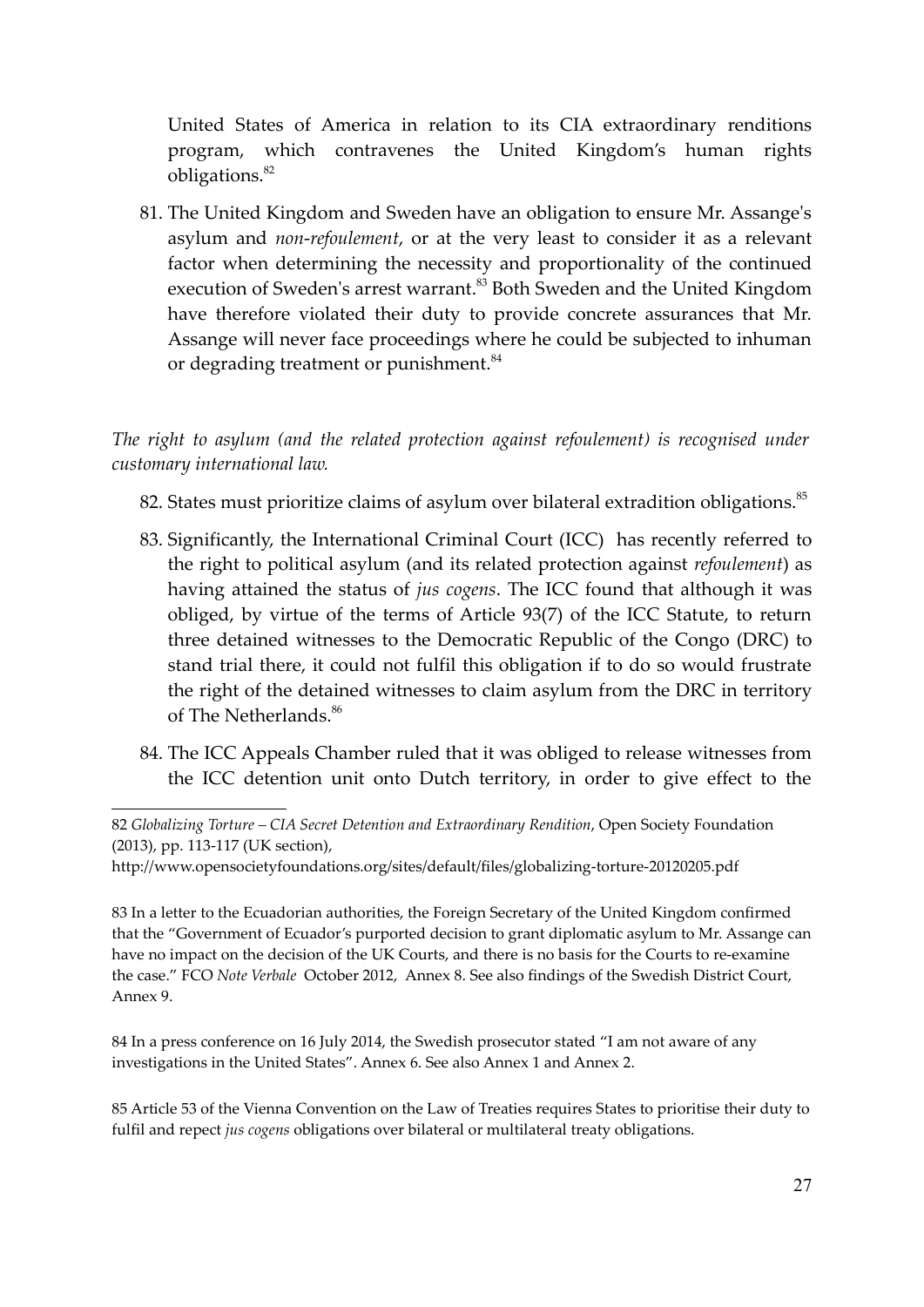United States of America in relation to its CIA extraordinary renditions program, which contravenes the United Kingdom's human rights obligations.<sup>82</sup>

81. The United Kingdom and Sweden have an obligation to ensure Mr. Assange's asylum and *non*-*refoulement*, or at the very least to consider it as a relevant factor when determining the necessity and proportionality of the continued execution of Sweden's arrest warrant.<sup>83</sup> Both Sweden and the United Kingdom have therefore violated their duty to provide concrete assurances that Mr. Assange will never face proceedings where he could be subjected to inhuman or degrading treatment or punishment.<sup>84</sup>

*The right to asylum (and the related protection against refoulement) is recognised under customary international law.*

82. States must prioritize claims of asylum over bilateral extradition obligations.<sup>85</sup>

- 83. Significantly, the International Criminal Court (ICC) has recently referred to the right to political asylum (and its related protection against *refoulement*) as having attained the status of *jus cogens*. The ICC found that although it was obliged, by virtue of the terms of Article 93(7) of the ICC Statute, to return three detained witnesses to the Democratic Republic of the Congo (DRC) to stand trial there, it could not fulfil this obligation if to do so would frustrate the right of the detained witnesses to claim asylum from the DRC in territory of The Netherlands.<sup>86</sup>
- 84. The ICC Appeals Chamber ruled that it was obliged to release witnesses from the ICC detention unit onto Dutch territory, in order to give effect to the

83 In a letter to the Ecuadorian authorities, the Foreign Secretary of the United Kingdom confirmed that the "Government of Ecuador's purported decision to grant diplomatic asylum to Mr. Assange can have no impact on the decision of the UK Courts, and there is no basis for the Courts to re-examine the case." FCO *Note Verbale* October 2012, Annex 8. See also findings of the Swedish District Court, Annex 9.

84 In a press conference on 16 July 2014, the Swedish prosecutor stated "I am not aware of any investigations in the United States". Annex 6. See also Annex 1 and Annex 2.

85 Article 53 of the Vienna Convention on the Law of Treaties requires States to prioritise their duty to fulfil and repect *jus cogens* obligations over bilateral or multilateral treaty obligations.

<sup>82</sup> *Globalizing Torture – CIA Secret Detention and Extraordinary Rendition*, Open Society Foundation (2013), pp. 113-117 (UK section),

http://www.opensocietyfoundations.org/sites/default/files/globalizing-torture-20120205.pdf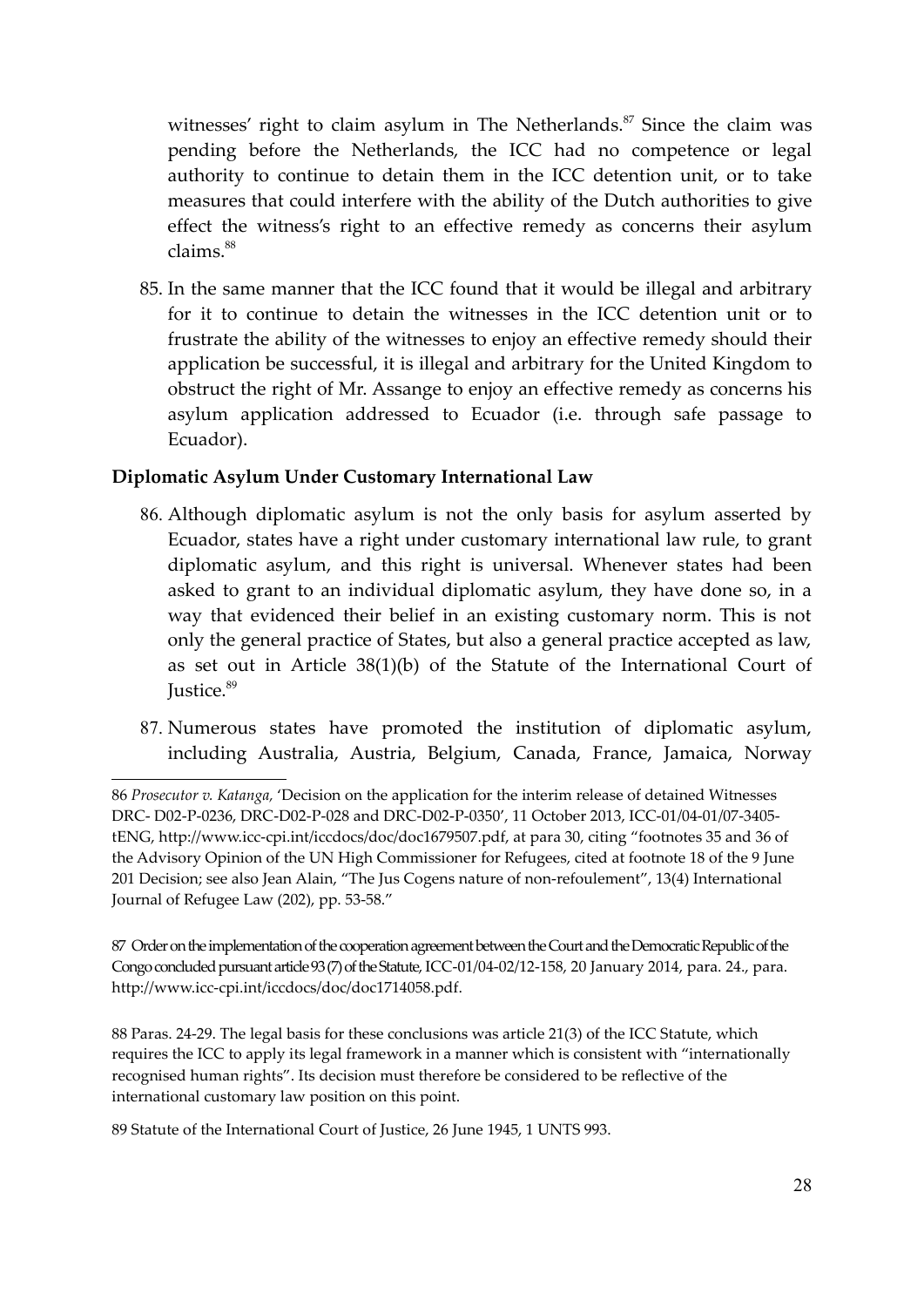witnesses' right to claim asylum in The Netherlands.<sup>87</sup> Since the claim was pending before the Netherlands, the ICC had no competence or legal authority to continue to detain them in the ICC detention unit, or to take measures that could interfere with the ability of the Dutch authorities to give effect the witness's right to an effective remedy as concerns their asylum claims.<sup>88</sup>

85. In the same manner that the ICC found that it would be illegal and arbitrary for it to continue to detain the witnesses in the ICC detention unit or to frustrate the ability of the witnesses to enjoy an effective remedy should their application be successful, it is illegal and arbitrary for the United Kingdom to obstruct the right of Mr. Assange to enjoy an effective remedy as concerns his asylum application addressed to Ecuador (i.e. through safe passage to Ecuador).

### **Diplomatic Asylum Under Customary International Law**

- 86. Although diplomatic asylum is not the only basis for asylum asserted by Ecuador, states have a right under customary international law rule, to grant diplomatic asylum, and this right is universal. Whenever states had been asked to grant to an individual diplomatic asylum, they have done so, in a way that evidenced their belief in an existing customary norm. This is not only the general practice of States, but also a general practice accepted as law, as set out in Article 38(1)(b) of the Statute of the International Court of Justice.<sup>89</sup>
- 87. Numerous states have promoted the institution of diplomatic asylum, including Australia, Austria, Belgium, Canada, France, Jamaica, Norway

88 Paras. 24-29. The legal basis for these conclusions was article 21(3) of the ICC Statute, which requires the ICC to apply its legal framework in a manner which is consistent with "internationally recognised human rights". Its decision must therefore be considered to be reflective of the international customary law position on this point.

89 Statute of the International Court of Justice, 26 June 1945, 1 UNTS 993.

<sup>86</sup> *Prosecutor v. Katanga,* 'Decision on the application for the interim release of detained Witnesses DRC- D02-P-0236, DRC-D02-P-028 and DRC-D02-P-0350', 11 October 2013, ICC-01/04-01/07-3405 tENG, http://www.icc-cpi.int/iccdocs/doc/doc1679507.pdf, at para 30, citing "footnotes 35 and 36 of the Advisory Opinion of the UN High Commissioner for Refugees, cited at footnote 18 of the 9 June 201 Decision; see also Jean Alain, "The Jus Cogens nature of non-refoulement", 13(4) International Journal of Refugee Law (202), pp. 53-58."

<sup>87</sup> Order on the implementation of the cooperation agreement between the Court and the Democratic Republic of the Congo concluded pursuant article 93 (7) of the Statute, ICC-01/04-02/12-158, 20 January 2014, para. 24., para. http://www.icc-cpi.int/iccdocs/doc/doc1714058.pdf.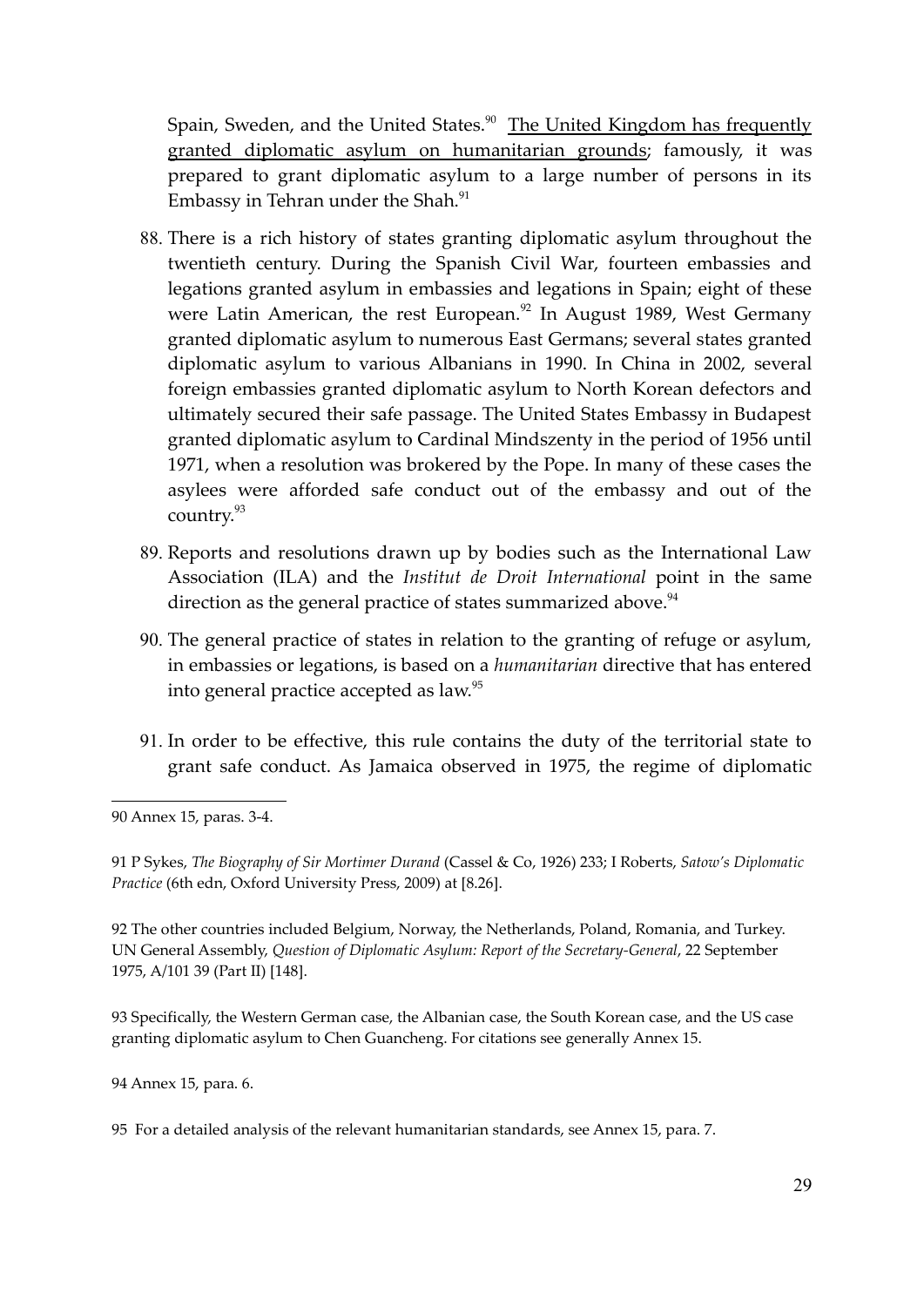Spain, Sweden, and the United States.<sup>90</sup> The United Kingdom has frequently granted diplomatic asylum on humanitarian grounds; famously, it was prepared to grant diplomatic asylum to a large number of persons in its Embassy in Tehran under the Shah.<sup>91</sup>

- 88. There is a rich history of states granting diplomatic asylum throughout the twentieth century. During the Spanish Civil War, fourteen embassies and legations granted asylum in embassies and legations in Spain; eight of these were Latin American, the rest European. $92$  In August 1989, West Germany granted diplomatic asylum to numerous East Germans; several states granted diplomatic asylum to various Albanians in 1990. In China in 2002, several foreign embassies granted diplomatic asylum to North Korean defectors and ultimately secured their safe passage. The United States Embassy in Budapest granted diplomatic asylum to Cardinal Mindszenty in the period of 1956 until 1971, when a resolution was brokered by the Pope. In many of these cases the asylees were afforded safe conduct out of the embassy and out of the country.<sup>93</sup>
- 89. Reports and resolutions drawn up by bodies such as the International Law Association (ILA) and the *Institut de Droit International* point in the same direction as the general practice of states summarized above.<sup>94</sup>
- 90. The general practice of states in relation to the granting of refuge or asylum, in embassies or legations, is based on a *humanitarian* directive that has entered into general practice accepted as law.<sup>95</sup>
- 91. In order to be effective, this rule contains the duty of the territorial state to grant safe conduct. As Jamaica observed in 1975, the regime of diplomatic

92 The other countries included Belgium, Norway, the Netherlands, Poland, Romania, and Turkey. UN General Assembly, *Question of Diplomatic Asylum: Report of the Secretary-General*, 22 September 1975, A/101 39 (Part II) [148].

93 Specifically, the Western German case, the Albanian case, the South Korean case, and the US case granting diplomatic asylum to Chen Guancheng. For citations see generally Annex 15.

94 Annex 15, para. 6.

<sup>90</sup> Annex 15, paras. 3-4.

<sup>91</sup> P Sykes, *The Biography of Sir Mortimer Durand* (Cassel & Co, 1926) 233; I Roberts, *Satow's Diplomatic Practice* (6th edn, Oxford University Press, 2009) at [8.26].

<sup>95</sup> For a detailed analysis of the relevant humanitarian standards, see Annex 15, para. 7.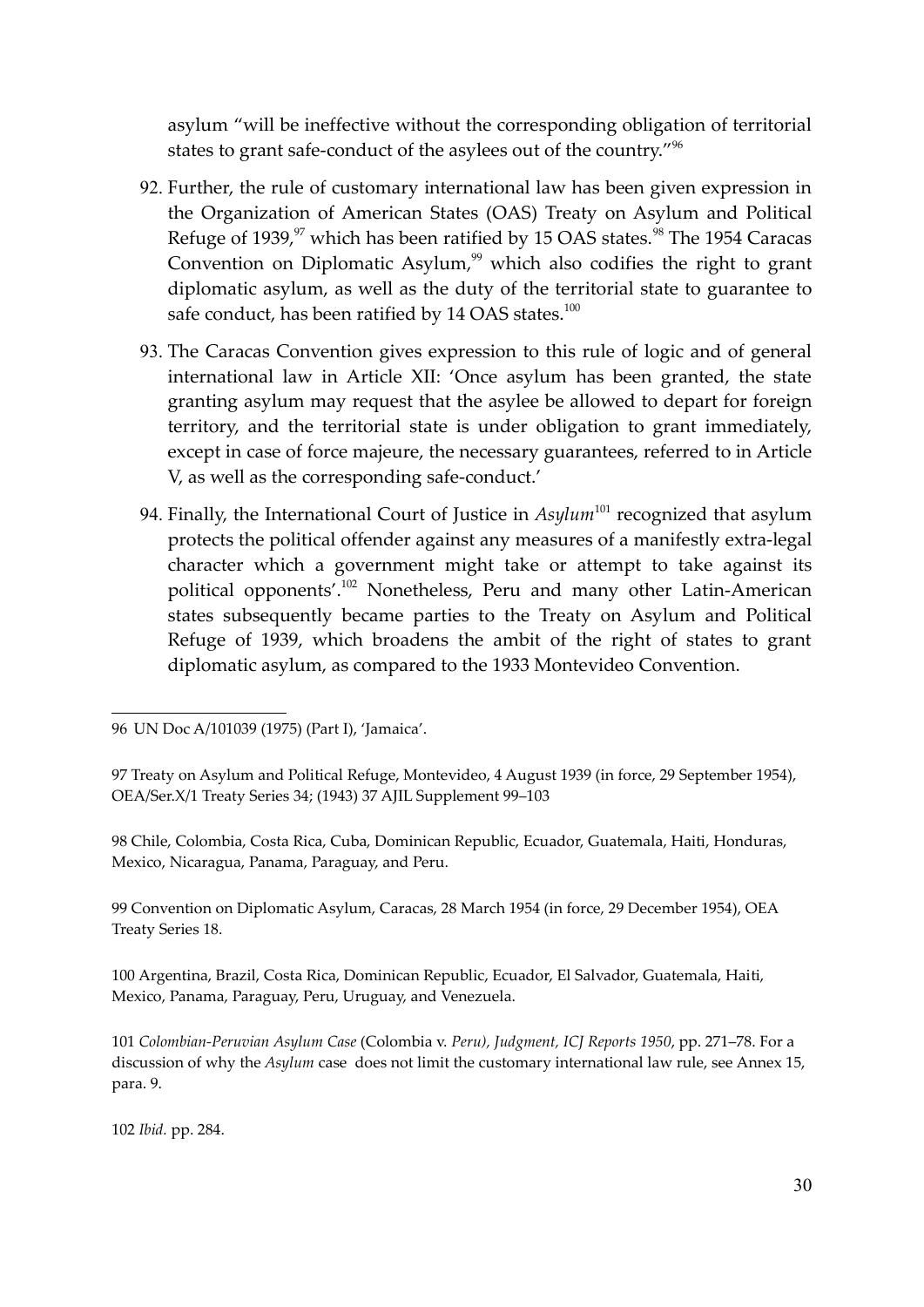asylum "will be ineffective without the corresponding obligation of territorial states to grant safe-conduct of the asylees out of the country."<sup>96</sup>

- 92. Further, the rule of customary international law has been given expression in the Organization of American States (OAS) Treaty on Asylum and Political Refuge of 1939,<sup>97</sup> which has been ratified by 15 OAS states.<sup>98</sup> The 1954 Caracas Convention on Diplomatic Asylum, $99$  which also codifies the right to grant diplomatic asylum, as well as the duty of the territorial state to guarantee to safe conduct, has been ratified by 14 OAS states.<sup>100</sup>
- 93. The Caracas Convention gives expression to this rule of logic and of general international law in Article XII: 'Once asylum has been granted, the state granting asylum may request that the asylee be allowed to depart for foreign territory, and the territorial state is under obligation to grant immediately, except in case of force majeure, the necessary guarantees, referred to in Article V, as well as the corresponding safe-conduct.'
- 94. Finally, the International Court of Justice in *Asylum*<sup>101</sup> recognized that asylum protects the political offender against any measures of a manifestly extra-legal character which a government might take or attempt to take against its political opponents'.<sup>102</sup> Nonetheless, Peru and many other Latin-American states subsequently became parties to the Treaty on Asylum and Political Refuge of 1939, which broadens the ambit of the right of states to grant diplomatic asylum, as compared to the 1933 Montevideo Convention.

98 Chile, Colombia, Costa Rica, Cuba, Dominican Republic, Ecuador, Guatemala, Haiti, Honduras, Mexico, Nicaragua, Panama, Paraguay, and Peru.

99 Convention on Diplomatic Asylum, Caracas, 28 March 1954 (in force, 29 December 1954), OEA Treaty Series 18.

100 Argentina, Brazil, Costa Rica, Dominican Republic, Ecuador, El Salvador, Guatemala, Haiti, Mexico, Panama, Paraguay, Peru, Uruguay, and Venezuela.

<sup>96</sup> UN Doc A/101039 (1975) (Part I), 'Jamaica'.

<sup>97</sup> Treaty on Asylum and Political Refuge, Montevideo, 4 August 1939 (in force, 29 September 1954), OEA/Ser.X/1 Treaty Series 34; (1943) 37 AJIL Supplement 99–103

<sup>101</sup> *Colombian-Peruvian Asylum Case* (Colombia v. *Peru), Judgment, ICJ Reports 1950*, pp. 271–78. For a discussion of why the *Asylum* case does not limit the customary international law rule, see Annex 15, para. 9.

<sup>102</sup> *Ibid.* pp. 284.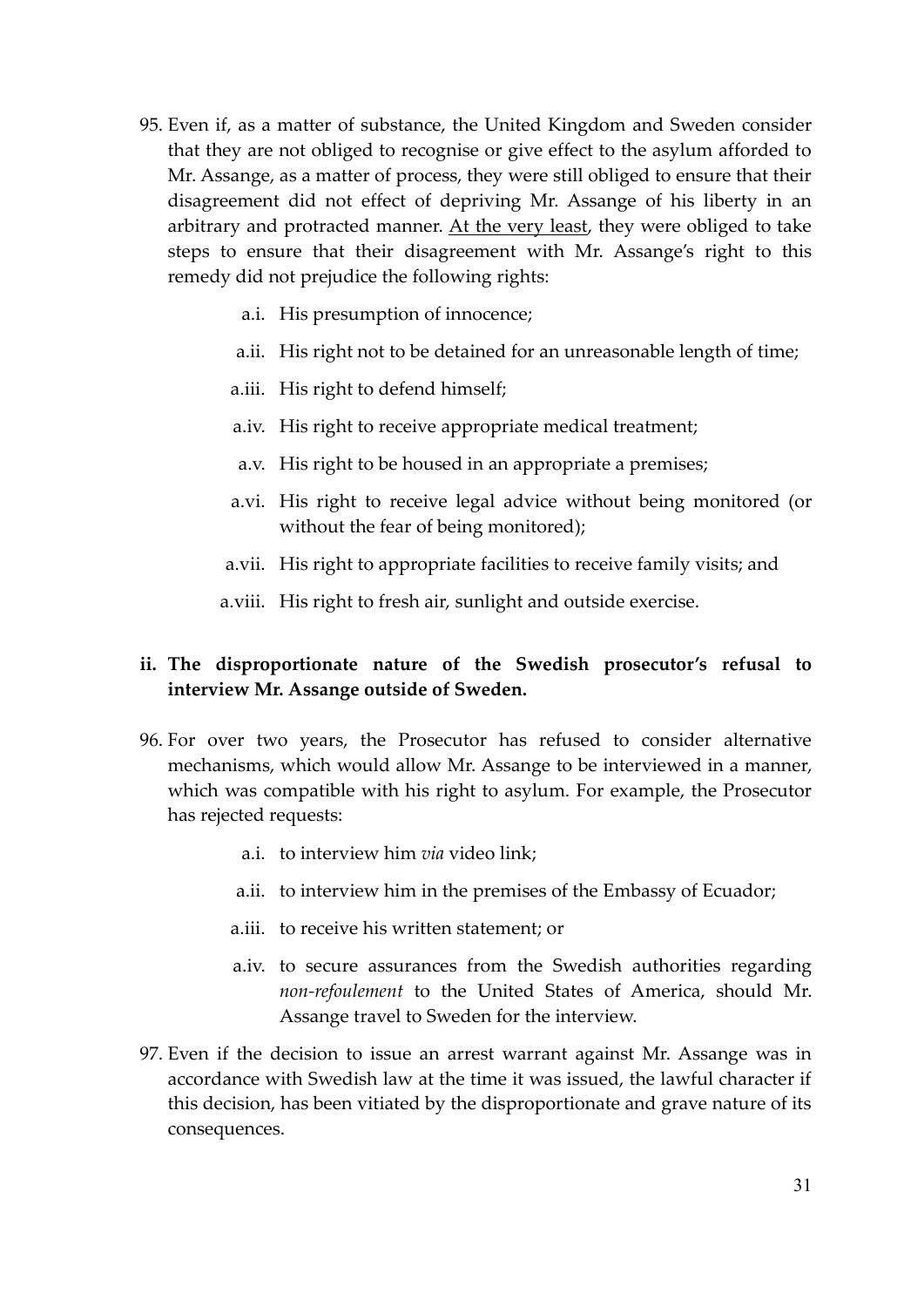- 95. Even if, as a matter of substance, the United Kingdom and Sweden consider that they are not obliged to recognise or give effect to the asylum afforded to Mr. Assange, as a matter of process, they were still obliged to ensure that their disagreement did not effect of depriving Mr. Assange of his liberty in an arbitrary and protracted manner. At the very least, they were obliged to take steps to ensure that their disagreement with Mr. Assange's right to this remedy did not prejudice the following rights:
	- a.i. His presumption of innocence;
	- a.ii. His right not to be detained for an unreasonable length of time;
	- a.iii. His right to defend himself;
	- a.iv. His right to receive appropriate medical treatment;
	- a.v. His right to be housed in an appropriate a premises;
	- a.vi. His right to receive legal advice without being monitored (or without the fear of being monitored);
	- a.vii. His right to appropriate facilities to receive family visits; and
	- a.viii. His right to fresh air, sunlight and outside exercise.

# **ii. The disproportionate nature of the Swedish prosecutor's refusal to interview Mr. Assange outside of Sweden.**

- 96. For over two years, the Prosecutor has refused to consider alternative mechanisms, which would allow Mr. Assange to be interviewed in a manner, which was compatible with his right to asylum. For example, the Prosecutor has rejected requests:
	- a.i. to interview him *via* video link;
	- a.ii. to interview him in the premises of the Embassy of Ecuador;
	- a.iii. to receive his written statement; or
	- a.iv. to secure assurances from the Swedish authorities regarding *non-refoulement* to the United States of America, should Mr. Assange travel to Sweden for the interview.
- 97. Even if the decision to issue an arrest warrant against Mr. Assange was in accordance with Swedish law at the time it was issued, the lawful character if this decision, has been vitiated by the disproportionate and grave nature of its consequences.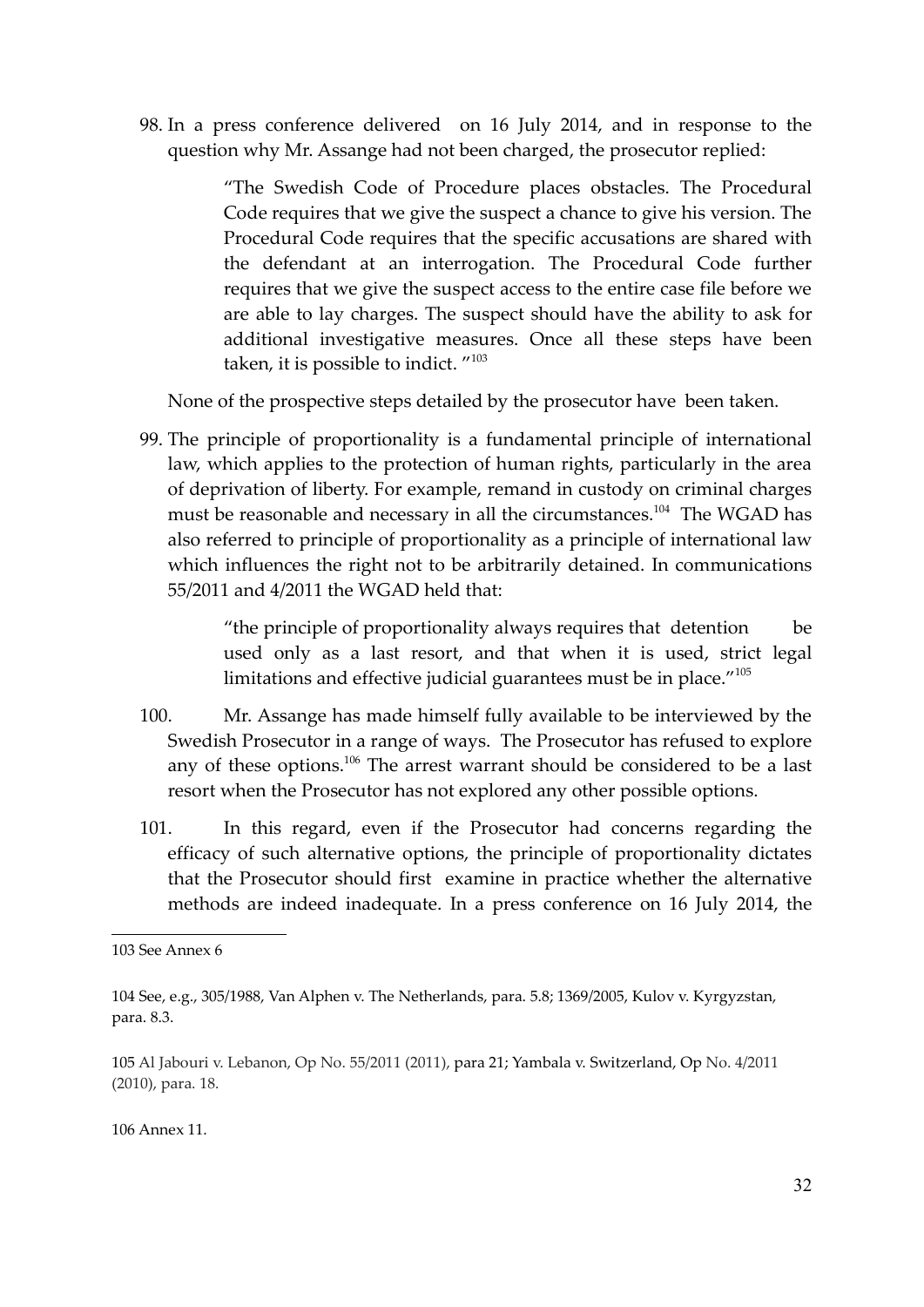98. In a press conference delivered on 16 July 2014, and in response to the question why Mr. Assange had not been charged, the prosecutor replied:

> "The Swedish Code of Procedure places obstacles. The Procedural Code requires that we give the suspect a chance to give his version. The Procedural Code requires that the specific accusations are shared with the defendant at an interrogation. The Procedural Code further requires that we give the suspect access to the entire case file before we are able to lay charges. The suspect should have the ability to ask for additional investigative measures. Once all these steps have been taken, it is possible to indict. "<sup>103</sup>

None of the prospective steps detailed by the prosecutor have been taken.

99. The principle of proportionality is a fundamental principle of international law, which applies to the protection of human rights, particularly in the area of deprivation of liberty. For example, remand in custody on criminal charges must be reasonable and necessary in all the circumstances.<sup>104</sup> The WGAD has also referred to principle of proportionality as a principle of international law which influences the right not to be arbitrarily detained. In communications 55/2011 and 4/2011 the WGAD held that:

> "the principle of proportionality always requires that detention be used only as a last resort, and that when it is used, strict legal limitations and effective judicial guarantees must be in place."<sup>105</sup>

- 100. Mr. Assange has made himself fully available to be interviewed by the Swedish Prosecutor in a range of ways. The Prosecutor has refused to explore any of these options.<sup>106</sup> The arrest warrant should be considered to be a last resort when the Prosecutor has not explored any other possible options.
- 101. In this regard, even if the Prosecutor had concerns regarding the efficacy of such alternative options, the principle of proportionality dictates that the Prosecutor should first examine in practice whether the alternative methods are indeed inadequate. In a press conference on 16 July 2014, the

106 Annex 11.

<sup>103</sup> See Annex 6

<sup>104</sup> See, e.g., 305/1988, Van Alphen v. The Netherlands, para. 5.8; 1369/2005, Kulov v. Kyrgyzstan, para. 8.3.

<sup>105</sup> Al Jabouri v. Lebanon, Op No. 55/2011 (2011), para 21; Yambala v. Switzerland, Op No. 4/2011 (2010), para. 18.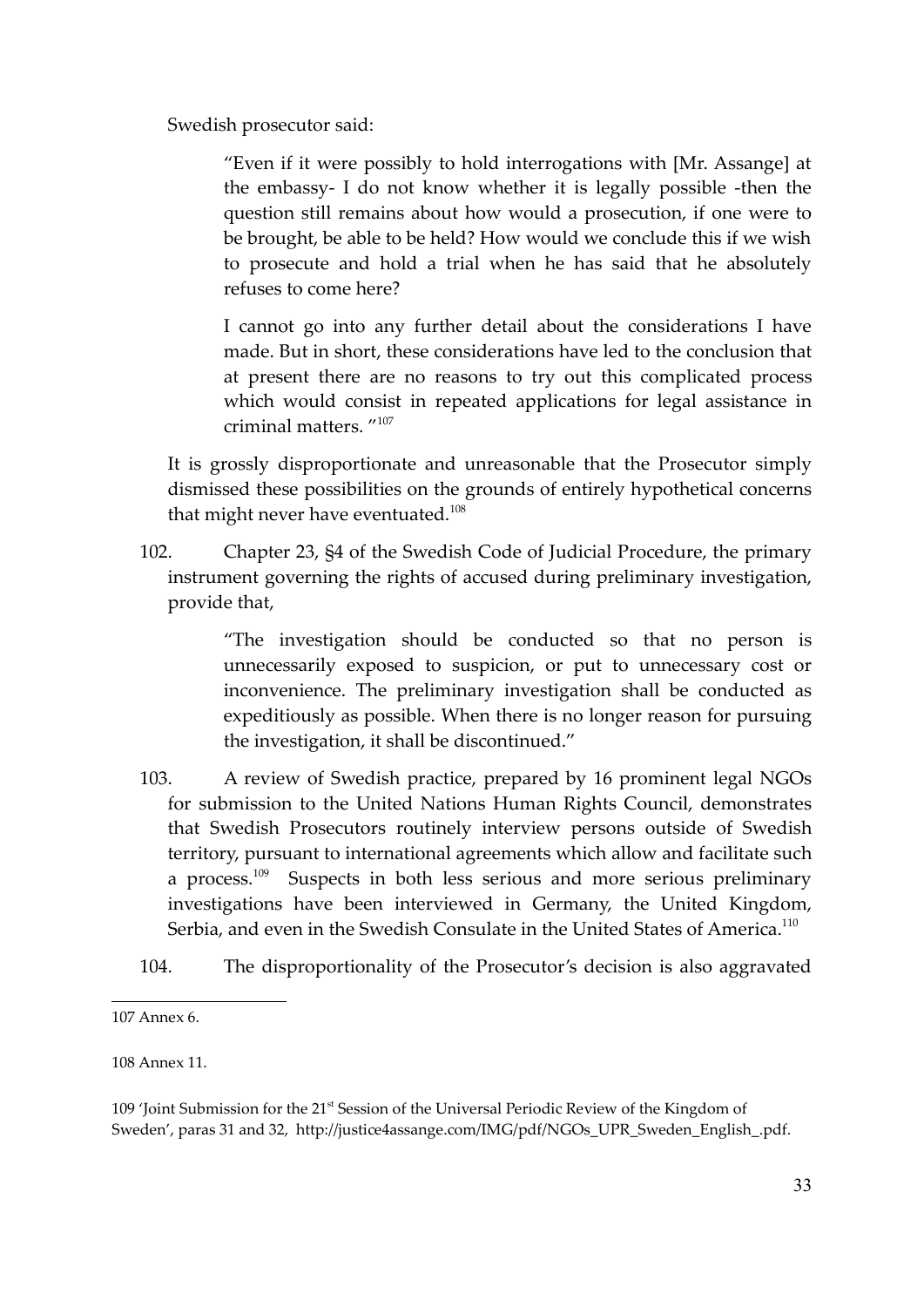Swedish prosecutor said:

"Even if it were possibly to hold interrogations with [Mr. Assange] at the embassy- I do not know whether it is legally possible -then the question still remains about how would a prosecution, if one were to be brought, be able to be held? How would we conclude this if we wish to prosecute and hold a trial when he has said that he absolutely refuses to come here?

I cannot go into any further detail about the considerations I have made. But in short, these considerations have led to the conclusion that at present there are no reasons to try out this complicated process which would consist in repeated applications for legal assistance in criminal matters. "<sup>107</sup>

It is grossly disproportionate and unreasonable that the Prosecutor simply dismissed these possibilities on the grounds of entirely hypothetical concerns that might never have eventuated.<sup>108</sup>

102. Chapter 23, §4 of the Swedish Code of Judicial Procedure, the primary instrument governing the rights of accused during preliminary investigation, provide that,

> "The investigation should be conducted so that no person is unnecessarily exposed to suspicion, or put to unnecessary cost or inconvenience. The preliminary investigation shall be conducted as expeditiously as possible. When there is no longer reason for pursuing the investigation, it shall be discontinued."

- 103. A review of Swedish practice, prepared by 16 prominent legal NGOs for submission to the United Nations Human Rights Council, demonstrates that Swedish Prosecutors routinely interview persons outside of Swedish territory, pursuant to international agreements which allow and facilitate such a process.<sup>109</sup> Suspects in both less serious and more serious preliminary investigations have been interviewed in Germany, the United Kingdom, Serbia, and even in the Swedish Consulate in the United States of America.<sup>110</sup>
- 104. The disproportionality of the Prosecutor's decision is also aggravated

108 Annex 11.

109 'Joint Submission for the  $21<sup>st</sup>$  Session of the Universal Periodic Review of the Kingdom of Sweden', paras 31 and 32, http://justice4assange.com/IMG/pdf/NGOs\_UPR\_Sweden\_English\_.pdf.

<sup>107</sup> Annex 6.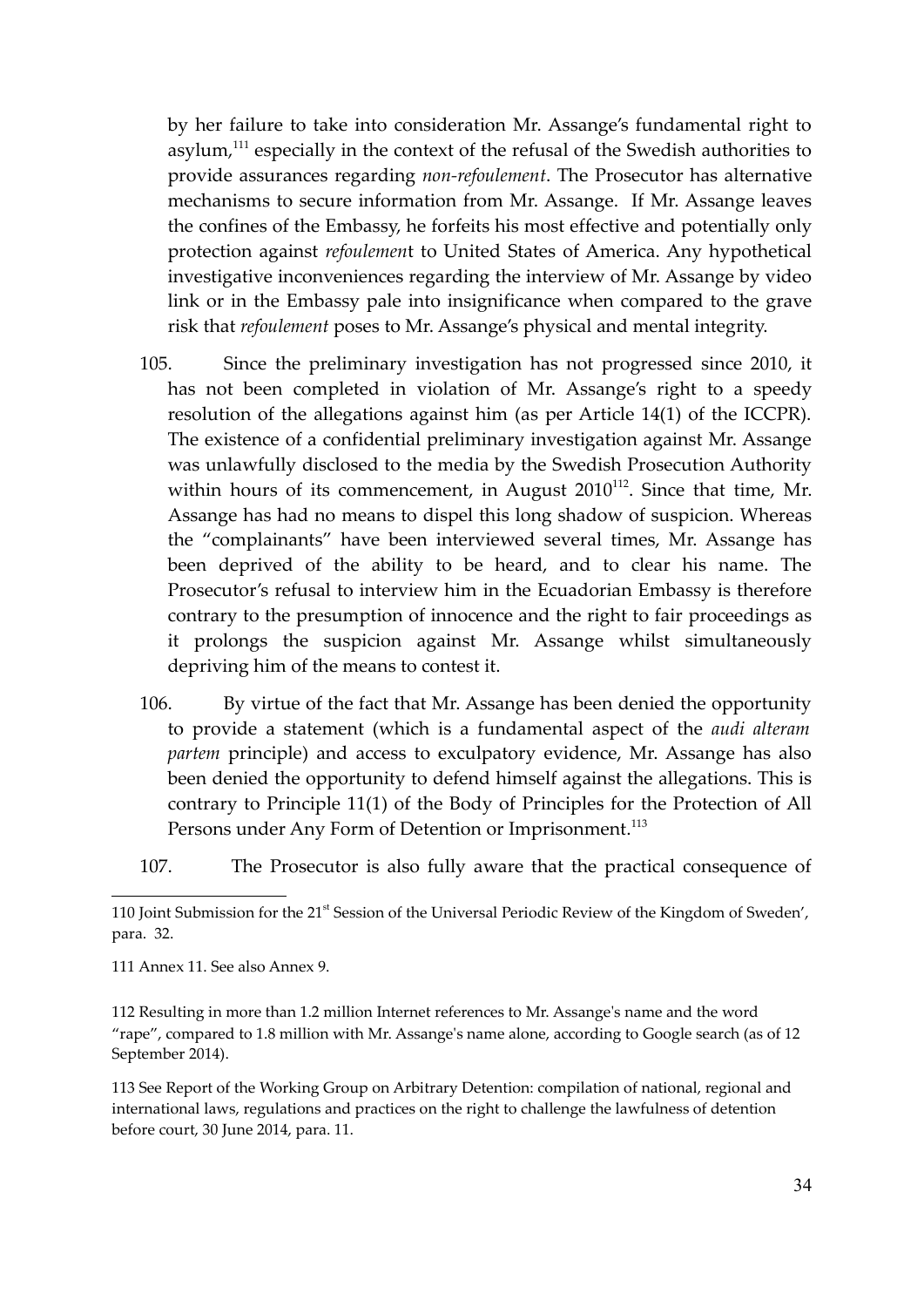by her failure to take into consideration Mr. Assange's fundamental right to asylum, $111$  especially in the context of the refusal of the Swedish authorities to provide assurances regarding *non-refoulement*. The Prosecutor has alternative mechanisms to secure information from Mr. Assange. If Mr. Assange leaves the confines of the Embassy, he forfeits his most effective and potentially only protection against *refoulemen*t to United States of America. Any hypothetical investigative inconveniences regarding the interview of Mr. Assange by video link or in the Embassy pale into insignificance when compared to the grave risk that *refoulement* poses to Mr. Assange's physical and mental integrity.

- 105. Since the preliminary investigation has not progressed since 2010, it has not been completed in violation of Mr. Assange's right to a speedy resolution of the allegations against him (as per Article 14(1) of the ICCPR). The existence of a confidential preliminary investigation against Mr. Assange was unlawfully disclosed to the media by the Swedish Prosecution Authority within hours of its commencement, in August  $2010^{112}$ . Since that time, Mr. Assange has had no means to dispel this long shadow of suspicion. Whereas the "complainants" have been interviewed several times, Mr. Assange has been deprived of the ability to be heard, and to clear his name. The Prosecutor's refusal to interview him in the Ecuadorian Embassy is therefore contrary to the presumption of innocence and the right to fair proceedings as it prolongs the suspicion against Mr. Assange whilst simultaneously depriving him of the means to contest it.
- 106. By virtue of the fact that Mr. Assange has been denied the opportunity to provide a statement (which is a fundamental aspect of the *audi alteram partem* principle) and access to exculpatory evidence, Mr. Assange has also been denied the opportunity to defend himself against the allegations. This is contrary to Principle 11(1) of the Body of Principles for the Protection of All Persons under Any Form of Detention or Imprisonment. 113
- 107. The Prosecutor is also fully aware that the practical consequence of

111 Annex 11. See also Annex 9.

112 Resulting in more than 1.2 million Internet references to Mr. Assange's name and the word "rape", compared to 1.8 million with Mr. Assange's name alone, according to Google search (as of 12 September 2014).

113 See Report of the Working Group on Arbitrary Detention: compilation of national, regional and international laws, regulations and practices on the right to challenge the lawfulness of detention before court, 30 June 2014, para. 11.

<sup>110</sup> Joint Submission for the 21<sup>st</sup> Session of the Universal Periodic Review of the Kingdom of Sweden', para. 32.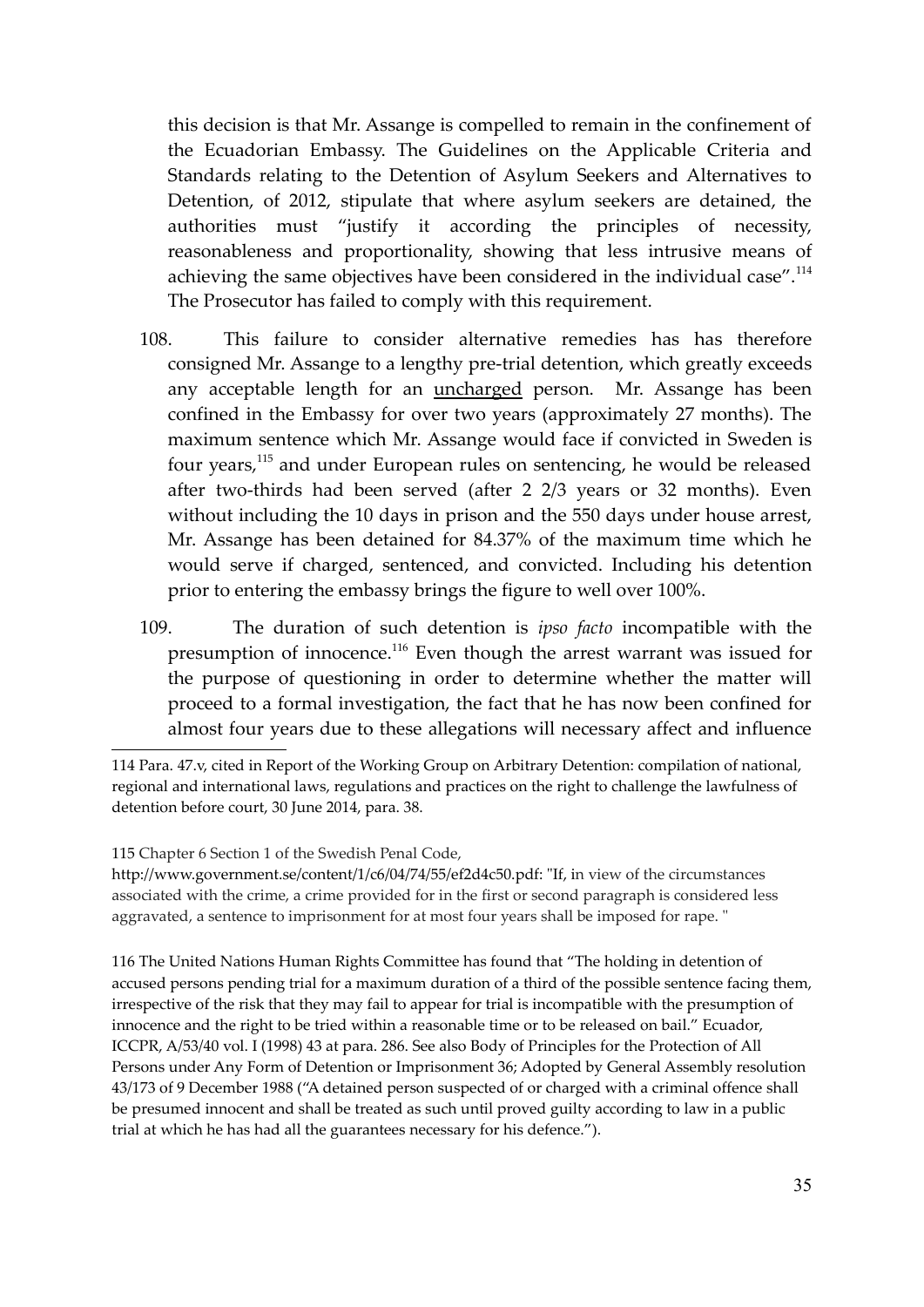this decision is that Mr. Assange is compelled to remain in the confinement of the Ecuadorian Embassy. The Guidelines on the Applicable Criteria and Standards relating to the Detention of Asylum Seekers and Alternatives to Detention, of 2012, stipulate that where asylum seekers are detained, the authorities must "justify it according the principles of necessity, reasonableness and proportionality, showing that less intrusive means of achieving the same objectives have been considered in the individual case".<sup>114</sup> The Prosecutor has failed to comply with this requirement.

- 108. This failure to consider alternative remedies has has therefore consigned Mr. Assange to a lengthy pre-trial detention, which greatly exceeds any acceptable length for an uncharged person. Mr. Assange has been confined in the Embassy for over two years (approximately 27 months). The maximum sentence which Mr. Assange would face if convicted in Sweden is four years,<sup>115</sup> and under European rules on sentencing, he would be released after two-thirds had been served (after 2 2/3 years or 32 months). Even without including the 10 days in prison and the 550 days under house arrest, Mr. Assange has been detained for 84.37% of the maximum time which he would serve if charged, sentenced, and convicted. Including his detention prior to entering the embassy brings the figure to well over 100%.
- 109. The duration of such detention is *ipso facto* incompatible with the presumption of innocence.<sup>116</sup> Even though the arrest warrant was issued for the purpose of questioning in order to determine whether the matter will proceed to a formal investigation, the fact that he has now been confined for almost four years due to these allegations will necessary affect and influence

<sup>114</sup> Para. 47.v, cited in Report of the Working Group on Arbitrary Detention: compilation of national, regional and international laws, regulations and practices on the right to challenge the lawfulness of detention before court, 30 June 2014, para. 38.

<sup>115</sup> Chapter 6 Section 1 of the Swedish Penal Code,

http://www.government.se/content/1/c6/04/74/55/ef2d4c50.pdf: "If, in view of the circumstances associated with the crime, a crime provided for in the first or second paragraph is considered less aggravated, a sentence to imprisonment for at most four years shall be imposed for rape. "

<sup>116</sup> The United Nations Human Rights Committee has found that "The holding in detention of accused persons pending trial for a maximum duration of a third of the possible sentence facing them, irrespective of the risk that they may fail to appear for trial is incompatible with the presumption of innocence and the right to be tried within a reasonable time or to be released on bail." Ecuador, ICCPR, A/53/40 vol. I (1998) 43 at para. 286. See also Body of Principles for the Protection of All Persons under Any Form of Detention or Imprisonment 36; Adopted by General Assembly resolution 43/173 of 9 December 1988 ("A detained person suspected of or charged with a criminal offence shall be presumed innocent and shall be treated as such until proved guilty according to law in a public trial at which he has had all the guarantees necessary for his defence.").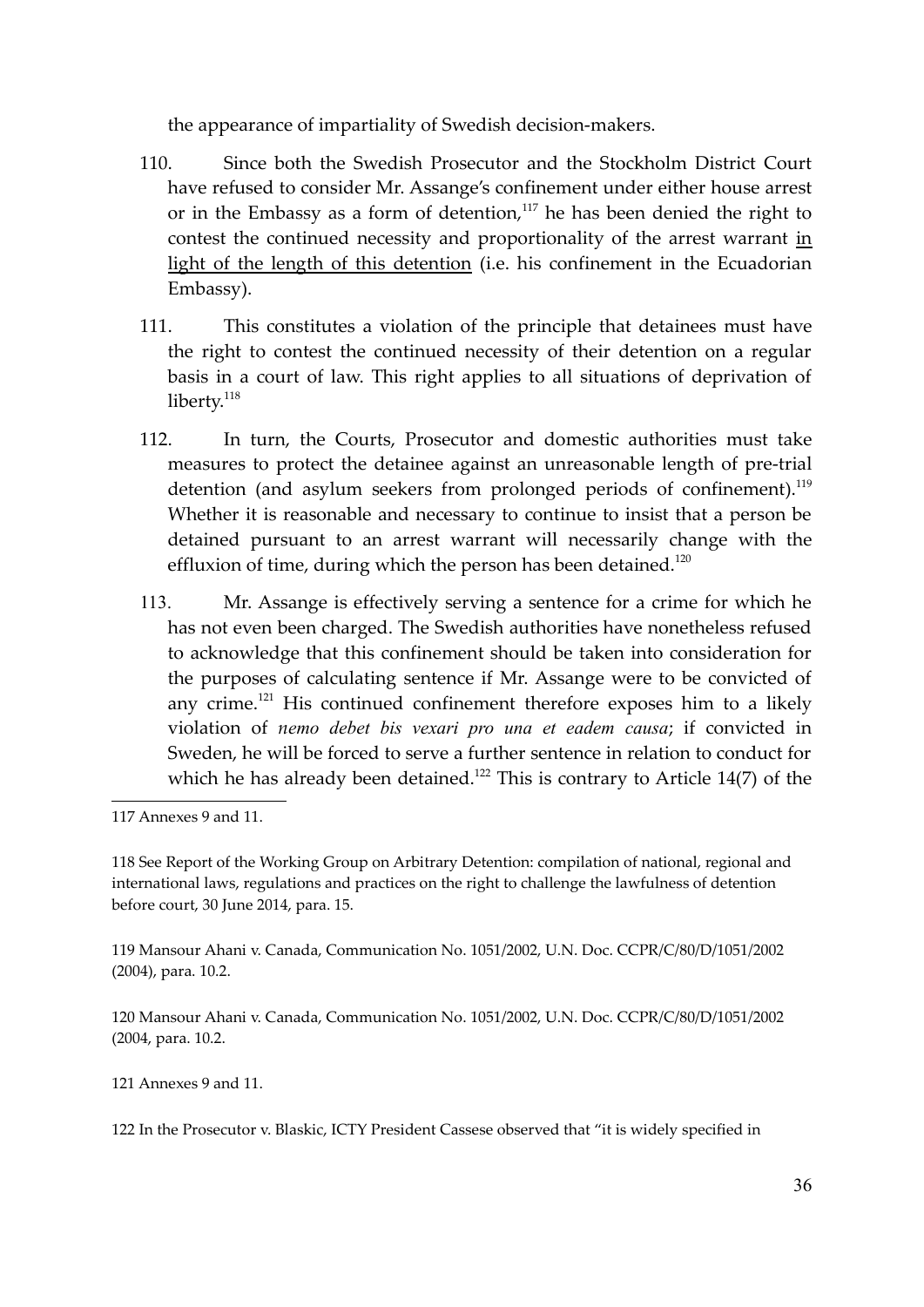the appearance of impartiality of Swedish decision-makers.

- 110. Since both the Swedish Prosecutor and the Stockholm District Court have refused to consider Mr. Assange's confinement under either house arrest or in the Embassy as a form of detention, $117$  he has been denied the right to contest the continued necessity and proportionality of the arrest warrant in light of the length of this detention (i.e. his confinement in the Ecuadorian Embassy).
- 111. This constitutes a violation of the principle that detainees must have the right to contest the continued necessity of their detention on a regular basis in a court of law. This right applies to all situations of deprivation of liberty. $118$
- 112. In turn, the Courts, Prosecutor and domestic authorities must take measures to protect the detainee against an unreasonable length of pre-trial detention (and asylum seekers from prolonged periods of confinement).<sup>119</sup> Whether it is reasonable and necessary to continue to insist that a person be detained pursuant to an arrest warrant will necessarily change with the effluxion of time, during which the person has been detained. $^{120}$
- 113. Mr. Assange is effectively serving a sentence for a crime for which he has not even been charged. The Swedish authorities have nonetheless refused to acknowledge that this confinement should be taken into consideration for the purposes of calculating sentence if Mr. Assange were to be convicted of any crime.<sup>121</sup> His continued confinement therefore exposes him to a likely violation of *nemo debet bis vexari pro una et eadem causa*; if convicted in Sweden, he will be forced to serve a further sentence in relation to conduct for which he has already been detained.<sup>122</sup> This is contrary to Article 14(7) of the

119 Mansour Ahani v. Canada, Communication No. 1051/2002, U.N. Doc. CCPR/C/80/D/1051/2002 (2004), para. 10.2.

120 Mansour Ahani v. Canada, Communication No. 1051/2002, U.N. Doc. CCPR/C/80/D/1051/2002 (2004, para. 10.2.

121 Annexes 9 and 11.

122 In the Prosecutor v. Blaskic, ICTY President Cassese observed that "it is widely specified in

<sup>117</sup> Annexes 9 and 11.

<sup>118</sup> See Report of the Working Group on Arbitrary Detention: compilation of national, regional and international laws, regulations and practices on the right to challenge the lawfulness of detention before court, 30 June 2014, para. 15.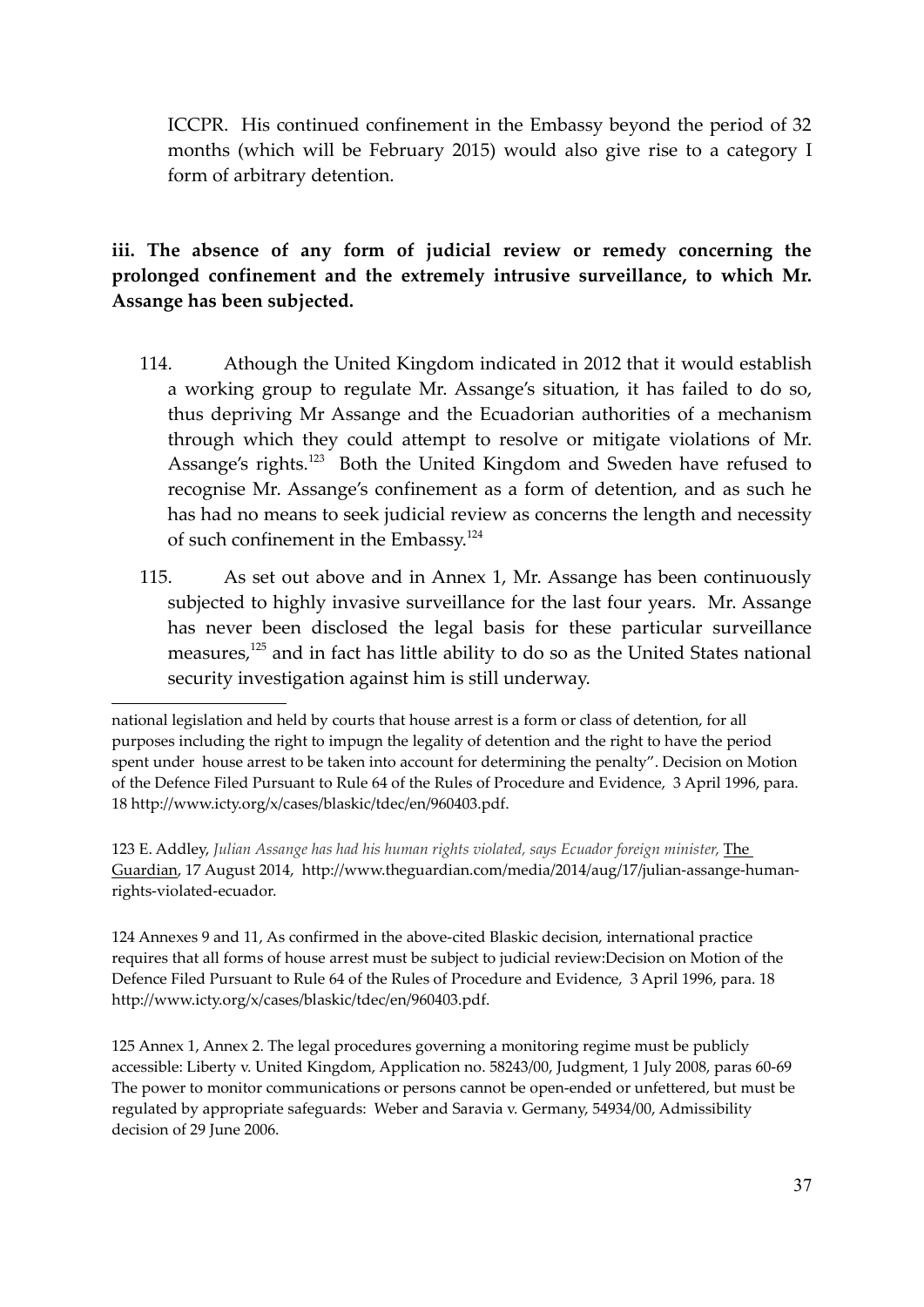ICCPR. His continued confinement in the Embassy beyond the period of 32 months (which will be February 2015) would also give rise to a category I form of arbitrary detention.

**iii. The absence of any form of judicial review or remedy concerning the prolonged confinement and the extremely intrusive surveillance, to which Mr. Assange has been subjected.**

- 114. Athough the United Kingdom indicated in 2012 that it would establish a working group to regulate Mr. Assange's situation, it has failed to do so, thus depriving Mr Assange and the Ecuadorian authorities of a mechanism through which they could attempt to resolve or mitigate violations of Mr. Assange's rights.<sup>123</sup> Both the United Kingdom and Sweden have refused to recognise Mr. Assange's confinement as a form of detention, and as such he has had no means to seek judicial review as concerns the length and necessity of such confinement in the Embassy.<sup>124</sup>
- 115. As set out above and in Annex 1, Mr. Assange has been continuously subjected to highly invasive surveillance for the last four years. Mr. Assange has never been disclosed the legal basis for these particular surveillance measures,<sup>125</sup> and in fact has little ability to do so as the United States national security investigation against him is still underway.

123 E. Addley, *Julian Assange has had his human rights violated, says Ecuador foreign minister*, The Guardian, 17 August 2014, http://www.theguardian.com/media/2014/aug/17/julian-assange-humanrights-violated-ecuador.

124 Annexes 9 and 11, As confirmed in the above-cited Blaskic decision, international practice requires that all forms of house arrest must be subject to judicial review:Decision on Motion of the Defence Filed Pursuant to Rule 64 of the Rules of Procedure and Evidence, 3 April 1996, para. 18 http://www.icty.org/x/cases/blaskic/tdec/en/960403.pdf.

125 Annex 1, Annex 2. The legal procedures governing a monitoring regime must be publicly accessible: Liberty v. United Kingdom, Application no. 58243/00, Judgment, 1 July 2008, paras 60-69 The power to monitor communications or persons cannot be open-ended or unfettered, but must be regulated by appropriate safeguards: Weber and Saravia v. Germany, 54934/00, Admissibility decision of 29 June 2006.

national legislation and held by courts that house arrest is a form or class of detention, for all purposes including the right to impugn the legality of detention and the right to have the period spent under house arrest to be taken into account for determining the penalty". Decision on Motion of the Defence Filed Pursuant to Rule 64 of the Rules of Procedure and Evidence, 3 April 1996, para. 18 http://www.icty.org/x/cases/blaskic/tdec/en/960403.pdf.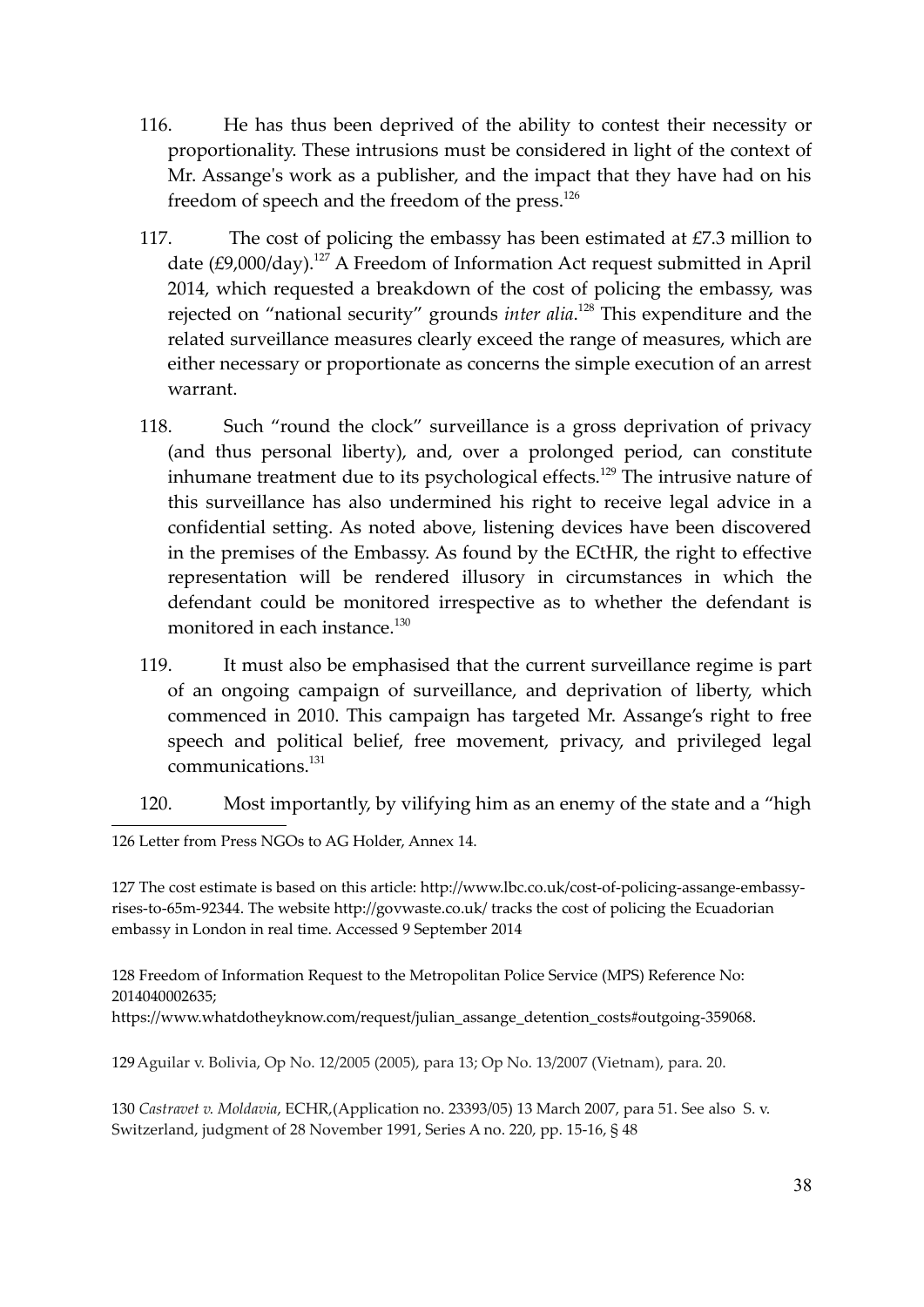- 116. He has thus been deprived of the ability to contest their necessity or proportionality. These intrusions must be considered in light of the context of Mr. Assange's work as a publisher, and the impact that they have had on his freedom of speech and the freedom of the press.<sup>126</sup>
- 117. The cost of policing the embassy has been estimated at  $\text{\textsterling}7.3$  million to date (£9,000/day).<sup>127</sup> A Freedom of Information Act request submitted in April 2014, which requested a breakdown of the cost of policing the embassy, was rejected on "national security" grounds *inter alia*. <sup>128</sup> This expenditure and the related surveillance measures clearly exceed the range of measures, which are either necessary or proportionate as concerns the simple execution of an arrest warrant.
- 118. Such "round the clock" surveillance is a gross deprivation of privacy (and thus personal liberty), and, over a prolonged period, can constitute inhumane treatment due to its psychological effects. <sup>129</sup> The intrusive nature of this surveillance has also undermined his right to receive legal advice in a confidential setting. As noted above, listening devices have been discovered in the premises of the Embassy. As found by the ECtHR, the right to effective representation will be rendered illusory in circumstances in which the defendant could be monitored irrespective as to whether the defendant is monitored in each instance.<sup>130</sup>
- 119. It must also be emphasised that the current surveillance regime is part of an ongoing campaign of surveillance, and deprivation of liberty, which commenced in 2010. This campaign has targeted Mr. Assange's right to free speech and political belief, free movement, privacy, and privileged legal communications.<sup>131</sup>
- 120. Most importantly, by vilifying him as an enemy of the state and a "high

126 Letter from Press NGOs to AG Holder, Annex 14.

127 The cost estimate is based on this article: http://www.lbc.co.uk/cost-of-policing-assange-embassyrises-to-65m-92344. The website http://govwaste.co.uk/ tracks the cost of policing the Ecuadorian embassy in London in real time. Accessed 9 September 2014

128 Freedom of Information Request to the Metropolitan Police Service (MPS) Reference No: 2014040002635;

https://www.whatdotheyknow.com/request/julian\_assange\_detention\_costs#outgoing-359068.

129Aguilar v. Bolivia, Op No. 12/2005 (2005), para 13; Op No. 13/2007 (Vietnam), para. 20.

130 *Castravet v. Moldavia*, ECHR,(Application no. 23393/05) 13 March 2007, para 51. See also S. v. Switzerland, judgment of 28 November 1991, Series A no. 220, pp. 15-16, § 48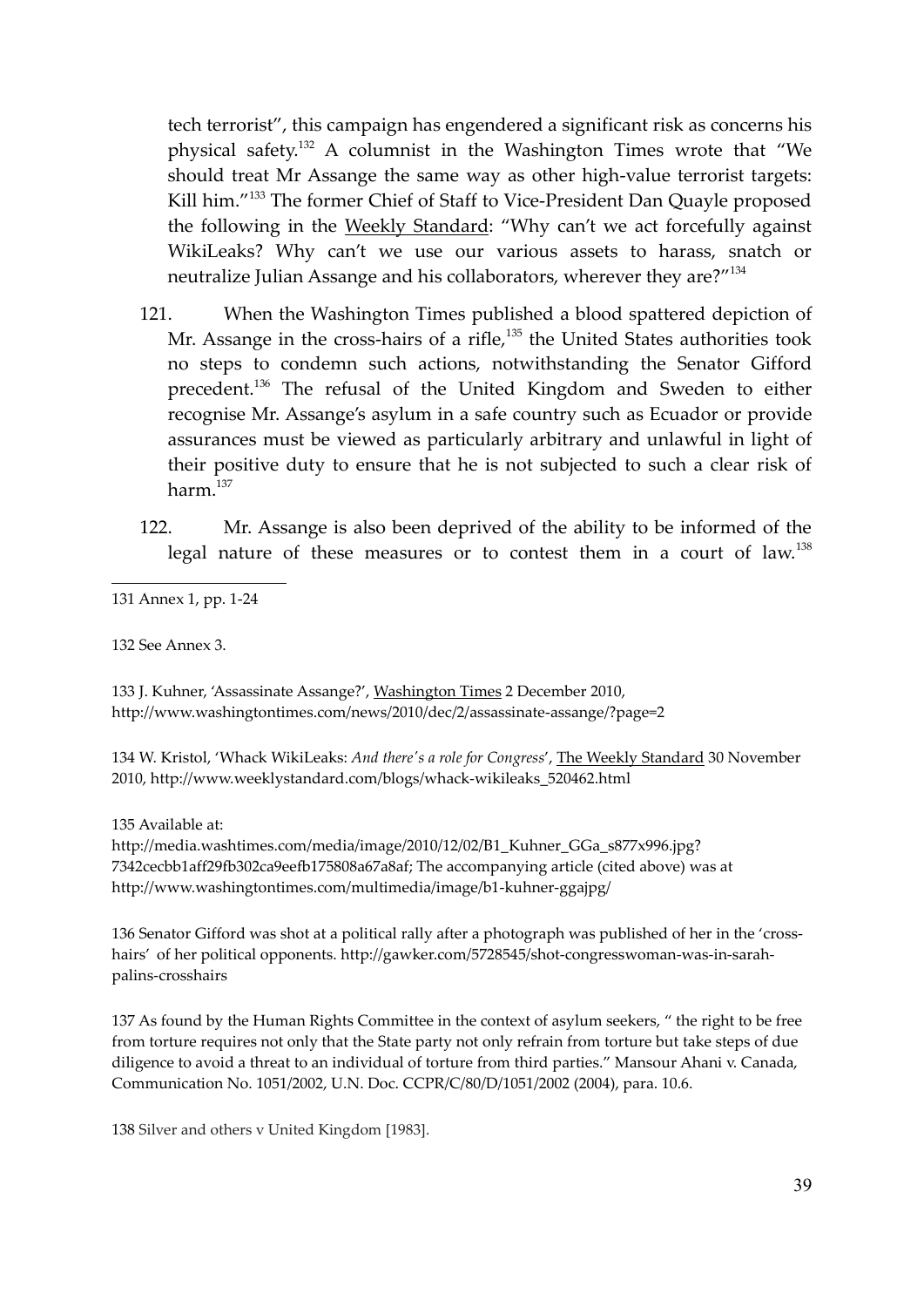tech terrorist", this campaign has engendered a significant risk as concerns his physical safety.<sup>132</sup> A columnist in the Washington Times wrote that "We should treat Mr Assange the same way as other high-value terrorist targets: Kill him."<sup>133</sup> The former Chief of Staff to Vice-President Dan Quayle proposed the following in the Weekly Standard: "Why can't we act forcefully against WikiLeaks? Why can't we use our various assets to harass, snatch or neutralize Julian Assange and his collaborators, wherever they are?"<sup>134</sup>

- 121. When the Washington Times published a blood spattered depiction of Mr. Assange in the cross-hairs of a rifle,<sup>135</sup> the United States authorities took no steps to condemn such actions, notwithstanding the Senator Gifford precedent.<sup>136</sup> The refusal of the United Kingdom and Sweden to either recognise Mr. Assange's asylum in a safe country such as Ecuador or provide assurances must be viewed as particularly arbitrary and unlawful in light of their positive duty to ensure that he is not subjected to such a clear risk of harm<sup>137</sup>
- 122. Mr. Assange is also been deprived of the ability to be informed of the legal nature of these measures or to contest them in a court of law.<sup>138</sup>

131 Annex 1, pp. 1-24

132 See Annex 3.

133 J. Kuhner, 'Assassinate Assange?', Washington Times 2 December 2010, http://www.washingtontimes.com/news/2010/dec/2/assassinate-assange/?page=2

134 W. Kristol, 'Whack WikiLeaks: *And there's a role for Congress*', The Weekly Standard 30 November 2010, http://www.weeklystandard.com/blogs/whack-wikileaks\_520462.html

135 Available at:

http://media.washtimes.com/media/image/2010/12/02/B1\_Kuhner\_GGa\_s877x996.jpg? 7342cecbb1aff29fb302ca9eefb175808a67a8af; The accompanying article (cited above) was at http://www.washingtontimes.com/multimedia/image/b1-kuhner-ggajpg/

136 Senator Gifford was shot at a political rally after a photograph was published of her in the 'crosshairs' of her political opponents. http://gawker.com/5728545/shot-congresswoman-was-in-sarahpalins-crosshairs

137 As found by the Human Rights Committee in the context of asylum seekers, " the right to be free from torture requires not only that the State party not only refrain from torture but take steps of due diligence to avoid a threat to an individual of torture from third parties." Mansour Ahani v. Canada, Communication No. 1051/2002, U.N. Doc. CCPR/C/80/D/1051/2002 (2004), para. 10.6.

138 Silver and others v United Kingdom [1983].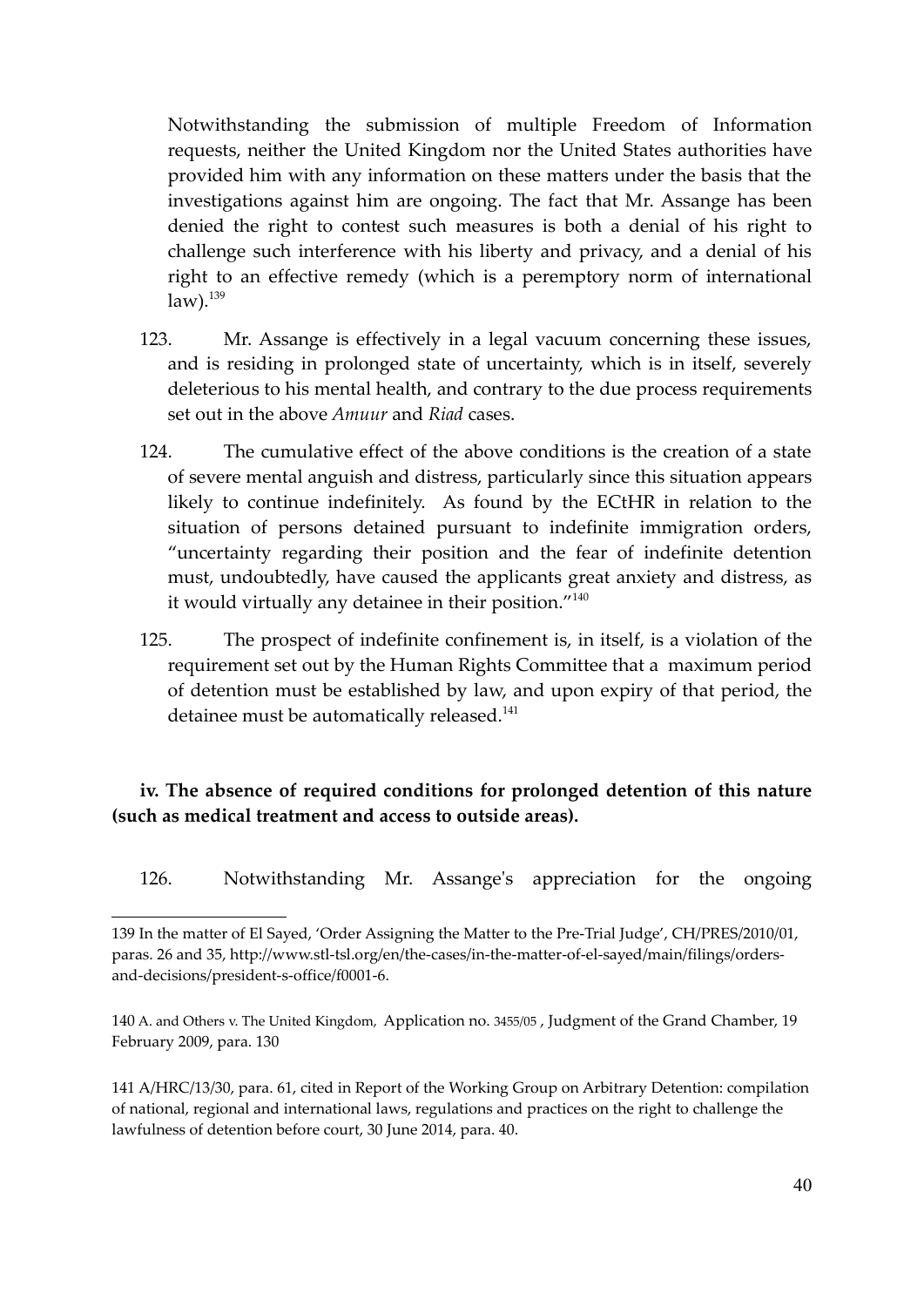Notwithstanding the submission of multiple Freedom of Information requests, neither the United Kingdom nor the United States authorities have provided him with any information on these matters under the basis that the investigations against him are ongoing. The fact that Mr. Assange has been denied the right to contest such measures is both a denial of his right to challenge such interference with his liberty and privacy, and a denial of his right to an effective remedy (which is a peremptory norm of international  $law).$ <sup>139</sup>

- 123. Mr. Assange is effectively in a legal vacuum concerning these issues, and is residing in prolonged state of uncertainty, which is in itself, severely deleterious to his mental health, and contrary to the due process requirements set out in the above *Amuur* and *Riad* cases.
- 124. The cumulative effect of the above conditions is the creation of a state of severe mental anguish and distress, particularly since this situation appears likely to continue indefinitely. As found by the ECtHR in relation to the situation of persons detained pursuant to indefinite immigration orders, "uncertainty regarding their position and the fear of indefinite detention must, undoubtedly, have caused the applicants great anxiety and distress, as it would virtually any detainee in their position." $^{140}$
- 125. The prospect of indefinite confinement is, in itself, is a violation of the requirement set out by the Human Rights Committee that a maximum period of detention must be established by law, and upon expiry of that period, the detainee must be automatically released.<sup>141</sup>

# **iv. The absence of required conditions for prolonged detention of this nature (such as medical treatment and access to outside areas).**

126. Notwithstanding Mr. Assange's appreciation for the ongoing

141 A/HRC/13/30, para. 61, cited in Report of the Working Group on Arbitrary Detention: compilation of national, regional and international laws, regulations and practices on the right to challenge the lawfulness of detention before court, 30 June 2014, para. 40.

<sup>139</sup> In the matter of El Sayed, 'Order Assigning the Matter to the Pre-Trial Judge', CH/PRES/2010/01, paras. 26 and 35, http://www.stl-tsl.org/en/the-cases/in-the-matter-of-el-sayed/main/filings/ordersand-decisions/president-s-office/f0001-6.

<sup>140</sup> A. and Others v. The United Kingdom, Application no. 3455/05 , Judgment of the Grand Chamber, 19 February 2009, para. 130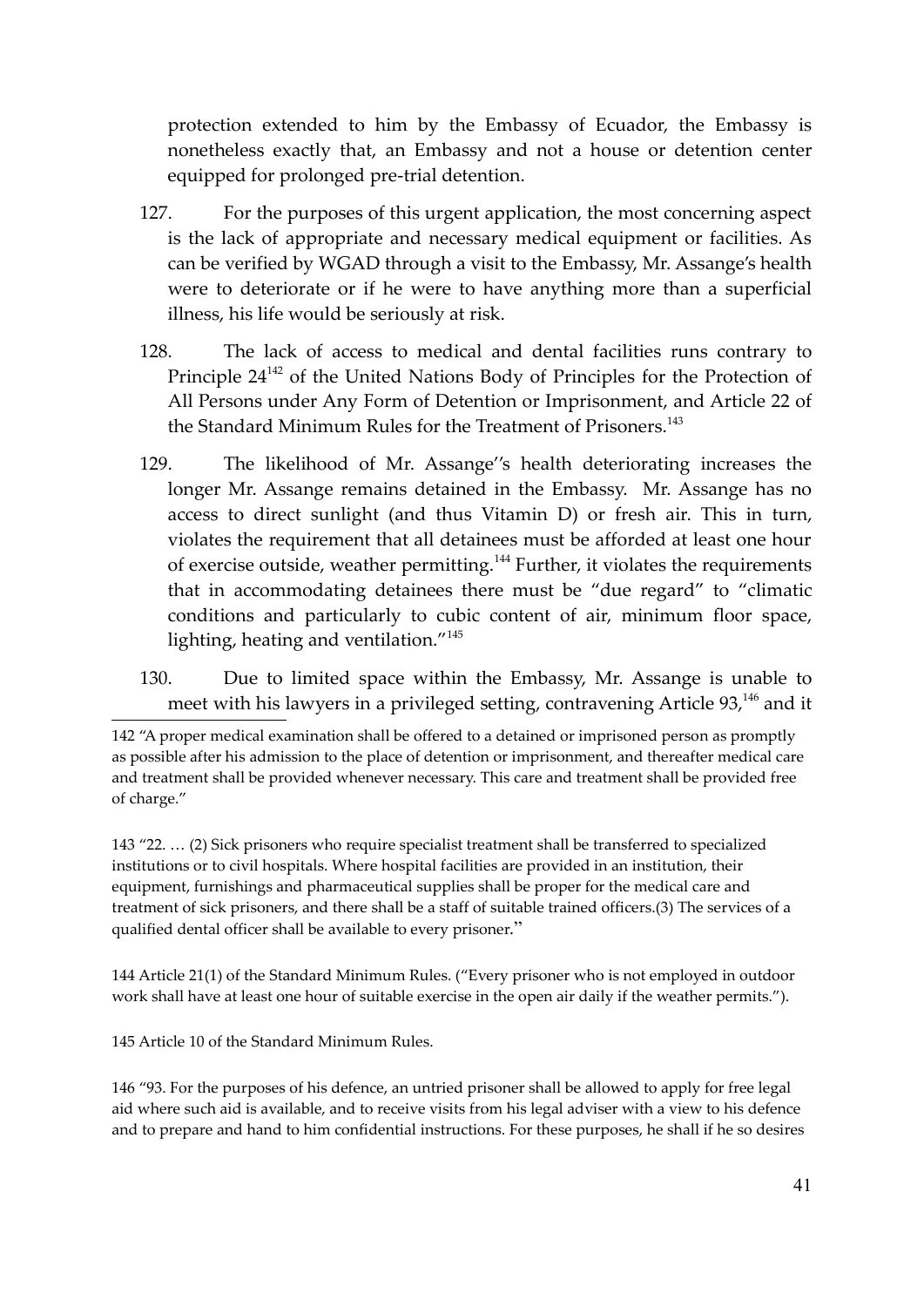protection extended to him by the Embassy of Ecuador, the Embassy is nonetheless exactly that, an Embassy and not a house or detention center equipped for prolonged pre-trial detention.

- 127. For the purposes of this urgent application, the most concerning aspect is the lack of appropriate and necessary medical equipment or facilities. As can be verified by WGAD through a visit to the Embassy, Mr. Assange's health were to deteriorate or if he were to have anything more than a superficial illness, his life would be seriously at risk.
- 128. The lack of access to medical and dental facilities runs contrary to Principle 24<sup>142</sup> of the United Nations Body of Principles for the Protection of All Persons under Any Form of Detention or Imprisonment, and Article 22 of the Standard Minimum Rules for the Treatment of Prisoners.<sup>143</sup>
- 129. The likelihood of Mr. Assange''s health deteriorating increases the longer Mr. Assange remains detained in the Embassy. Mr. Assange has no access to direct sunlight (and thus Vitamin D) or fresh air. This in turn, violates the requirement that all detainees must be afforded at least one hour of exercise outside, weather permitting.<sup>144</sup> Further, it violates the requirements that in accommodating detainees there must be "due regard" to "climatic conditions and particularly to cubic content of air, minimum floor space, lighting, heating and ventilation."<sup>145</sup>
- 130. Due to limited space within the Embassy, Mr. Assange is unable to meet with his lawyers in a privileged setting, contravening Article  $93<sup>146</sup>$  and it

143 "22. … (2) Sick prisoners who require specialist treatment shall be transferred to specialized institutions or to civil hospitals. Where hospital facilities are provided in an institution, their equipment, furnishings and pharmaceutical supplies shall be proper for the medical care and treatment of sick prisoners, and there shall be a staff of suitable trained officers.(3) The services of a qualified dental officer shall be available to every prisoner."

144 Article 21(1) of the Standard Minimum Rules. ("Every prisoner who is not employed in outdoor work shall have at least one hour of suitable exercise in the open air daily if the weather permits.").

145 Article 10 of the Standard Minimum Rules.

146 "93. For the purposes of his defence, an untried prisoner shall be allowed to apply for free legal aid where such aid is available, and to receive visits from his legal adviser with a view to his defence and to prepare and hand to him confidential instructions. For these purposes, he shall if he so desires

<sup>142 &</sup>quot;A proper medical examination shall be offered to a detained or imprisoned person as promptly as possible after his admission to the place of detention or imprisonment, and thereafter medical care and treatment shall be provided whenever necessary. This care and treatment shall be provided free of charge."